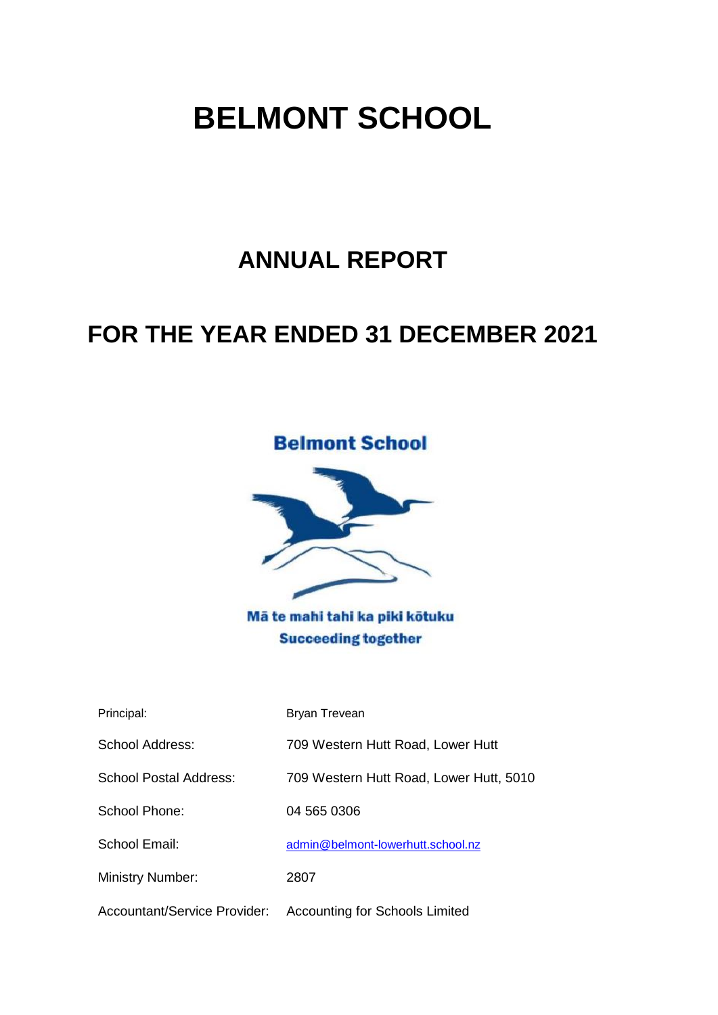# **ANNUAL REPORT**

# **FOR THE YEAR ENDED 31 DECEMBER 2021**



Mā te mahi tahi ka piki kōtuku **Succeeding together** 

| Principal:                          | Bryan Trevean                           |
|-------------------------------------|-----------------------------------------|
| School Address:                     | 709 Western Hutt Road, Lower Hutt       |
| School Postal Address:              | 709 Western Hutt Road, Lower Hutt, 5010 |
| School Phone:                       | 04 565 0306                             |
| School Email:                       | admin@belmont-lowerhutt.school.nz       |
| <b>Ministry Number:</b>             | 2807                                    |
| <b>Accountant/Service Provider:</b> | <b>Accounting for Schools Limited</b>   |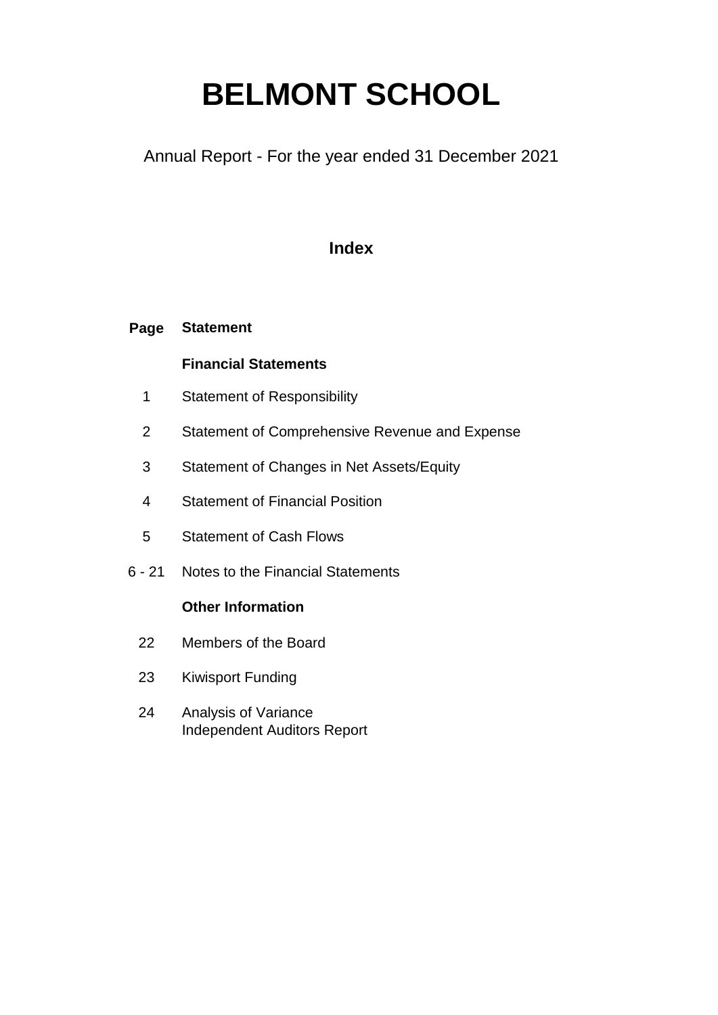Annual Report - For the year ended 31 December 2021

### **Index**

#### **Page Statement**

### **Financial Statements**

- 1 Statement of Responsibility
- 2 Statement of Comprehensive Revenue and Expense
- 3 Statement of Changes in Net Assets/Equity
- 4 Statement of Financial Position
- 5 Statement of Cash Flows
- 6 21 Notes to the Financial Statements

### **Other Information**

- 22 Members of the Board
- 23 Kiwisport Funding
- 24 Analysis of Variance Independent Auditors Report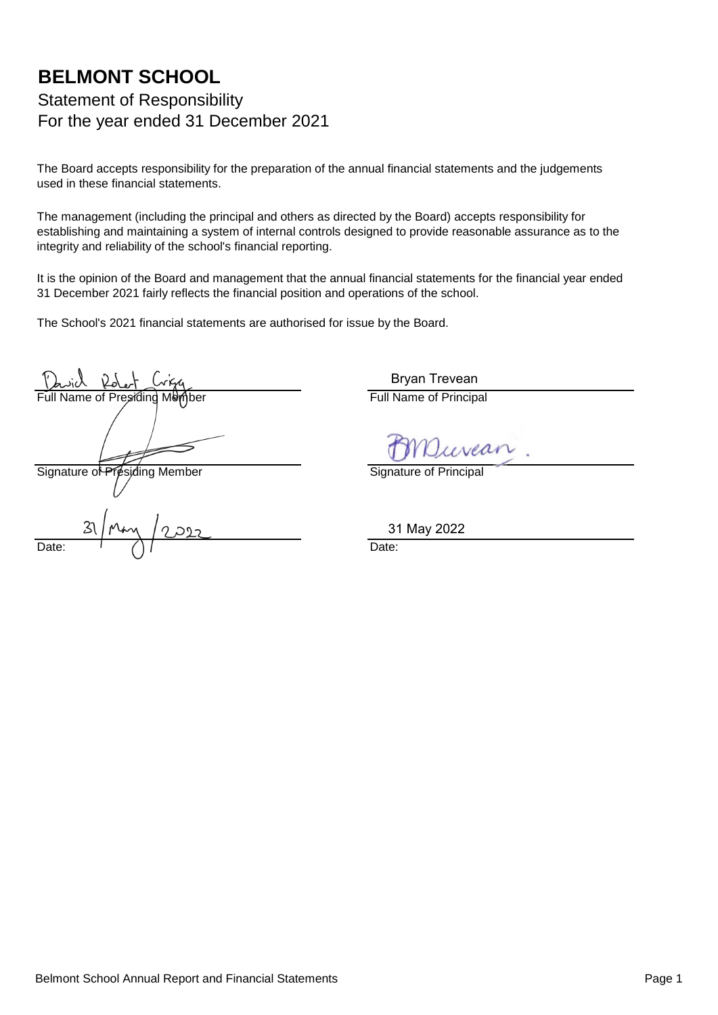### **BELMONT SCHOOL** Statement of Responsibility For the year ended 31 December 2021

The Board accepts responsibility for the preparation of the annual financial statements and the judgements used in these financial statements.

The management (including the principal and others as directed by the Board) accepts responsibility for establishing and maintaining a system of internal controls designed to provide reasonable assurance as to the integrity and reliability of the school's financial reporting.

It is the opinion of the Board and management that the annual financial statements for the financial year ended 31 December 2021 fairly reflects the financial position and operations of the school.

The School's 2021 financial statements are authorised for issue by the Board.

Name of Presiding Member **Full Name of Principal** 

Signature of Presiding Member Signature of Principal

Date:  $\left(\begin{array}{cc} 1 & 0 \\ 0 & 1 \end{array}\right)$   $\left(\begin{array}{cc} 0 & 0 \\ 0 & 1 \end{array}\right)$   $\left(\begin{array}{cc} 0 & 0 \\ 0 & 1 \end{array}\right)$   $\left(\begin{array}{cc} 0 & 0 \\ 0 & 1 \end{array}\right)$   $\left(\begin{array}{cc} 0 & 0 \\ 0 & 1 \end{array}\right)$   $\left(\begin{array}{cc} 0 & 0 \\ 0 & 1 \end{array}\right)$   $\left(\begin{array}{cc} 0 & 0 \\ 0 & 1 \end{array}\right)$   $\left(\begin$ 

Bryan Trevean

31 May 2022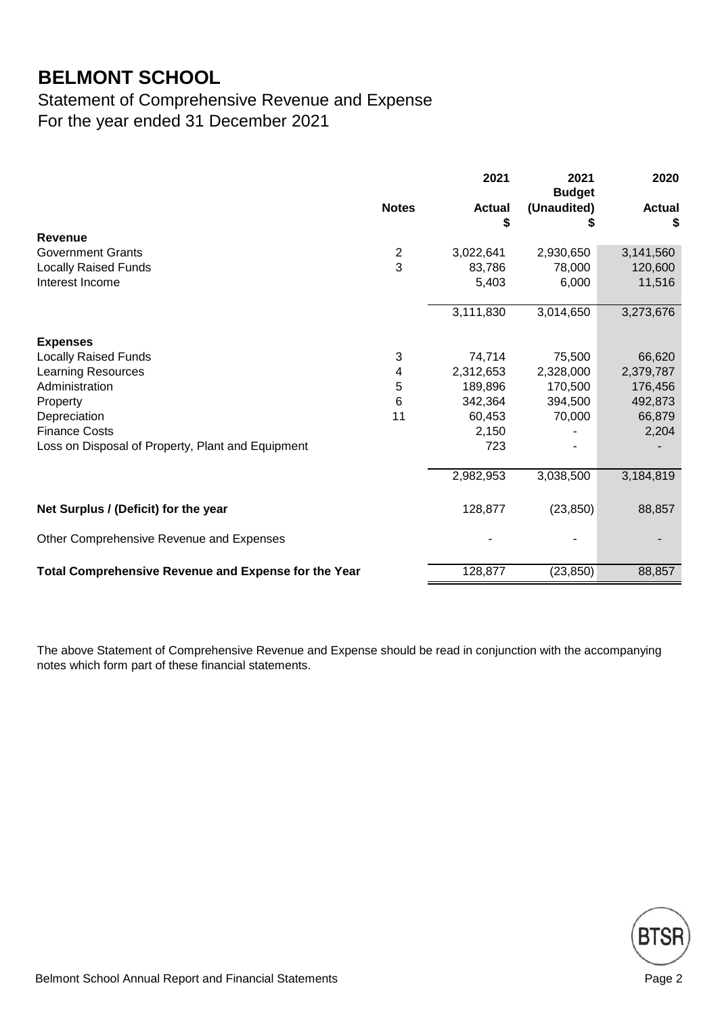### Statement of Comprehensive Revenue and Expense For the year ended 31 December 2021

|                                                      |                  | 2021                | 2021<br><b>Budget</b> | 2020               |
|------------------------------------------------------|------------------|---------------------|-----------------------|--------------------|
|                                                      | <b>Notes</b>     | <b>Actual</b><br>\$ | (Unaudited)<br>S      | <b>Actual</b><br>S |
| Revenue                                              |                  |                     |                       |                    |
| <b>Government Grants</b>                             | $\boldsymbol{2}$ | 3,022,641           | 2,930,650             | 3,141,560          |
| <b>Locally Raised Funds</b>                          | 3                | 83,786              | 78,000                | 120,600            |
| Interest Income                                      |                  | 5,403               | 6,000                 | 11,516             |
|                                                      |                  | 3,111,830           | 3,014,650             | 3,273,676          |
| <b>Expenses</b>                                      |                  |                     |                       |                    |
| <b>Locally Raised Funds</b>                          | 3                | 74,714              | 75,500                | 66,620             |
| <b>Learning Resources</b>                            | 4                | 2,312,653           | 2,328,000             | 2,379,787          |
| Administration                                       | 5                | 189,896             | 170,500               | 176,456            |
| Property                                             | 6                | 342,364             | 394,500               | 492,873            |
| Depreciation                                         | 11               | 60,453              | 70,000                | 66,879             |
| <b>Finance Costs</b>                                 |                  | 2,150               |                       | 2,204              |
| Loss on Disposal of Property, Plant and Equipment    |                  | 723                 |                       |                    |
|                                                      |                  | 2,982,953           | 3,038,500             | 3,184,819          |
| Net Surplus / (Deficit) for the year                 |                  | 128,877             | (23, 850)             | 88,857             |
| Other Comprehensive Revenue and Expenses             |                  |                     |                       |                    |
|                                                      |                  |                     |                       |                    |
| Total Comprehensive Revenue and Expense for the Year |                  | 128,877             | (23, 850)             | 88,857             |

The above Statement of Comprehensive Revenue and Expense should be read in conjunction with the accompanying notes which form part of these financial statements.

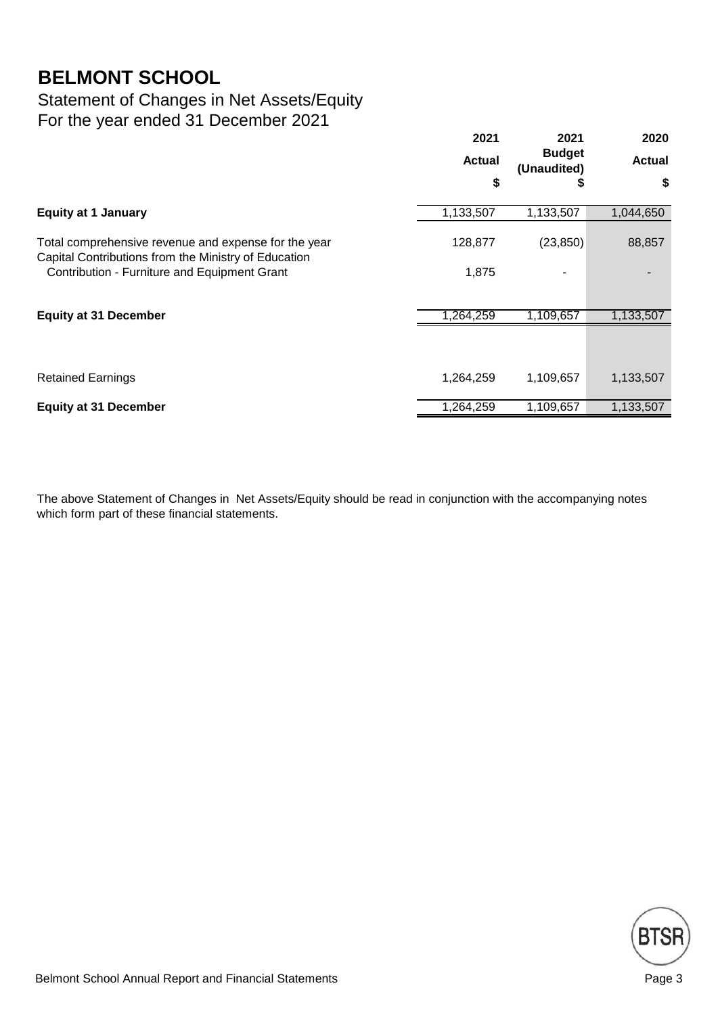### Statement of Changes in Net Assets/Equity For the year ended 31 December 2021

|                                                                                                              | 2021      | 2021<br><b>Budget</b><br><b>Actual</b><br>(Unaudited) | 2020          |
|--------------------------------------------------------------------------------------------------------------|-----------|-------------------------------------------------------|---------------|
|                                                                                                              |           |                                                       | <b>Actual</b> |
|                                                                                                              | \$        | P                                                     | \$            |
| <b>Equity at 1 January</b>                                                                                   | 1,133,507 | 1,133,507                                             | 1,044,650     |
| Total comprehensive revenue and expense for the year<br>Capital Contributions from the Ministry of Education | 128,877   | (23, 850)                                             | 88,857        |
| Contribution - Furniture and Equipment Grant                                                                 | 1,875     |                                                       |               |
| <b>Equity at 31 December</b>                                                                                 | 1,264,259 | 1,109,657                                             | 1,133,507     |
|                                                                                                              |           |                                                       |               |
| <b>Retained Earnings</b>                                                                                     | 1,264,259 | 1,109,657                                             | 1,133,507     |
| <b>Equity at 31 December</b>                                                                                 | 1,264,259 | 1,109,657                                             | 1,133,507     |

The above Statement of Changes in Net Assets/Equity should be read in conjunction with the accompanying notes which form part of these financial statements.

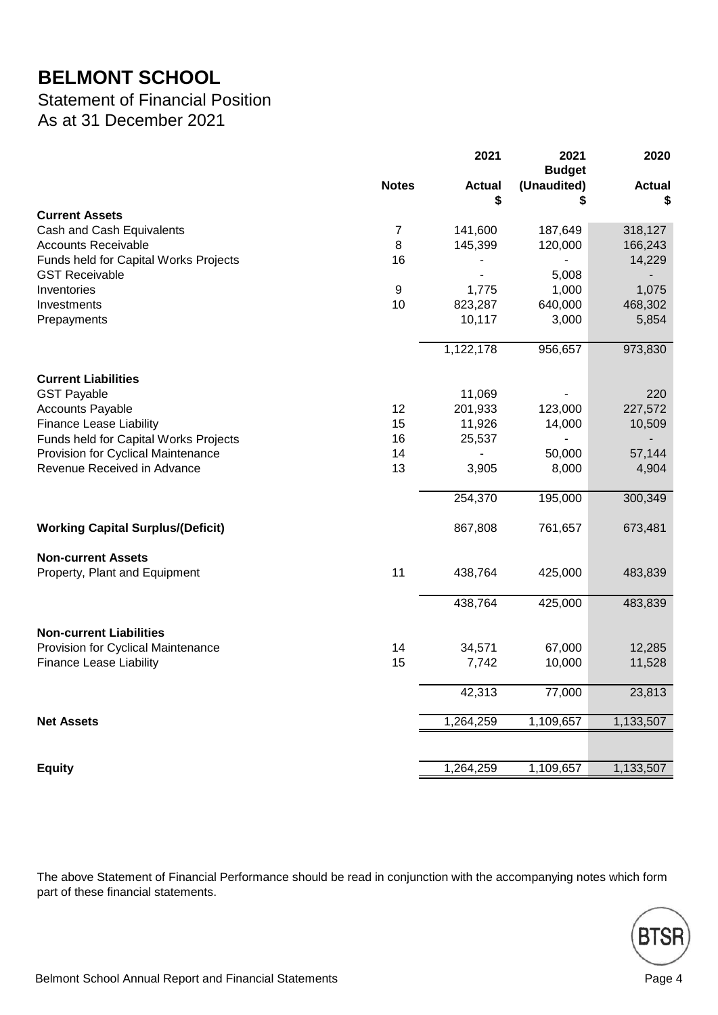### Statement of Financial Position As at 31 December 2021

|                                          |                | 2021                | 2021<br><b>Budget</b> | 2020                |
|------------------------------------------|----------------|---------------------|-----------------------|---------------------|
|                                          | <b>Notes</b>   | <b>Actual</b><br>\$ | (Unaudited)<br>\$     | <b>Actual</b><br>\$ |
| <b>Current Assets</b>                    |                |                     |                       |                     |
| Cash and Cash Equivalents                | $\overline{7}$ | 141,600             | 187,649               | 318,127             |
| <b>Accounts Receivable</b>               | 8              | 145,399             | 120,000               | 166,243             |
| Funds held for Capital Works Projects    | 16             |                     |                       | 14,229              |
| <b>GST Receivable</b>                    |                |                     | 5,008                 |                     |
| Inventories                              | 9              | 1,775               | 1,000                 | 1,075               |
| Investments                              | 10             | 823,287             | 640,000               | 468,302             |
| Prepayments                              |                | 10,117              | 3,000                 | 5,854               |
|                                          |                | 1,122,178           | 956,657               | 973,830             |
| <b>Current Liabilities</b>               |                |                     |                       |                     |
| <b>GST Payable</b>                       |                | 11,069              |                       | 220                 |
| <b>Accounts Payable</b>                  | 12             | 201,933             | 123,000               | 227,572             |
| <b>Finance Lease Liability</b>           | 15             | 11,926              | 14,000                | 10,509              |
| Funds held for Capital Works Projects    | 16             | 25,537              | $\overline{a}$        |                     |
| Provision for Cyclical Maintenance       | 14             |                     | 50,000                | 57,144              |
| Revenue Received in Advance              | 13             | 3,905               | 8,000                 | 4,904               |
|                                          |                | 254,370             | 195,000               | 300,349             |
| <b>Working Capital Surplus/(Deficit)</b> |                | 867,808             | 761,657               | 673,481             |
| <b>Non-current Assets</b>                |                |                     |                       |                     |
| Property, Plant and Equipment            | 11             | 438,764             | 425,000               | 483,839             |
|                                          |                | 438,764             | 425,000               | 483,839             |
| <b>Non-current Liabilities</b>           |                |                     |                       |                     |
| Provision for Cyclical Maintenance       | 14             | 34,571              | 67,000                | 12,285              |
| <b>Finance Lease Liability</b>           | 15             | 7,742               | 10,000                | 11,528              |
|                                          |                | 42,313              | 77,000                | 23,813              |
| <b>Net Assets</b>                        |                | 1,264,259           | 1,109,657             | 1,133,507           |
|                                          |                |                     |                       |                     |
| <b>Equity</b>                            |                | 1,264,259           | 1,109,657             | 1,133,507           |

The above Statement of Financial Performance should be read in conjunction with the accompanying notes which form part of these financial statements.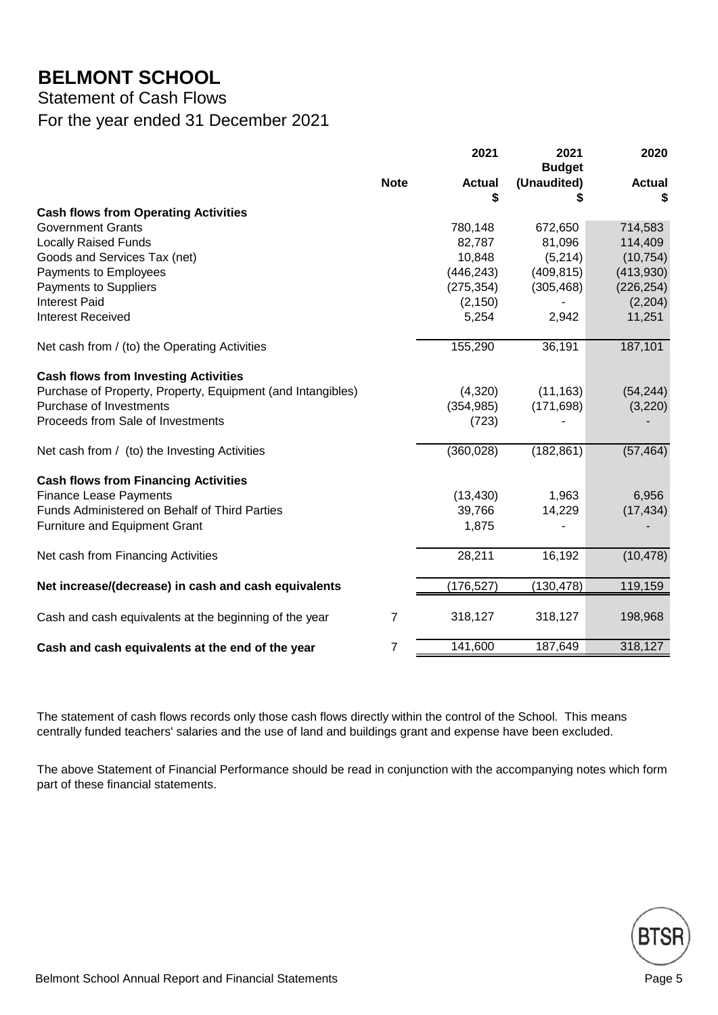Statement of Cash Flows

For the year ended 31 December 2021

|                                                             |                | 2021          | 2021<br><b>Budget</b> | 2020          |
|-------------------------------------------------------------|----------------|---------------|-----------------------|---------------|
|                                                             | <b>Note</b>    | <b>Actual</b> | (Unaudited)           | <b>Actual</b> |
|                                                             |                | S             |                       |               |
| <b>Cash flows from Operating Activities</b>                 |                |               |                       |               |
| <b>Government Grants</b>                                    |                | 780,148       | 672,650               | 714,583       |
| <b>Locally Raised Funds</b>                                 |                | 82,787        | 81,096                | 114,409       |
| Goods and Services Tax (net)                                |                | 10,848        | (5,214)               | (10, 754)     |
| Payments to Employees                                       |                | (446, 243)    | (409, 815)            | (413,930)     |
| Payments to Suppliers                                       |                | (275, 354)    | (305, 468)            | (226, 254)    |
| <b>Interest Paid</b>                                        |                | (2, 150)      |                       | (2,204)       |
| <b>Interest Received</b>                                    |                | 5,254         | 2,942                 | 11,251        |
| Net cash from / (to) the Operating Activities               |                | 155,290       | 36,191                | 187,101       |
| <b>Cash flows from Investing Activities</b>                 |                |               |                       |               |
| Purchase of Property, Property, Equipment (and Intangibles) |                | (4,320)       | (11, 163)             | (54, 244)     |
| Purchase of Investments                                     |                | (354, 985)    | (171, 698)            | (3,220)       |
| Proceeds from Sale of Investments                           |                | (723)         |                       |               |
| Net cash from / (to) the Investing Activities               |                | (360, 028)    | (182, 861)            | (57, 464)     |
| <b>Cash flows from Financing Activities</b>                 |                |               |                       |               |
| <b>Finance Lease Payments</b>                               |                | (13, 430)     | 1,963                 | 6,956         |
| Funds Administered on Behalf of Third Parties               |                | 39,766        | 14,229                | (17, 434)     |
| Furniture and Equipment Grant                               |                | 1,875         |                       |               |
| Net cash from Financing Activities                          |                | 28,211        | 16,192                | (10, 478)     |
| Net increase/(decrease) in cash and cash equivalents        |                | (176, 527)    | (130, 478)            | 119,159       |
| Cash and cash equivalents at the beginning of the year      | 7              | 318,127       | 318,127               | 198,968       |
| Cash and cash equivalents at the end of the year            | $\overline{7}$ | 141,600       | 187,649               | 318,127       |

The statement of cash flows records only those cash flows directly within the control of the School. This means centrally funded teachers' salaries and the use of land and buildings grant and expense have been excluded.

The above Statement of Financial Performance should be read in conjunction with the accompanying notes which form part of these financial statements.

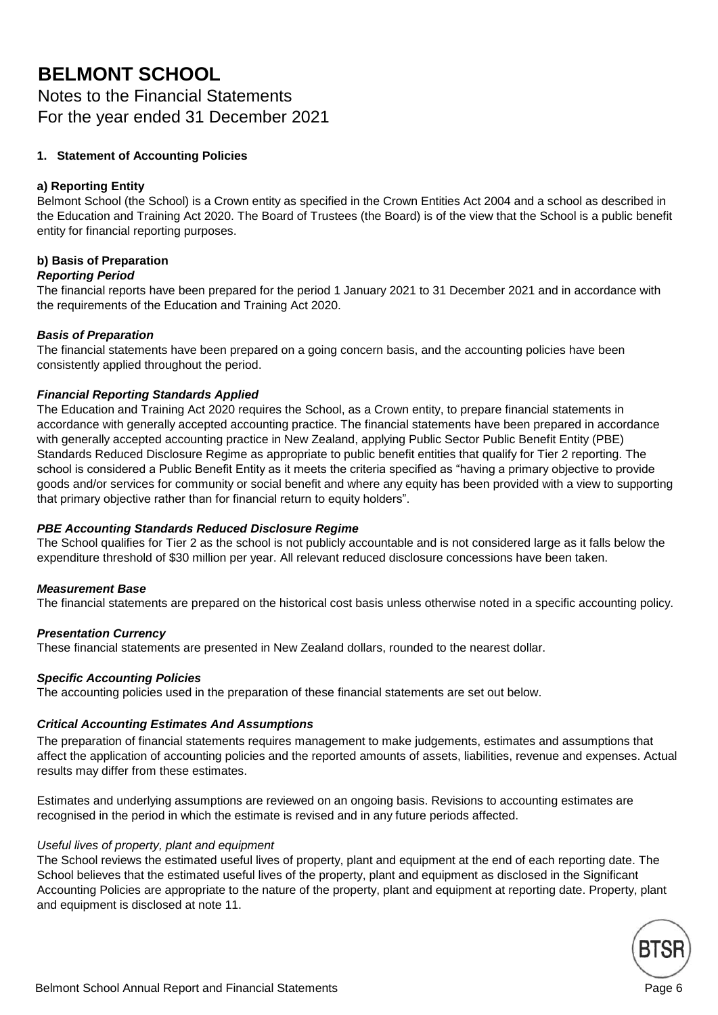Notes to the Financial Statements For the year ended 31 December 2021

#### **1. Statement of Accounting Policies**

#### **a) Reporting Entity**

Belmont School (the School) is a Crown entity as specified in the Crown Entities Act 2004 and a school as described in the Education and Training Act 2020. The Board of Trustees (the Board) is of the view that the School is a public benefit entity for financial reporting purposes.

#### **b) Basis of Preparation**

#### *Reporting Period*

The financial reports have been prepared for the period 1 January 2021 to 31 December 2021 and in accordance with the requirements of the Education and Training Act 2020.

#### *Basis of Preparation*

The financial statements have been prepared on a going concern basis, and the accounting policies have been consistently applied throughout the period.

#### *Financial Reporting Standards Applied*

The Education and Training Act 2020 requires the School, as a Crown entity, to prepare financial statements in accordance with generally accepted accounting practice. The financial statements have been prepared in accordance with generally accepted accounting practice in New Zealand, applying Public Sector Public Benefit Entity (PBE) Standards Reduced Disclosure Regime as appropriate to public benefit entities that qualify for Tier 2 reporting. The school is considered a Public Benefit Entity as it meets the criteria specified as "having a primary objective to provide goods and/or services for community or social benefit and where any equity has been provided with a view to supporting that primary objective rather than for financial return to equity holders".

#### *PBE Accounting Standards Reduced Disclosure Regime*

The School qualifies for Tier 2 as the school is not publicly accountable and is not considered large as it falls below the expenditure threshold of \$30 million per year. All relevant reduced disclosure concessions have been taken.

#### *Measurement Base*

The financial statements are prepared on the historical cost basis unless otherwise noted in a specific accounting policy.

#### *Presentation Currency*

These financial statements are presented in New Zealand dollars, rounded to the nearest dollar.

#### *Specific Accounting Policies*

The accounting policies used in the preparation of these financial statements are set out below.

#### *Critical Accounting Estimates And Assumptions*

The preparation of financial statements requires management to make judgements, estimates and assumptions that affect the application of accounting policies and the reported amounts of assets, liabilities, revenue and expenses. Actual results may differ from these estimates.

Estimates and underlying assumptions are reviewed on an ongoing basis. Revisions to accounting estimates are recognised in the period in which the estimate is revised and in any future periods affected.

#### *Useful lives of property, plant and equipment*

The School reviews the estimated useful lives of property, plant and equipment at the end of each reporting date. The School believes that the estimated useful lives of the property, plant and equipment as disclosed in the Significant Accounting Policies are appropriate to the nature of the property, plant and equipment at reporting date. Property, plant and equipment is disclosed at note 11.

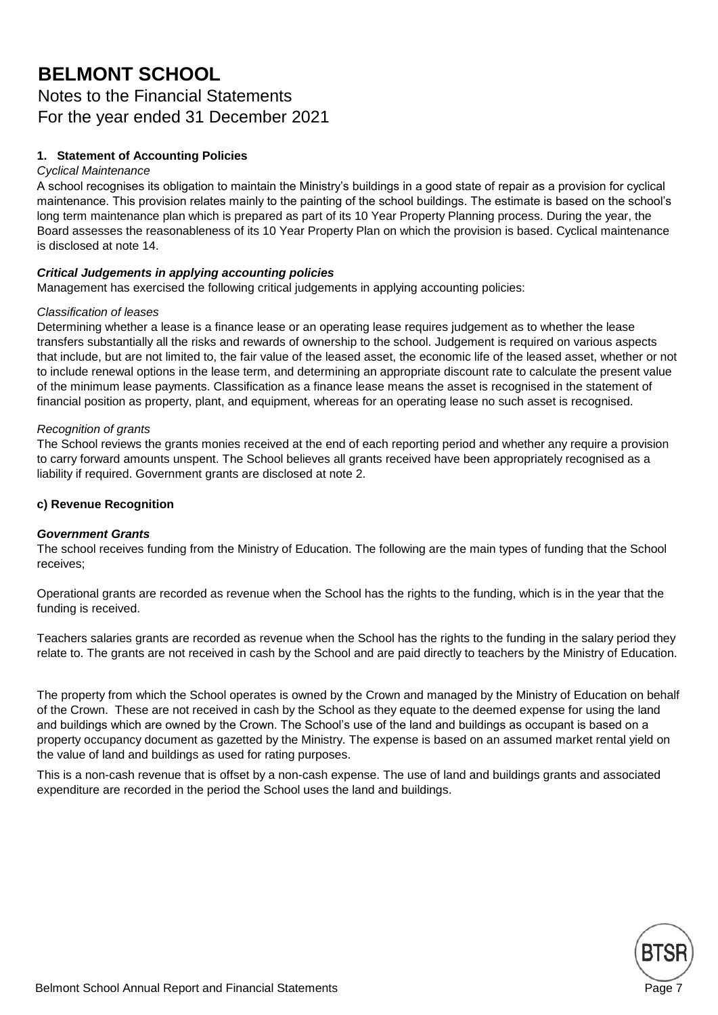### Notes to the Financial Statements For the year ended 31 December 2021

#### **1. Statement of Accounting Policies**

#### *Cyclical Maintenance*

A school recognises its obligation to maintain the Ministry's buildings in a good state of repair as a provision for cyclical maintenance. This provision relates mainly to the painting of the school buildings. The estimate is based on the school's long term maintenance plan which is prepared as part of its 10 Year Property Planning process. During the year, the Board assesses the reasonableness of its 10 Year Property Plan on which the provision is based. Cyclical maintenance is disclosed at note 14.

#### *Critical Judgements in applying accounting policies*

Management has exercised the following critical judgements in applying accounting policies:

#### *Classification of leases*

Determining whether a lease is a finance lease or an operating lease requires judgement as to whether the lease transfers substantially all the risks and rewards of ownership to the school. Judgement is required on various aspects that include, but are not limited to, the fair value of the leased asset, the economic life of the leased asset, whether or not to include renewal options in the lease term, and determining an appropriate discount rate to calculate the present value of the minimum lease payments. Classification as a finance lease means the asset is recognised in the statement of financial position as property, plant, and equipment, whereas for an operating lease no such asset is recognised.

#### *Recognition of grants*

The School reviews the grants monies received at the end of each reporting period and whether any require a provision to carry forward amounts unspent. The School believes all grants received have been appropriately recognised as a liability if required. Government grants are disclosed at note 2.

#### **c) Revenue Recognition**

#### *Government Grants*

The school receives funding from the Ministry of Education. The following are the main types of funding that the School receives;

Operational grants are recorded as revenue when the School has the rights to the funding, which is in the year that the funding is received.

Teachers salaries grants are recorded as revenue when the School has the rights to the funding in the salary period they relate to. The grants are not received in cash by the School and are paid directly to teachers by the Ministry of Education.

The property from which the School operates is owned by the Crown and managed by the Ministry of Education on behalf of the Crown. These are not received in cash by the School as they equate to the deemed expense for using the land and buildings which are owned by the Crown. The School's use of the land and buildings as occupant is based on a property occupancy document as gazetted by the Ministry. The expense is based on an assumed market rental yield on the value of land and buildings as used for rating purposes.

This is a non-cash revenue that is offset by a non-cash expense. The use of land and buildings grants and associated expenditure are recorded in the period the School uses the land and buildings.

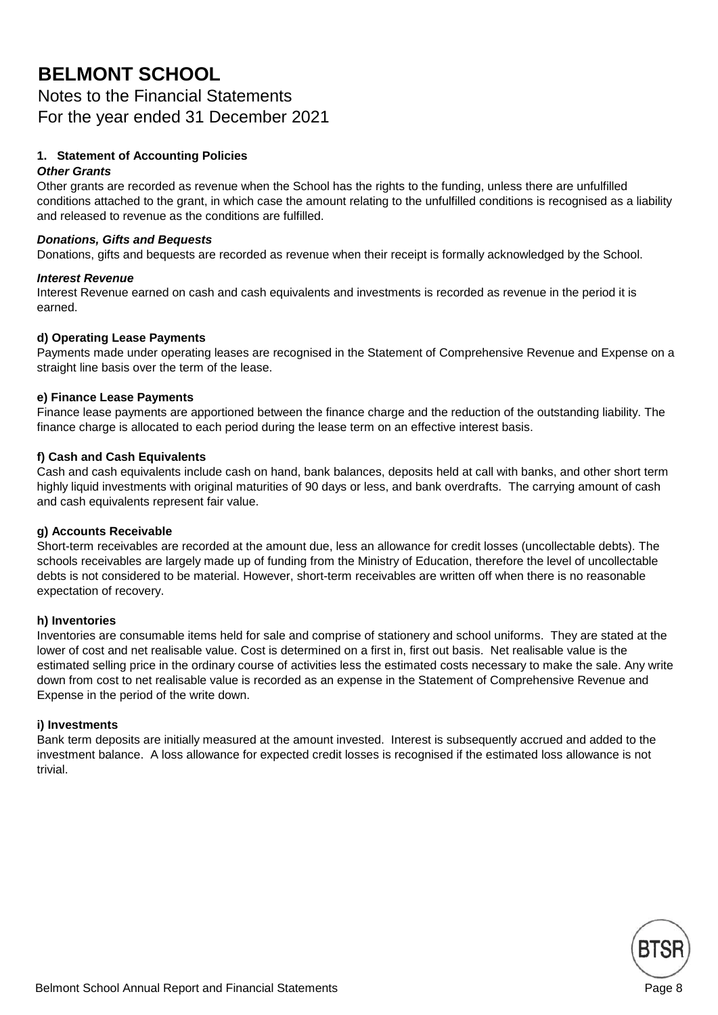Notes to the Financial Statements For the year ended 31 December 2021

#### **1. Statement of Accounting Policies**

#### *Other Grants*

Other grants are recorded as revenue when the School has the rights to the funding, unless there are unfulfilled conditions attached to the grant, in which case the amount relating to the unfulfilled conditions is recognised as a liability and released to revenue as the conditions are fulfilled.

#### *Donations, Gifts and Bequests*

Donations, gifts and bequests are recorded as revenue when their receipt is formally acknowledged by the School.

#### *Interest Revenue*

Interest Revenue earned on cash and cash equivalents and investments is recorded as revenue in the period it is earned.

#### **d) Operating Lease Payments**

Payments made under operating leases are recognised in the Statement of Comprehensive Revenue and Expense on a straight line basis over the term of the lease.

#### **e) Finance Lease Payments**

Finance lease payments are apportioned between the finance charge and the reduction of the outstanding liability. The finance charge is allocated to each period during the lease term on an effective interest basis.

#### **f) Cash and Cash Equivalents**

Cash and cash equivalents include cash on hand, bank balances, deposits held at call with banks, and other short term highly liquid investments with original maturities of 90 days or less, and bank overdrafts. The carrying amount of cash and cash equivalents represent fair value.

#### **g) Accounts Receivable**

Short-term receivables are recorded at the amount due, less an allowance for credit losses (uncollectable debts). The schools receivables are largely made up of funding from the Ministry of Education, therefore the level of uncollectable debts is not considered to be material. However, short-term receivables are written off when there is no reasonable expectation of recovery.

#### **h) Inventories**

Inventories are consumable items held for sale and comprise of stationery and school uniforms. They are stated at the lower of cost and net realisable value. Cost is determined on a first in, first out basis. Net realisable value is the estimated selling price in the ordinary course of activities less the estimated costs necessary to make the sale. Any write down from cost to net realisable value is recorded as an expense in the Statement of Comprehensive Revenue and Expense in the period of the write down.

#### **i) Investments**

Bank term deposits are initially measured at the amount invested. Interest is subsequently accrued and added to the investment balance. A loss allowance for expected credit losses is recognised if the estimated loss allowance is not trivial.

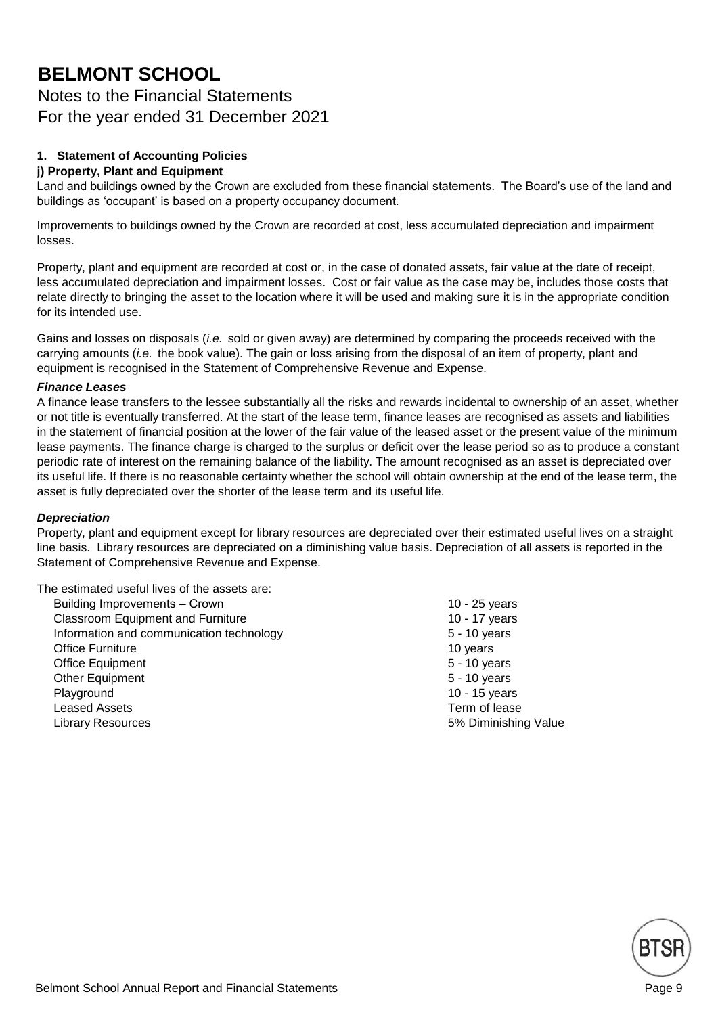### Notes to the Financial Statements For the year ended 31 December 2021

### **1. Statement of Accounting Policies**

#### **j) Property, Plant and Equipment**

Land and buildings owned by the Crown are excluded from these financial statements. The Board's use of the land and buildings as 'occupant' is based on a property occupancy document.

Improvements to buildings owned by the Crown are recorded at cost, less accumulated depreciation and impairment losses.

Property, plant and equipment are recorded at cost or, in the case of donated assets, fair value at the date of receipt, less accumulated depreciation and impairment losses. Cost or fair value as the case may be, includes those costs that relate directly to bringing the asset to the location where it will be used and making sure it is in the appropriate condition for its intended use.

Gains and losses on disposals (*i.e.* sold or given away) are determined by comparing the proceeds received with the carrying amounts (*i.e.* the book value). The gain or loss arising from the disposal of an item of property, plant and equipment is recognised in the Statement of Comprehensive Revenue and Expense.

#### *Finance Leases*

A finance lease transfers to the lessee substantially all the risks and rewards incidental to ownership of an asset, whether or not title is eventually transferred. At the start of the lease term, finance leases are recognised as assets and liabilities in the statement of financial position at the lower of the fair value of the leased asset or the present value of the minimum lease payments. The finance charge is charged to the surplus or deficit over the lease period so as to produce a constant periodic rate of interest on the remaining balance of the liability. The amount recognised as an asset is depreciated over its useful life. If there is no reasonable certainty whether the school will obtain ownership at the end of the lease term, the asset is fully depreciated over the shorter of the lease term and its useful life.

#### *Depreciation*

Property, plant and equipment except for library resources are depreciated over their estimated useful lives on a straight line basis. Library resources are depreciated on a diminishing value basis. Depreciation of all assets is reported in the Statement of Comprehensive Revenue and Expense.

The estimated useful lives of the assets are:

Building Improvements – Crown 10 - 25 years Classroom Equipment and Furniture 10 - 17 years 10 - 17 years Information and communication technology 5 - 10 years Office Furniture 10 years 10 years 10 years 10 years 10 years 10 years 10 years 10 years 10 years 10 years 10 years 10 years 10 years 10 years 10 years 10 years 10 years 10 years 10 years 10 years 10 years 10 years 10 year Office Equipment 6 - 10 years 3 - 10 years 3 - 10 years 3 - 10 years 3 - 10 years 3 - 10 years 3 - 10 years 3 - 10 years 3 - 10 years 3 - 10 years 3 - 10 years 3 - 10 years 3 - 10 years 3 - 10 years 3 - 10 years 3 - 10 yea Other Equipment 5 - 10 years Playground 10 - 15 years 10 - 15 years 10 - 15 years 10 - 15 years 10 - 15 years 10 - 15 years 10 - 15 years 10 - 15 years 10 - 15 years 10 - 15 years 10 - 15 years 10 - 15 years 10 - 15 years 10 - 15 years 10 - 15 years 1 Leased Assets Term of lease Library Resources 5% Diminishing Value

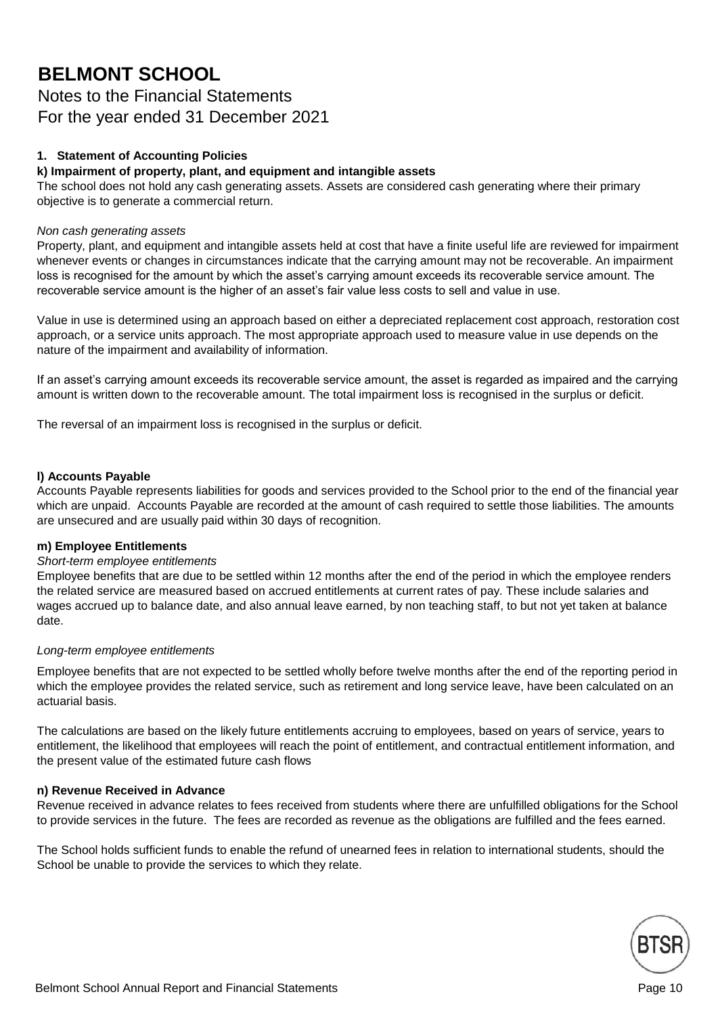Notes to the Financial Statements For the year ended 31 December 2021

#### **1. Statement of Accounting Policies**

#### **k) Impairment of property, plant, and equipment and intangible assets**

The school does not hold any cash generating assets. Assets are considered cash generating where their primary objective is to generate a commercial return.

#### *Non cash generating assets*

Property, plant, and equipment and intangible assets held at cost that have a finite useful life are reviewed for impairment whenever events or changes in circumstances indicate that the carrying amount may not be recoverable. An impairment loss is recognised for the amount by which the asset's carrying amount exceeds its recoverable service amount. The recoverable service amount is the higher of an asset's fair value less costs to sell and value in use.

Value in use is determined using an approach based on either a depreciated replacement cost approach, restoration cost approach, or a service units approach. The most appropriate approach used to measure value in use depends on the nature of the impairment and availability of information.

If an asset's carrying amount exceeds its recoverable service amount, the asset is regarded as impaired and the carrying amount is written down to the recoverable amount. The total impairment loss is recognised in the surplus or deficit.

The reversal of an impairment loss is recognised in the surplus or deficit.

#### **l) Accounts Payable**

Accounts Payable represents liabilities for goods and services provided to the School prior to the end of the financial year which are unpaid. Accounts Payable are recorded at the amount of cash required to settle those liabilities. The amounts are unsecured and are usually paid within 30 days of recognition.

#### **m) Employee Entitlements**

#### *Short-term employee entitlements*

Employee benefits that are due to be settled within 12 months after the end of the period in which the employee renders the related service are measured based on accrued entitlements at current rates of pay. These include salaries and wages accrued up to balance date, and also annual leave earned, by non teaching staff, to but not yet taken at balance date.

#### *Long-term employee entitlements*

Employee benefits that are not expected to be settled wholly before twelve months after the end of the reporting period in which the employee provides the related service, such as retirement and long service leave, have been calculated on an actuarial basis.

The calculations are based on the likely future entitlements accruing to employees, based on years of service, years to entitlement, the likelihood that employees will reach the point of entitlement, and contractual entitlement information, and the present value of the estimated future cash flows

#### **n) Revenue Received in Advance**

Revenue received in advance relates to fees received from students where there are unfulfilled obligations for the School to provide services in the future. The fees are recorded as revenue as the obligations are fulfilled and the fees earned.

The School holds sufficient funds to enable the refund of unearned fees in relation to international students, should the School be unable to provide the services to which they relate.

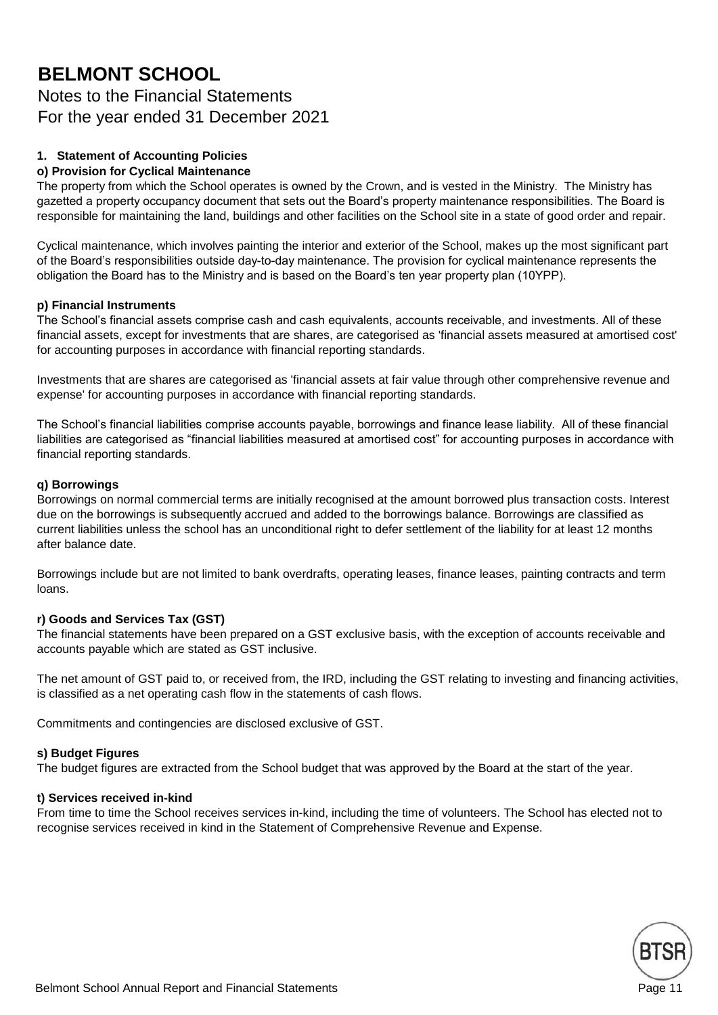### Notes to the Financial Statements For the year ended 31 December 2021

#### **1. Statement of Accounting Policies**

#### **o) Provision for Cyclical Maintenance**

The property from which the School operates is owned by the Crown, and is vested in the Ministry. The Ministry has gazetted a property occupancy document that sets out the Board's property maintenance responsibilities. The Board is responsible for maintaining the land, buildings and other facilities on the School site in a state of good order and repair.

Cyclical maintenance, which involves painting the interior and exterior of the School, makes up the most significant part of the Board's responsibilities outside day-to-day maintenance. The provision for cyclical maintenance represents the obligation the Board has to the Ministry and is based on the Board's ten year property plan (10YPP).

#### **p) Financial Instruments**

The School's financial assets comprise cash and cash equivalents, accounts receivable, and investments. All of these financial assets, except for investments that are shares, are categorised as 'financial assets measured at amortised cost' for accounting purposes in accordance with financial reporting standards.

Investments that are shares are categorised as 'financial assets at fair value through other comprehensive revenue and expense' for accounting purposes in accordance with financial reporting standards.

The School's financial liabilities comprise accounts payable, borrowings and finance lease liability. All of these financial liabilities are categorised as "financial liabilities measured at amortised cost" for accounting purposes in accordance with financial reporting standards.

#### **q) Borrowings**

Borrowings on normal commercial terms are initially recognised at the amount borrowed plus transaction costs. Interest due on the borrowings is subsequently accrued and added to the borrowings balance. Borrowings are classified as current liabilities unless the school has an unconditional right to defer settlement of the liability for at least 12 months after balance date.

Borrowings include but are not limited to bank overdrafts, operating leases, finance leases, painting contracts and term loans.

#### **r) Goods and Services Tax (GST)**

The financial statements have been prepared on a GST exclusive basis, with the exception of accounts receivable and accounts payable which are stated as GST inclusive.

The net amount of GST paid to, or received from, the IRD, including the GST relating to investing and financing activities, is classified as a net operating cash flow in the statements of cash flows.

Commitments and contingencies are disclosed exclusive of GST.

#### **s) Budget Figures**

The budget figures are extracted from the School budget that was approved by the Board at the start of the year.

#### **t) Services received in-kind**

From time to time the School receives services in-kind, including the time of volunteers. The School has elected not to recognise services received in kind in the Statement of Comprehensive Revenue and Expense.

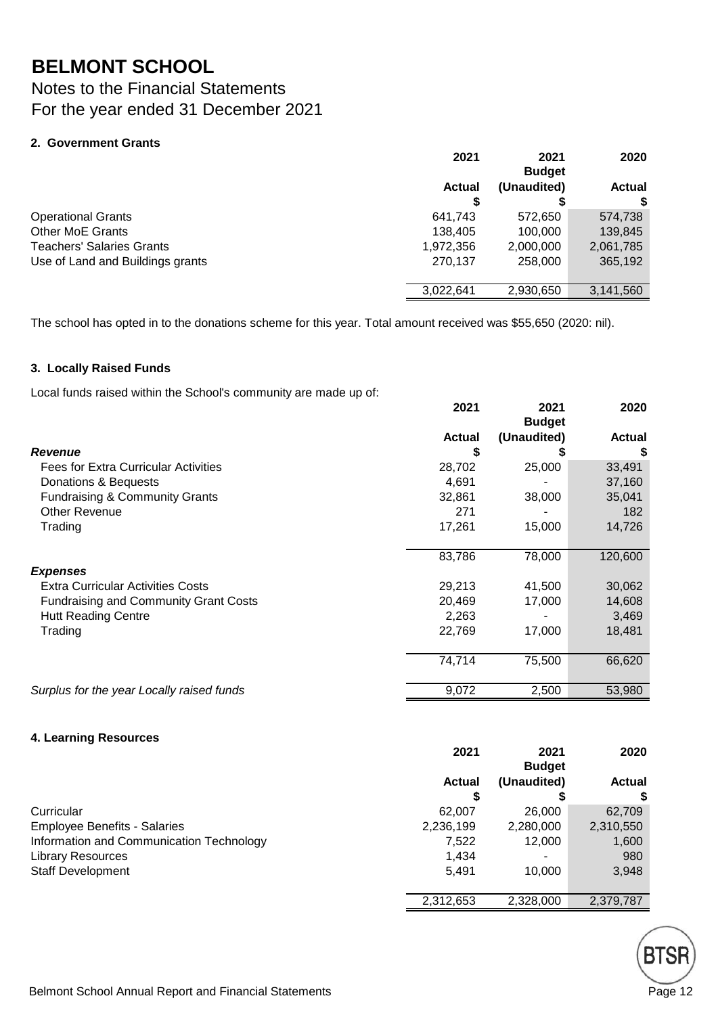Notes to the Financial Statements For the year ended 31 December 2021

#### **2. Government Grants**

|                                  | 2021          | 2021<br><b>Budget</b> |               |  | 2020 |
|----------------------------------|---------------|-----------------------|---------------|--|------|
|                                  | <b>Actual</b> | (Unaudited)           | <b>Actual</b> |  |      |
|                                  |               | S                     | S             |  |      |
| <b>Operational Grants</b>        | 641,743       | 572,650               | 574,738       |  |      |
| <b>Other MoE Grants</b>          | 138.405       | 100,000               | 139,845       |  |      |
| Teachers' Salaries Grants        | 1,972,356     | 2,000,000             | 2,061,785     |  |      |
| Use of Land and Buildings grants | 270,137       | 258,000               | 365,192       |  |      |
|                                  | 3,022,641     | 2,930,650             | 3,141,560     |  |      |

The school has opted in to the donations scheme for this year. Total amount received was \$55,650 (2020: nil).

#### **3. Locally Raised Funds**

Local funds raised within the School's community are made up of:

|                                              | 2021          | 2021<br><b>Budget</b> | 2020          |
|----------------------------------------------|---------------|-----------------------|---------------|
|                                              | <b>Actual</b> | (Unaudited)           | <b>Actual</b> |
| <b>Revenue</b>                               | S             |                       | \$            |
| <b>Fees for Extra Curricular Activities</b>  | 28,702        | 25,000                | 33,491        |
| Donations & Bequests                         | 4,691         |                       | 37,160        |
| <b>Fundraising &amp; Community Grants</b>    | 32,861        | 38,000                | 35,041        |
| Other Revenue                                | 271           |                       | 182           |
| Trading                                      | 17,261        | 15,000                | 14,726        |
|                                              | 83,786        | 78,000                | 120,600       |
| <b>Expenses</b>                              |               |                       |               |
| <b>Extra Curricular Activities Costs</b>     | 29,213        | 41,500                | 30,062        |
| <b>Fundraising and Community Grant Costs</b> | 20,469        | 17,000                | 14,608        |
| <b>Hutt Reading Centre</b>                   | 2,263         |                       | 3,469         |
| Trading                                      | 22,769        | 17,000                | 18,481        |
|                                              | 74,714        | 75,500                | 66,620        |
| Surplus for the year Locally raised funds    | 9,072         | 2,500                 | 53,980        |

#### **4. Learning Resources**

|                                          | 2021          | 2021<br><b>Budget</b> | 2020          |
|------------------------------------------|---------------|-----------------------|---------------|
|                                          | <b>Actual</b> | (Unaudited)           | <b>Actual</b> |
|                                          |               |                       |               |
| Curricular                               | 62,007        | 26,000                | 62,709        |
| <b>Employee Benefits - Salaries</b>      | 2,236,199     | 2,280,000             | 2,310,550     |
| Information and Communication Technology | 7,522         | 12,000                | 1,600         |
| <b>Library Resources</b>                 | 1,434         |                       | 980           |
| <b>Staff Development</b>                 | 5.491         | 10.000                | 3,948         |
|                                          | 2,312,653     | 2,328,000             | 2,379,787     |

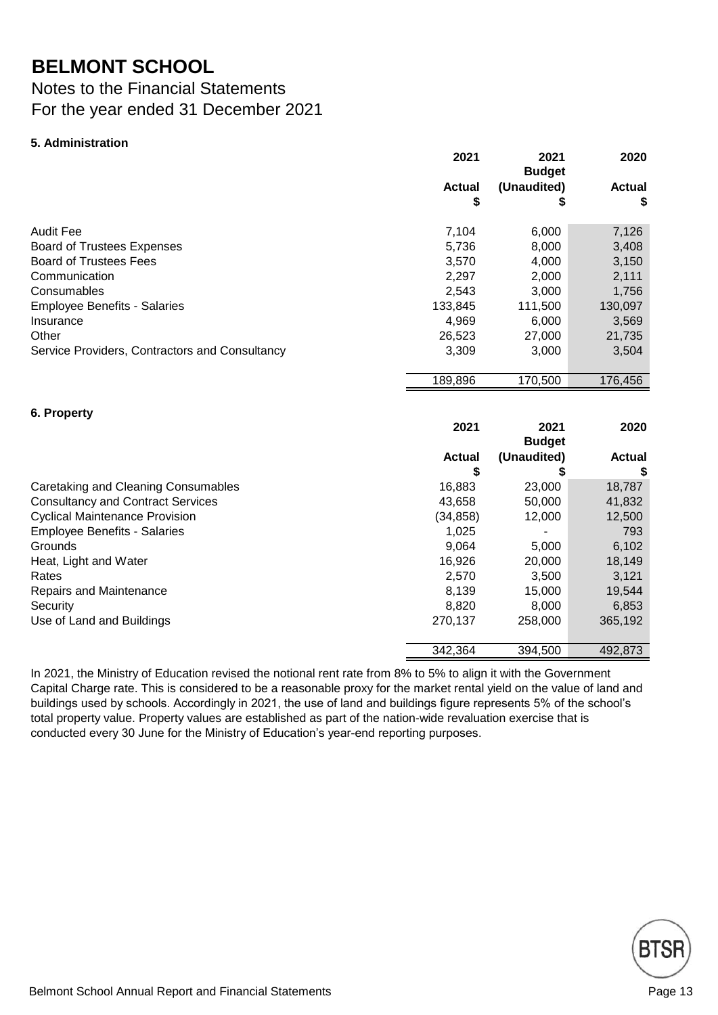### Notes to the Financial Statements For the year ended 31 December 2021

#### **5. Administration**

**6. Property**

| 2021                | 2021<br><b>Budget</b> | 2020                |
|---------------------|-----------------------|---------------------|
| <b>Actual</b><br>\$ | (Unaudited)<br>\$     | <b>Actual</b><br>\$ |
| 7,104               | 6,000                 | 7,126               |
| 5,736               | 8,000                 | 3,408               |
| 3,570               | 4,000                 | 3,150               |
| 2,297               | 2,000                 | 2,111               |
| 2,543               | 3,000                 | 1,756               |
| 133,845             | 111,500               | 130,097             |
| 4,969               | 6,000                 | 3,569               |
| 26,523              | 27,000                | 21,735              |
| 3,309               | 3,000                 | 3,504               |
| 189,896             | 170,500               | 176,456             |
|                     |                       |                     |

|                                          | 2021          | 2021<br><b>Budget</b> |               |
|------------------------------------------|---------------|-----------------------|---------------|
|                                          | <b>Actual</b> | (Unaudited)           | <b>Actual</b> |
|                                          | S             |                       | \$            |
| Caretaking and Cleaning Consumables      | 16,883        | 23,000                | 18,787        |
| <b>Consultancy and Contract Services</b> | 43,658        | 50,000                | 41,832        |
| <b>Cyclical Maintenance Provision</b>    | (34, 858)     | 12,000                | 12,500        |
| <b>Employee Benefits - Salaries</b>      | 1,025         | ۰                     | 793           |
| Grounds                                  | 9,064         | 5,000                 | 6,102         |
| Heat, Light and Water                    | 16,926        | 20,000                | 18,149        |
| Rates                                    | 2,570         | 3,500                 | 3,121         |
| Repairs and Maintenance                  | 8,139         | 15,000                | 19,544        |
| Security                                 | 8,820         | 8,000                 | 6,853         |
| Use of Land and Buildings                | 270,137       | 258,000               | 365,192       |
|                                          | 342.364       | 394,500               | 492,873       |

In 2021, the Ministry of Education revised the notional rent rate from 8% to 5% to align it with the Government Capital Charge rate. This is considered to be a reasonable proxy for the market rental yield on the value of land and buildings used by schools. Accordingly in 2021, the use of land and buildings figure represents 5% of the school's total property value. Property values are established as part of the nation-wide revaluation exercise that is conducted every 30 June for the Ministry of Education's year-end reporting purposes.

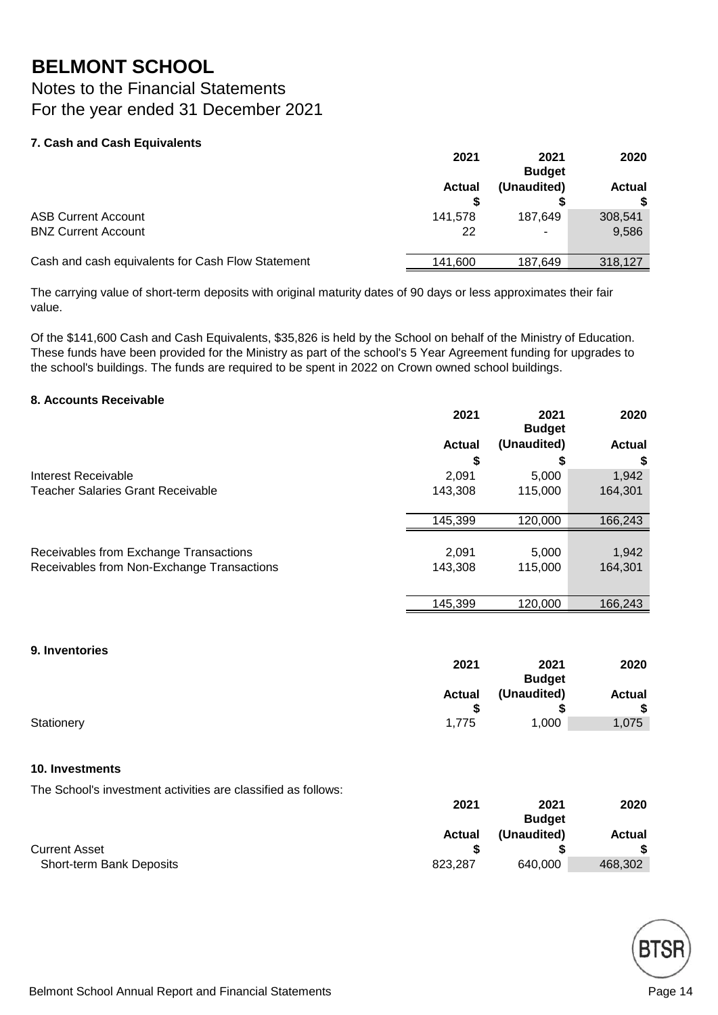Notes to the Financial Statements For the year ended 31 December 2021

#### **7. Cash and Cash Equivalents**

|                                                   | 2021          | 2021<br><b>Budget</b> | 2020          |
|---------------------------------------------------|---------------|-----------------------|---------------|
|                                                   | <b>Actual</b> | (Unaudited)           | <b>Actual</b> |
| <b>ASB Current Account</b>                        | 141.578       | 187.649               | 308,541       |
| <b>BNZ Current Account</b>                        | 22            |                       | 9,586         |
| Cash and cash equivalents for Cash Flow Statement | 141.600       | 187.649               | 318,127       |

The carrying value of short-term deposits with original maturity dates of 90 days or less approximates their fair value.

Of the \$141,600 Cash and Cash Equivalents, \$35,826 is held by the School on behalf of the Ministry of Education. These funds have been provided for the Ministry as part of the school's 5 Year Agreement funding for upgrades to the school's buildings. The funds are required to be spent in 2022 on Crown owned school buildings.

#### **8. Accounts Receivable**

| (Unaudited)<br>S | <b>Actual</b> |
|------------------|---------------|
|                  |               |
|                  | S             |
| 5,000            | 1,942         |
| 115,000          | 164,301       |
| 120,000          | 166,243       |
| 5,000            | 1,942         |
| 115,000          | 164,301       |
| 120,000          | 166,243       |
|                  |               |

#### **9. Inventories**

|            | 2021          | 2021          | 2020          |
|------------|---------------|---------------|---------------|
|            |               | <b>Budget</b> |               |
|            | <b>Actual</b> | (Unaudited)   | <b>Actual</b> |
|            |               |               | \$            |
| Stationery | 1.775         | 1,000         | 1,075         |

#### **10. Investments**

The School's investment activities are classified as follows:

|                          | 2021          | 2021          | 2020          |
|--------------------------|---------------|---------------|---------------|
|                          |               | <b>Budget</b> |               |
|                          | <b>Actual</b> | (Unaudited)   | <b>Actual</b> |
| <b>Current Asset</b>     |               |               |               |
| Short-term Bank Deposits | 823.287       | 640.000       | 468,302       |

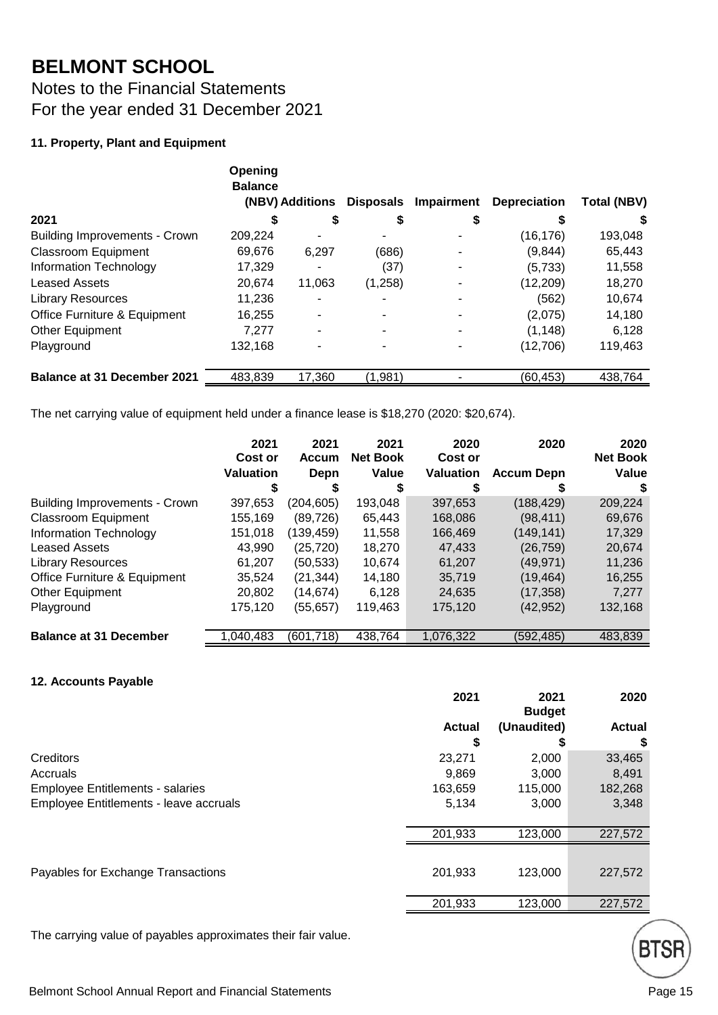Notes to the Financial Statements For the year ended 31 December 2021

#### **11. Property, Plant and Equipment**

|                                      | Opening<br><b>Balance</b> | (NBV) Additions | Disposals | Impairment | <b>Depreciation</b> | <b>Total (NBV)</b> |
|--------------------------------------|---------------------------|-----------------|-----------|------------|---------------------|--------------------|
| 2021                                 | S                         | S               | S         |            |                     | S                  |
| <b>Building Improvements - Crown</b> | 209,224                   |                 |           |            | (16, 176)           | 193,048            |
| <b>Classroom Equipment</b>           | 69,676                    | 6,297           | (686)     |            | (9,844)             | 65,443             |
| Information Technology               | 17,329                    |                 | (37)      |            | (5,733)             | 11,558             |
| <b>Leased Assets</b>                 | 20,674                    | 11,063          | (1,258)   |            | (12, 209)           | 18,270             |
| <b>Library Resources</b>             | 11,236                    |                 |           |            | (562)               | 10,674             |
| Office Furniture & Equipment         | 16,255                    |                 |           |            | (2,075)             | 14,180             |
| <b>Other Equipment</b>               | 7,277                     |                 |           |            | (1, 148)            | 6,128              |
| Playground                           | 132,168                   |                 |           |            | (12,706)            | 119,463            |
| <b>Balance at 31 December 2021</b>   | 483,839                   | 17,360          | (1,981)   |            | (60,453)            | 438,764            |

The net carrying value of equipment held under a finance lease is \$18,270 (2020: \$20,674).

|                                      | 2021<br>Cost or  | 2021<br><b>Accum</b> | 2021<br><b>Net Book</b> | 2020<br>Cost or  | 2020              | 2020<br><b>Net Book</b> |
|--------------------------------------|------------------|----------------------|-------------------------|------------------|-------------------|-------------------------|
|                                      | <b>Valuation</b> | Depn                 | <b>Value</b>            | <b>Valuation</b> | <b>Accum Depn</b> | Value                   |
|                                      |                  |                      |                         |                  |                   | S                       |
| <b>Building Improvements - Crown</b> | 397,653          | (204, 605)           | 193,048                 | 397,653          | (188,429)         | 209,224                 |
| <b>Classroom Equipment</b>           | 155,169          | (89, 726)            | 65,443                  | 168,086          | (98, 411)         | 69,676                  |
| Information Technology               | 151,018          | (139,459)            | 11,558                  | 166,469          | (149,141)         | 17,329                  |
| <b>Leased Assets</b>                 | 43,990           | (25, 720)            | 18,270                  | 47,433           | (26, 759)         | 20,674                  |
| <b>Library Resources</b>             | 61,207           | (50,533)             | 10,674                  | 61,207           | (49, 971)         | 11,236                  |
| Office Furniture & Equipment         | 35.524           | (21, 344)            | 14.180                  | 35.719           | (19, 464)         | 16,255                  |
| Other Equipment                      | 20,802           | (14, 674)            | 6.128                   | 24,635           | (17, 358)         | 7.277                   |
| Playground                           | 175,120          | (55,657)             | 119,463                 | 175,120          | (42, 952)         | 132,168                 |
| <b>Balance at 31 December</b>        | 1.040.483        | (601, 718)           | 438.764                 | 1,076,322        | (592,485)         | 483,839                 |

#### **12. Accounts Payable**

|                                         | 2021          | 2021<br><b>Budget</b> | 2020          |
|-----------------------------------------|---------------|-----------------------|---------------|
|                                         | <b>Actual</b> | (Unaudited)           | <b>Actual</b> |
|                                         | S             |                       | \$            |
| Creditors                               | 23,271        | 2,000                 | 33,465        |
| Accruals                                | 9,869         | 3,000                 | 8,491         |
| <b>Employee Entitlements - salaries</b> | 163,659       | 115,000               | 182,268       |
| Employee Entitlements - leave accruals  | 5,134         | 3,000                 | 3,348         |
|                                         | 201,933       | 123,000               | 227,572       |
| Payables for Exchange Transactions      | 201,933       | 123,000               | 227,572       |
|                                         | 201,933       | 123,000               | 227,572       |

The carrying value of payables approximates their fair value.

**BTSI**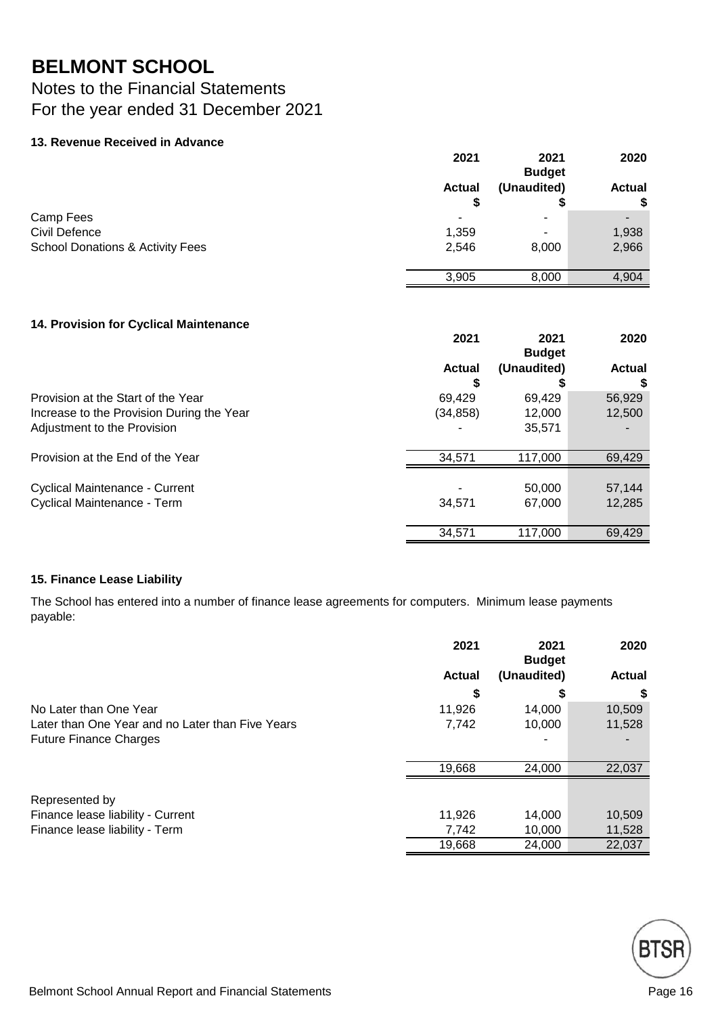### Notes to the Financial Statements For the year ended 31 December 2021

#### **13. Revenue Received in Advance**

|                                             | 2021               | 2021<br><b>Budget</b> | 2020                |
|---------------------------------------------|--------------------|-----------------------|---------------------|
|                                             | <b>Actual</b><br>S | (Unaudited)           | <b>Actual</b><br>\$ |
| Camp Fees                                   |                    | -                     |                     |
| Civil Defence                               | 1,359              | -                     | 1,938               |
| <b>School Donations &amp; Activity Fees</b> | 2,546              | 8,000                 | 2,966               |
|                                             | 3,905              | 8,000                 | 4,904               |

#### **14. Provision for Cyclical Maintenance**

|                                                                                 | 2021                | 2021<br><b>Budget</b> | 2020             |
|---------------------------------------------------------------------------------|---------------------|-----------------------|------------------|
|                                                                                 | <b>Actual</b>       | (Unaudited)           | <b>Actual</b>    |
| Provision at the Start of the Year<br>Increase to the Provision During the Year | 69.429<br>(34, 858) | 69.429<br>12,000      | 56,929<br>12,500 |
| Adjustment to the Provision                                                     |                     | 35,571                |                  |
| Provision at the End of the Year                                                | 34,571              | 117,000               | 69,429           |
| Cyclical Maintenance - Current<br>Cyclical Maintenance - Term                   | 34,571              | 50,000<br>67,000      | 57,144<br>12,285 |
|                                                                                 | 34.571              | 117.000               | 69,429           |

#### **15. Finance Lease Liability**

The School has entered into a number of finance lease agreements for computers. Minimum lease payments payable:

|                                                  | 2021          | 2021<br><b>Budget</b> | 2020          |
|--------------------------------------------------|---------------|-----------------------|---------------|
|                                                  | <b>Actual</b> | (Unaudited)           | <b>Actual</b> |
|                                                  | S             | ъ                     | \$            |
| No Later than One Year                           | 11,926        | 14.000                | 10,509        |
| Later than One Year and no Later than Five Years | 7,742         | 10,000                | 11,528        |
| <b>Future Finance Charges</b>                    |               |                       |               |
|                                                  | 19,668        | 24,000                | 22,037        |
| Represented by                                   |               |                       |               |
| Finance lease liability - Current                | 11,926        | 14.000                | 10,509        |
| Finance lease liability - Term                   | 7,742         | 10.000                | 11,528        |
|                                                  | 19,668        | 24,000                | 22,037        |

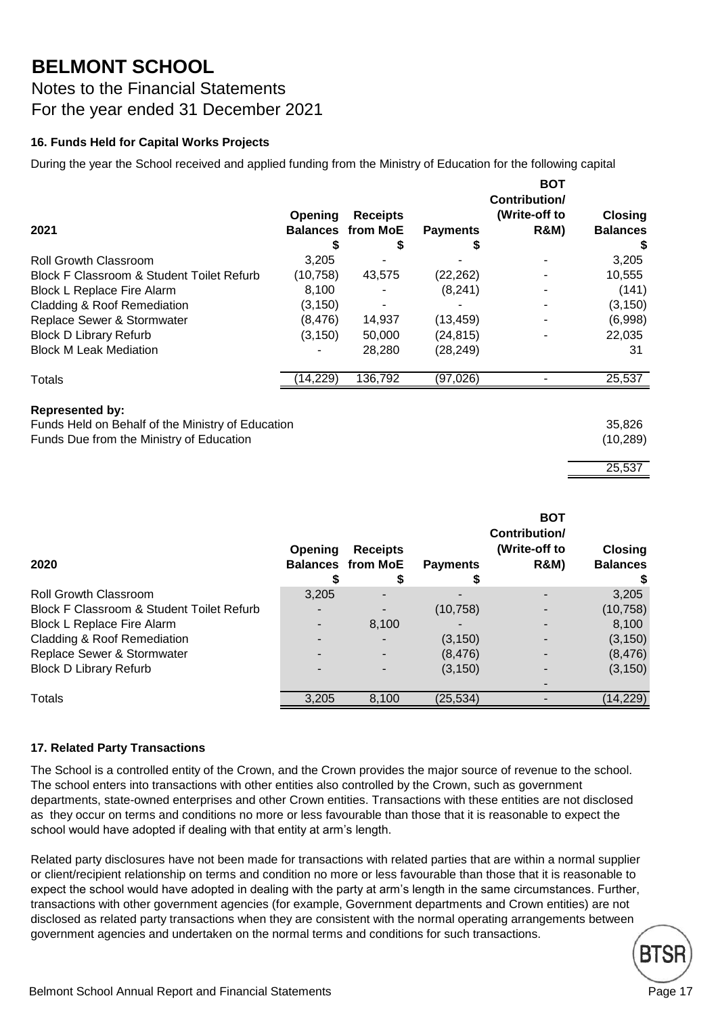Notes to the Financial Statements For the year ended 31 December 2021

#### **16. Funds Held for Capital Works Projects**

During the year the School received and applied funding from the Ministry of Education for the following capital

|                                           |          |                          |                 | <b>BOT</b><br>Contribution/ |                 |
|-------------------------------------------|----------|--------------------------|-----------------|-----------------------------|-----------------|
|                                           | Opening  | <b>Receipts</b>          |                 | (Write-off to               | <b>Closing</b>  |
| 2021                                      |          | <b>Balances from MoE</b> | <b>Payments</b> | <b>R&amp;M)</b>             | <b>Balances</b> |
|                                           |          |                          |                 |                             |                 |
| <b>Roll Growth Classroom</b>              | 3.205    |                          |                 |                             | 3,205           |
| Block F Classroom & Student Toilet Refurb | (10,758) | 43,575                   | (22, 262)       |                             | 10,555          |
| <b>Block L Replace Fire Alarm</b>         | 8,100    |                          | (8, 241)        |                             | (141)           |
| Cladding & Roof Remediation               | (3,150)  |                          |                 |                             | (3, 150)        |
| Replace Sewer & Stormwater                | (8, 476) | 14.937                   | (13, 459)       |                             | (6,998)         |
| <b>Block D Library Refurb</b>             | (3, 150) | 50,000                   | (24, 815)       |                             | 22,035          |
| <b>Block M Leak Mediation</b>             |          | 28,280                   | (28, 249)       |                             | 31              |
| Totals                                    | 14,229)  | 136,792                  | (97,026)        |                             | 25,537          |
|                                           |          |                          |                 |                             |                 |

#### **Represented by:**

Funds Held on Behalf of the Ministry of Education 35,826 Funds Due from the Ministry of Education (10,289)

#### 25,537

| 2020                                      | Opening | <b>Receipts</b><br><b>Balances from MoE</b> | <b>Payments</b> | <b>BOT</b><br>Contribution/<br>(Write-off to<br><b>R&amp;M)</b> | <b>Closing</b><br><b>Balances</b> |
|-------------------------------------------|---------|---------------------------------------------|-----------------|-----------------------------------------------------------------|-----------------------------------|
| <b>Roll Growth Classroom</b>              | 3,205   |                                             |                 |                                                                 | 3,205                             |
| Block F Classroom & Student Toilet Refurb |         |                                             | (10, 758)       |                                                                 | (10, 758)                         |
| <b>Block L Replace Fire Alarm</b>         |         | 8,100                                       |                 |                                                                 | 8,100                             |
| Cladding & Roof Remediation               |         |                                             | (3, 150)        |                                                                 | (3, 150)                          |
| Replace Sewer & Stormwater                |         |                                             | (8, 476)        |                                                                 | (8, 476)                          |
| <b>Block D Library Refurb</b>             |         |                                             | (3, 150)        |                                                                 | (3, 150)                          |
|                                           |         |                                             |                 |                                                                 |                                   |
| Totals                                    | 3,205   | 8,100                                       | (25, 534)       |                                                                 | (14, 229)                         |

#### **17. Related Party Transactions**

The School is a controlled entity of the Crown, and the Crown provides the major source of revenue to the school. The school enters into transactions with other entities also controlled by the Crown, such as government departments, state-owned enterprises and other Crown entities. Transactions with these entities are not disclosed as they occur on terms and conditions no more or less favourable than those that it is reasonable to expect the school would have adopted if dealing with that entity at arm's length.

Related party disclosures have not been made for transactions with related parties that are within a normal supplier or client/recipient relationship on terms and condition no more or less favourable than those that it is reasonable to expect the school would have adopted in dealing with the party at arm's length in the same circumstances. Further, transactions with other government agencies (for example, Government departments and Crown entities) are not disclosed as related party transactions when they are consistent with the normal operating arrangements between government agencies and undertaken on the normal terms and conditions for such transactions.

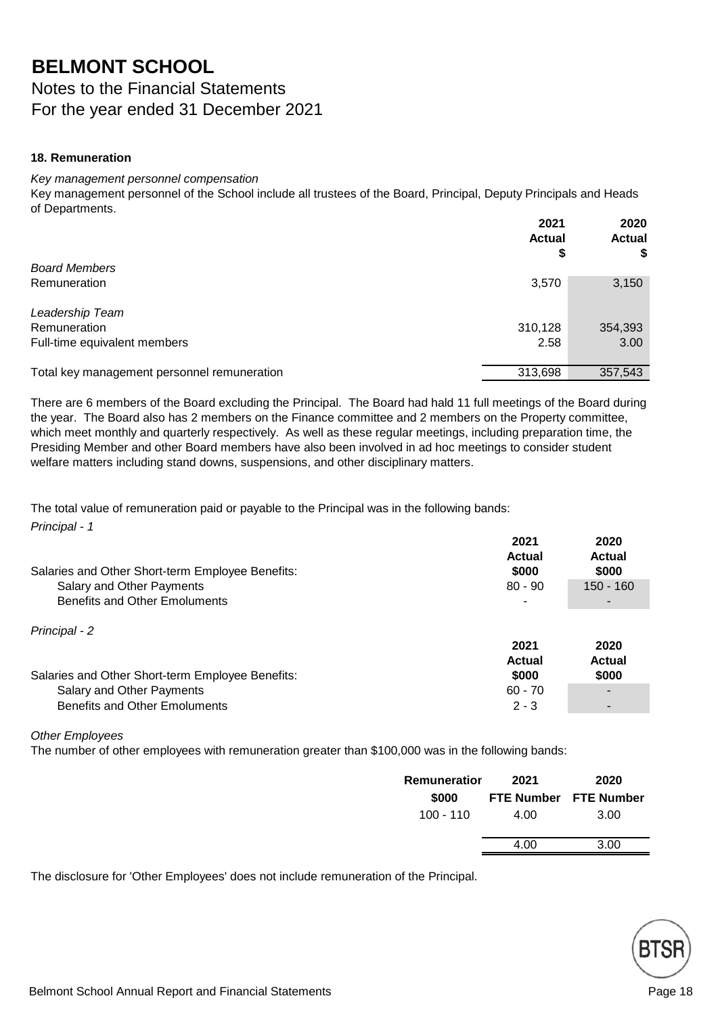Notes to the Financial Statements For the year ended 31 December 2021

#### **18. Remuneration**

#### *Key management personnel compensation*

Key management personnel of the School include all trustees of the Board, Principal, Deputy Principals and Heads of Departments.

|                                             | 2021<br><b>Actual</b><br>\$ | 2020<br><b>Actual</b><br>\$ |
|---------------------------------------------|-----------------------------|-----------------------------|
| <b>Board Members</b>                        |                             |                             |
| Remuneration                                | 3,570                       | 3,150                       |
| Leadership Team                             |                             |                             |
| Remuneration                                | 310,128                     | 354,393                     |
| Full-time equivalent members                | 2.58                        | 3.00                        |
| Total key management personnel remuneration | 313,698                     | 357,543                     |

There are 6 members of the Board excluding the Principal. The Board had hald 11 full meetings of the Board during the year. The Board also has 2 members on the Finance committee and 2 members on the Property committee, which meet monthly and quarterly respectively. As well as these regular meetings, including preparation time, the Presiding Member and other Board members have also been involved in ad hoc meetings to consider student welfare matters including stand downs, suspensions, and other disciplinary matters.

*Principal - 1* The total value of remuneration paid or payable to the Principal was in the following bands:

| Salaries and Other Short-term Employee Benefits:                  | 2021<br>Actual<br>\$000 | 2020<br><b>Actual</b><br>\$000 |
|-------------------------------------------------------------------|-------------------------|--------------------------------|
| Salary and Other Payments<br><b>Benefits and Other Emoluments</b> | $80 - 90$               | $150 - 160$                    |
| Principal - 2                                                     | 2021<br><b>Actual</b>   | 2020<br><b>Actual</b>          |
| Salaries and Other Short-term Employee Benefits:                  | \$000                   | \$000                          |
| Salary and Other Payments                                         | $60 - 70$               |                                |
| <b>Benefits and Other Emoluments</b>                              | $2 - 3$                 |                                |

#### *Other Employees*

The number of other employees with remuneration greater than \$100,000 was in the following bands:

| Remuneratior | 2021 | 2020                         |
|--------------|------|------------------------------|
| \$000        |      | <b>FTE Number</b> FTE Number |
| 100 - 110    | 4.00 | 3.00                         |
|              | 4.00 | 3.00                         |

The disclosure for 'Other Employees' does not include remuneration of the Principal.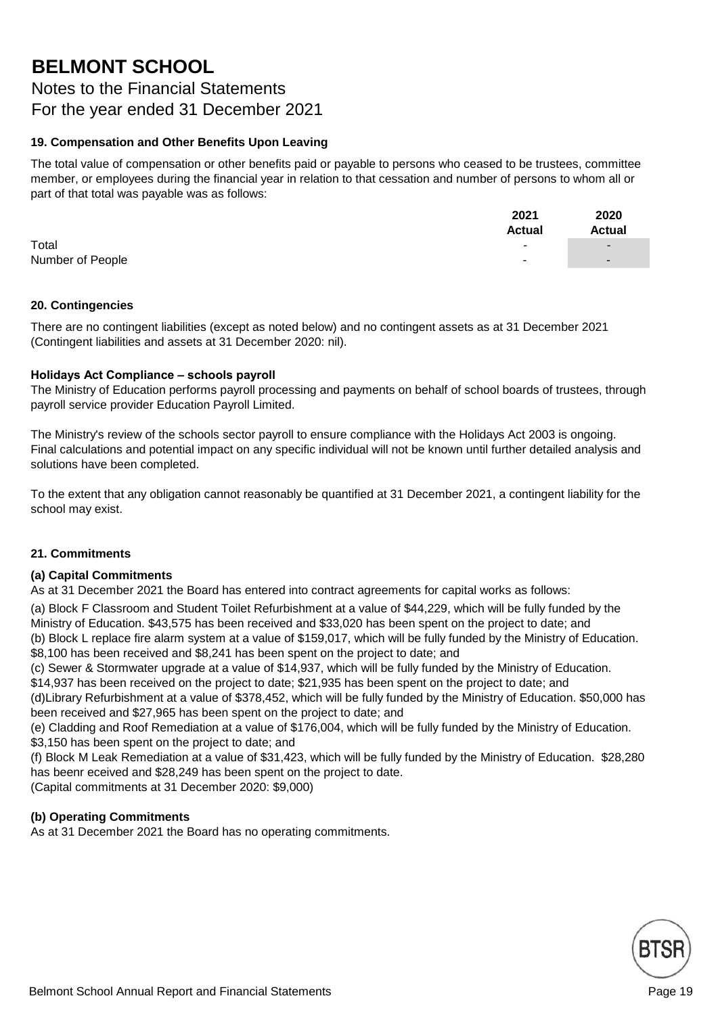Notes to the Financial Statements For the year ended 31 December 2021

#### **19. Compensation and Other Benefits Upon Leaving**

The total value of compensation or other benefits paid or payable to persons who ceased to be trustees, committee member, or employees during the financial year in relation to that cessation and number of persons to whom all or part of that total was payable was as follows:

|                  | 2021          | 2020                     |
|------------------|---------------|--------------------------|
|                  | <b>Actual</b> | Actual                   |
| Total            |               | $\overline{\phantom{0}}$ |
| Number of People | $\sim$        | $\overline{\phantom{0}}$ |
|                  |               |                          |

#### **20. Contingencies**

There are no contingent liabilities (except as noted below) and no contingent assets as at 31 December 2021 (Contingent liabilities and assets at 31 December 2020: nil).

#### **Holidays Act Compliance – schools payroll**

The Ministry of Education performs payroll processing and payments on behalf of school boards of trustees, through payroll service provider Education Payroll Limited.

The Ministry's review of the schools sector payroll to ensure compliance with the Holidays Act 2003 is ongoing. Final calculations and potential impact on any specific individual will not be known until further detailed analysis and solutions have been completed.

To the extent that any obligation cannot reasonably be quantified at 31 December 2021, a contingent liability for the school may exist.

#### **21. Commitments**

#### **(a) Capital Commitments**

As at 31 December 2021 the Board has entered into contract agreements for capital works as follows:

(a) Block F Classroom and Student Toilet Refurbishment at a value of \$44,229, which will be fully funded by the Ministry of Education. \$43,575 has been received and \$33,020 has been spent on the project to date; and (b) Block L replace fire alarm system at a value of \$159,017, which will be fully funded by the Ministry of Education.

\$8,100 has been received and \$8,241 has been spent on the project to date; and

(c) Sewer & Stormwater upgrade at a value of \$14,937, which will be fully funded by the Ministry of Education.

\$14,937 has been received on the project to date; \$21,935 has been spent on the project to date; and

(d)Library Refurbishment at a value of \$378,452, which will be fully funded by the Ministry of Education. \$50,000 has been received and \$27,965 has been spent on the project to date; and

(e) Cladding and Roof Remediation at a value of \$176,004, which will be fully funded by the Ministry of Education. \$3,150 has been spent on the project to date; and

(f) Block M Leak Remediation at a value of \$31,423, which will be fully funded by the Ministry of Education. \$28,280 has beenr eceived and \$28,249 has been spent on the project to date.

(Capital commitments at 31 December 2020: \$9,000)

#### **(b) Operating Commitments**

As at 31 December 2021 the Board has no operating commitments.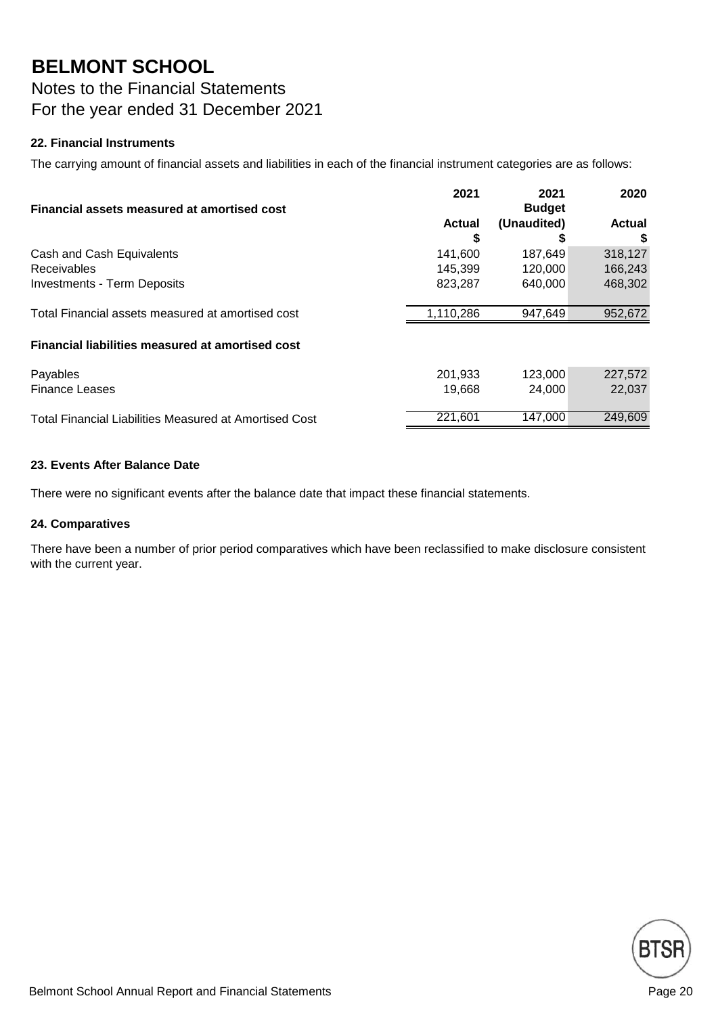Notes to the Financial Statements For the year ended 31 December 2021

#### **22. Financial Instruments**

The carrying amount of financial assets and liabilities in each of the financial instrument categories are as follows:

|                                                               | 2021          | 2021          | 2020          |
|---------------------------------------------------------------|---------------|---------------|---------------|
| Financial assets measured at amortised cost                   |               | <b>Budget</b> |               |
|                                                               | <b>Actual</b> | (Unaudited)   | <b>Actual</b> |
|                                                               | S             |               |               |
| Cash and Cash Equivalents                                     | 141.600       | 187,649       | 318,127       |
| <b>Receivables</b>                                            | 145.399       | 120,000       | 166,243       |
| <b>Investments - Term Deposits</b>                            | 823,287       | 640,000       | 468,302       |
| Total Financial assets measured at amortised cost             | 1,110,286     | 947,649       | 952,672       |
| Financial liabilities measured at amortised cost              |               |               |               |
| Payables                                                      | 201,933       | 123,000       | 227,572       |
| <b>Finance Leases</b>                                         | 19.668        | 24.000        | 22,037        |
| <b>Total Financial Liabilities Measured at Amortised Cost</b> | 221,601       | 147,000       | 249,609       |

#### **23. Events After Balance Date**

There were no significant events after the balance date that impact these financial statements.

#### **24. Comparatives**

There have been a number of prior period comparatives which have been reclassified to make disclosure consistent with the current year.

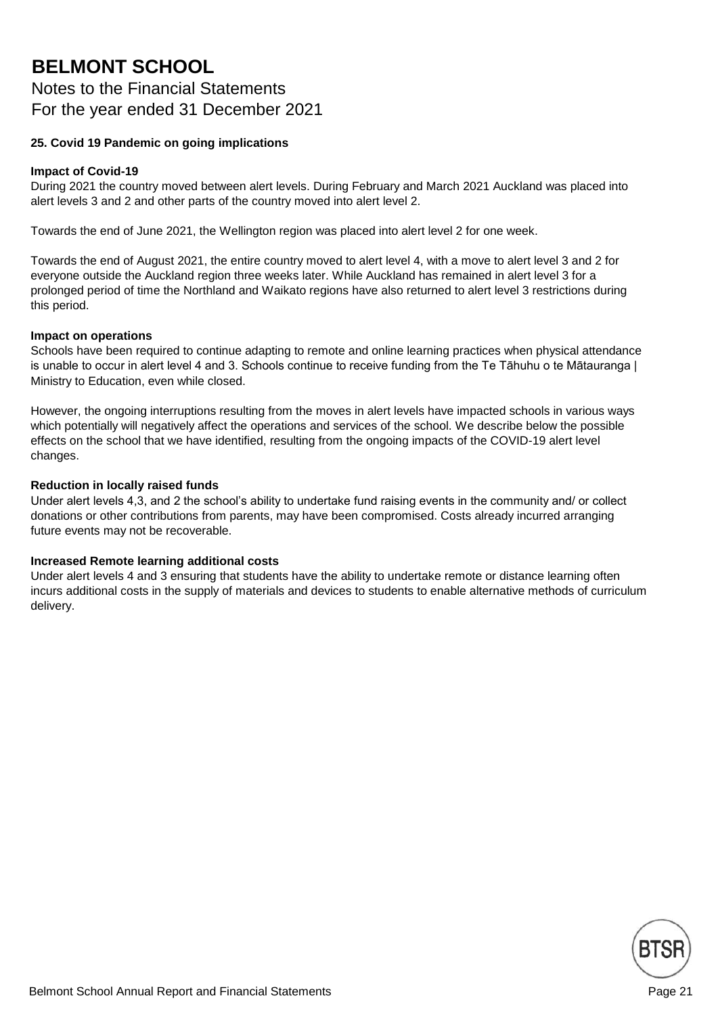### Notes to the Financial Statements For the year ended 31 December 2021

#### **25. Covid 19 Pandemic on going implications**

#### **Impact of Covid-19**

During 2021 the country moved between alert levels. During February and March 2021 Auckland was placed into alert levels 3 and 2 and other parts of the country moved into alert level 2.

Towards the end of June 2021, the Wellington region was placed into alert level 2 for one week.

Towards the end of August 2021, the entire country moved to alert level 4, with a move to alert level 3 and 2 for everyone outside the Auckland region three weeks later. While Auckland has remained in alert level 3 for a prolonged period of time the Northland and Waikato regions have also returned to alert level 3 restrictions during this period.

#### **Impact on operations**

Schools have been required to continue adapting to remote and online learning practices when physical attendance is unable to occur in alert level 4 and 3. Schools continue to receive funding from the Te Tāhuhu o te Mātauranga | Ministry to Education, even while closed.

However, the ongoing interruptions resulting from the moves in alert levels have impacted schools in various ways which potentially will negatively affect the operations and services of the school. We describe below the possible effects on the school that we have identified, resulting from the ongoing impacts of the COVID-19 alert level changes.

#### **Reduction in locally raised funds**

Under alert levels 4,3, and 2 the school's ability to undertake fund raising events in the community and/ or collect donations or other contributions from parents, may have been compromised. Costs already incurred arranging future events may not be recoverable.

#### **Increased Remote learning additional costs**

Under alert levels 4 and 3 ensuring that students have the ability to undertake remote or distance learning often incurs additional costs in the supply of materials and devices to students to enable alternative methods of curriculum delivery.

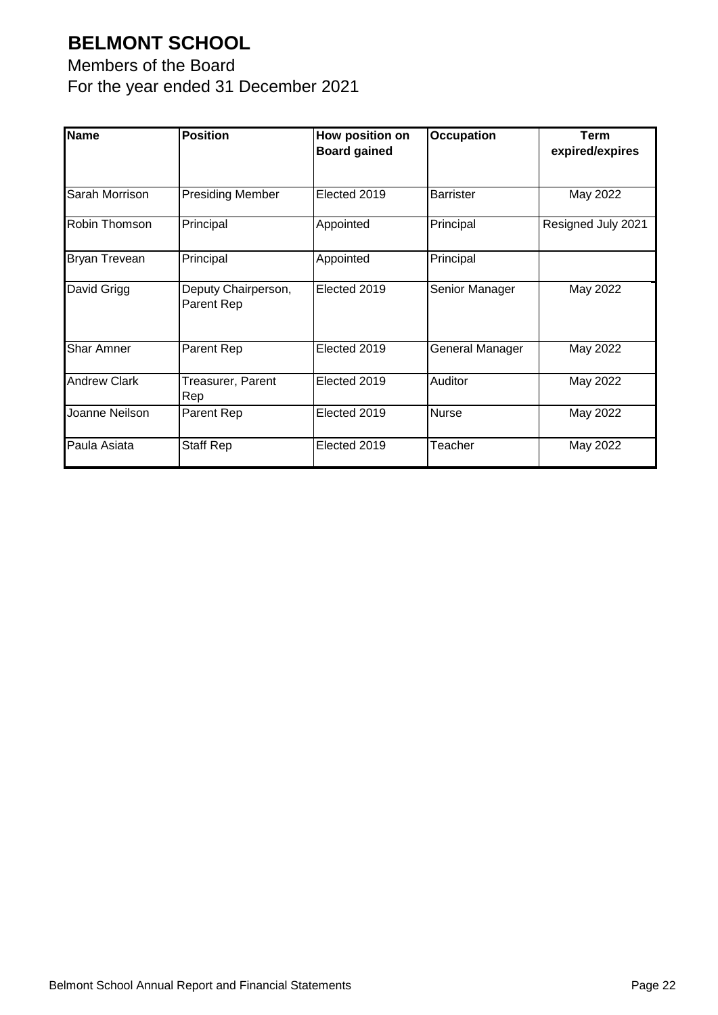Members of the Board For the year ended 31 December 2021

| <b>Name</b>         | <b>Position</b>                   | How position on<br><b>Board gained</b> | <b>Occupation</b> | <b>Term</b><br>expired/expires |
|---------------------|-----------------------------------|----------------------------------------|-------------------|--------------------------------|
| Sarah Morrison      | <b>Presiding Member</b>           | Elected 2019                           | <b>Barrister</b>  | May 2022                       |
| Robin Thomson       | Principal                         | Appointed                              | Principal         | Resigned July 2021             |
| Bryan Trevean       | Principal                         | Appointed                              | Principal         |                                |
| David Grigg         | Deputy Chairperson,<br>Parent Rep | Elected 2019                           | Senior Manager    | May 2022                       |
| <b>Shar Amner</b>   | Parent Rep                        | Elected 2019                           | General Manager   | May 2022                       |
| <b>Andrew Clark</b> | Treasurer, Parent<br>Rep          | Elected 2019                           | Auditor           | May 2022                       |
| Joanne Neilson      | Parent Rep                        | Elected 2019                           | <b>Nurse</b>      | May 2022                       |
| Paula Asiata        | Staff Rep                         | Elected 2019                           | Teacher           | May 2022                       |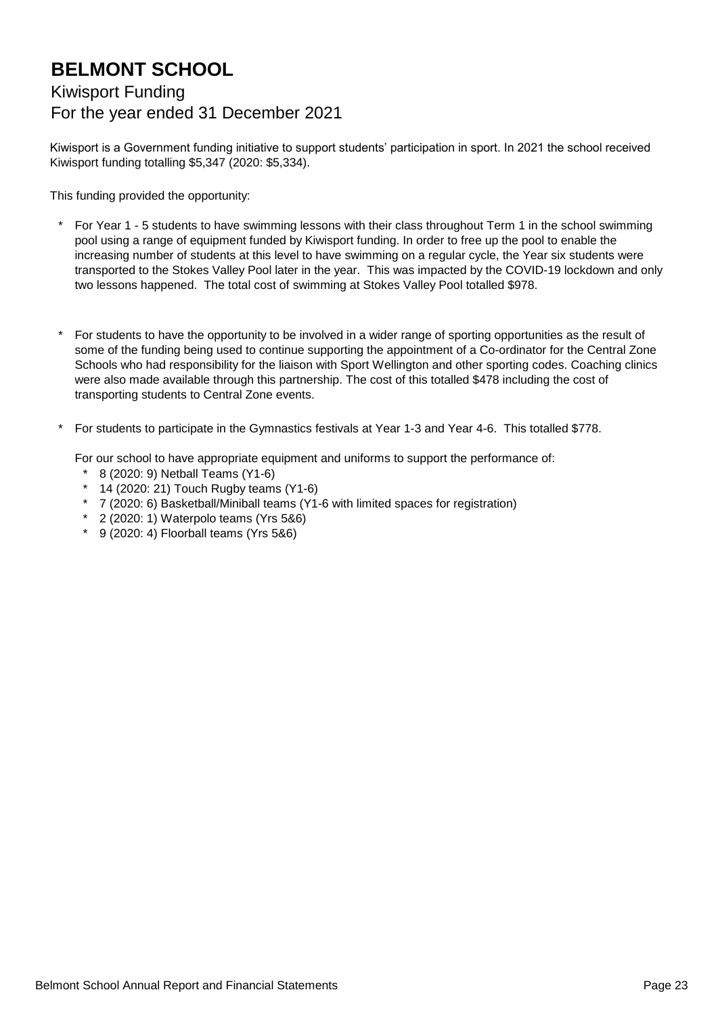### Kiwisport Funding For the year ended 31 December 2021

Kiwisport is a Government funding initiative to support students' participation in sport. In 2021 the school received Kiwisport funding totalling \$5,347 (2020: \$5,334).

This funding provided the opportunity:

- \* For Year 1 - 5 students to have swimming lessons with their class throughout Term 1 in the school swimming pool using a range of equipment funded by Kiwisport funding. In order to free up the pool to enable the increasing number of students at this level to have swimming on a regular cycle, the Year six students were transported to the Stokes Valley Pool later in the year. This was impacted by the COVID-19 lockdown and only two lessons happened. The total cost of swimming at Stokes Valley Pool totalled \$978.
- \* For students to have the opportunity to be involved in a wider range of sporting opportunities as the result of some of the funding being used to continue supporting the appointment of a Co-ordinator for the Central Zone Schools who had responsibility for the liaison with Sport Wellington and other sporting codes. Coaching clinics were also made available through this partnership. The cost of this totalled \$478 including the cost of transporting students to Central Zone events.
- \* For students to participate in the Gymnastics festivals at Year 1-3 and Year 4-6. This totalled \$778.

For our school to have appropriate equipment and uniforms to support the performance of:

- \* 8 (2020: 9) Netball Teams (Y1-6)
- \* 14 (2020: 21) Touch Rugby teams (Y1-6)
- \* 7 (2020: 6) Basketball/Miniball teams (Y1-6 with limited spaces for registration)
- \* 2 (2020: 1) Waterpolo teams (Yrs 5&6)
- \* 9 (2020: 4) Floorball teams (Yrs 5&6)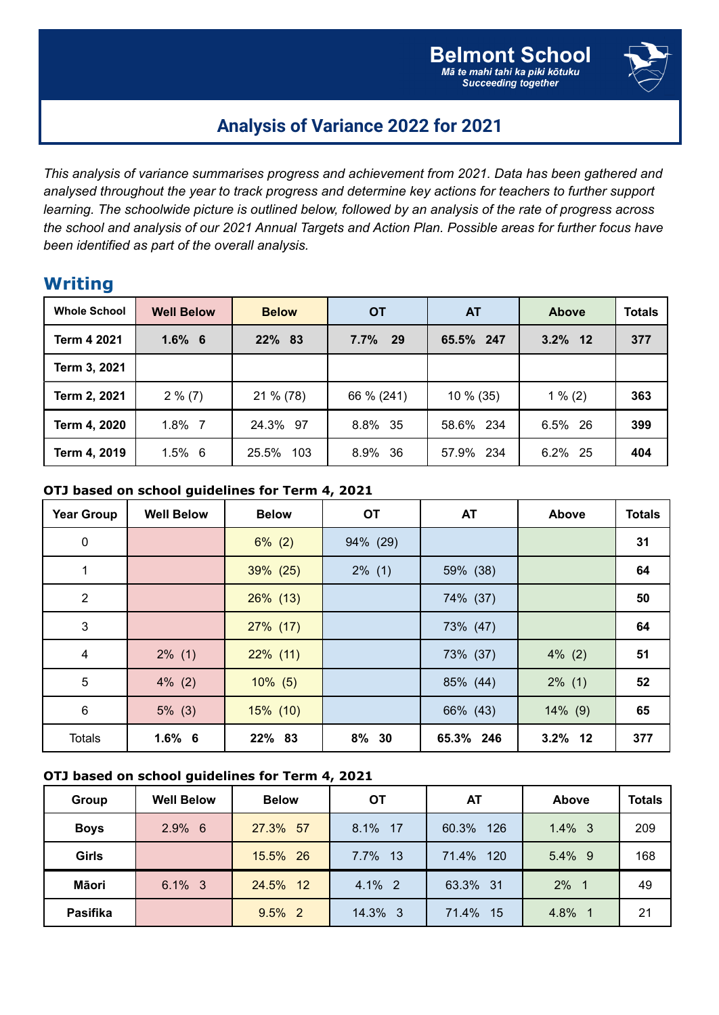

## **Analysis of Variance 2022 for 2021**

*This analysis of variance summarises progress and achievement from 2021. Data has been gathered and analysed throughout the year to track progress and determine key actions for teachers to further support* learning. The schoolwide picture is outlined below, followed by an analysis of the rate of progress across the school and analysis of our 2021 Annual Targets and Action Plan. Possible areas for further focus have *been identified as part of the overall analysis.*

### **Writing**

| <b>Whole School</b> | <b>Well Below</b> | <b>Below</b> | <b>OT</b>  | <b>AT</b>   | <b>Above</b> | <b>Totals</b> |
|---------------------|-------------------|--------------|------------|-------------|--------------|---------------|
| Term 4 2021         | $1.6\%$ 6         | 22% 83       | $7.7\%$ 29 | 65.5% 247   | $3.2\%$ 12   | 377           |
| Term 3, 2021        |                   |              |            |             |              |               |
| Term 2, 2021        | $2\%$ (7)         | 21 % (78)    | 66 % (241) | $10\%$ (35) | $1\%$ (2)    | 363           |
| Term 4, 2020        | $1.8\%$ 7         | 24.3% 97     | 8.8% 35    | 58.6% 234   | 6.5% 26      | 399           |
| Term 4, 2019        | $1.5\%$ 6         | 25.5%<br>103 | 8.9% 36    | 57.9% 234   | 6.2% 25      | 404           |

#### **OTJ based on school guidelines for Term 4, 2021**

| <b>Year Group</b>       | <b>Well Below</b> | <b>Below</b> | <b>OT</b> | <b>AT</b> | Above      | <b>Totals</b> |
|-------------------------|-------------------|--------------|-----------|-----------|------------|---------------|
| $\pmb{0}$               |                   | $6\%$ (2)    | 94% (29)  |           |            | 31            |
| 1                       |                   | 39% (25)     | $2\%$ (1) | 59% (38)  |            | 64            |
| $\overline{2}$          |                   | $26\%$ (13)  |           | 74% (37)  |            | 50            |
| $\mathbf{3}$            |                   | $27\%$ (17)  |           | 73% (47)  |            | 64            |
| $\overline{\mathbf{4}}$ | $2\%$ (1)         | $22\%$ (11)  |           | 73% (37)  | $4\%$ (2)  | 51            |
| 5                       | $4\%$ (2)         | $10\%$ (5)   |           | 85% (44)  | $2\%$ (1)  | 52            |
| 6                       | $5\%$ (3)         | $15\%$ (10)  |           | 66% (43)  | $14\%$ (9) | 65            |
| <b>Totals</b>           | $1.6\%$ 6         | 22% 83       | 8% 30     | 65.3% 246 | 3.2% 12    | 377           |

#### **OTJ based on school guidelines for Term 4, 2021**

| Group        | <b>Well Below</b> | <b>Below</b> | OТ        | AT           | Above     | <b>Totals</b> |
|--------------|-------------------|--------------|-----------|--------------|-----------|---------------|
| <b>Boys</b>  | $2.9\%$ 6         | 27.3% 57     | 8.1% 17   | 60.3%<br>126 | $1.4\%$ 3 | 209           |
| <b>Girls</b> |                   | 15.5% 26     | 7.7% 13   | 71.4%<br>120 | 5.4% 9    | 168           |
| Māori        | $6.1\%$ 3         | 24.5% 12     | $4.1\%$ 2 | 63.3% 31     | $2\%$ 1   | 49            |
| Pasifika     |                   | $9.5\%$ 2    | 14.3% 3   | 71.4%<br>-15 | 4.8% 1    | 21            |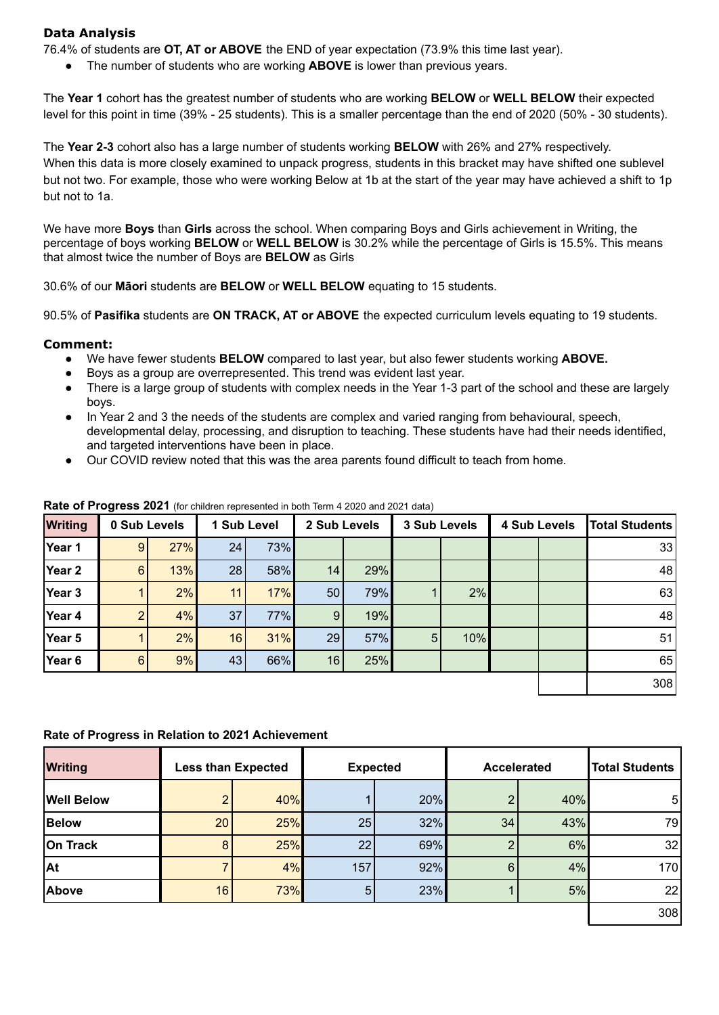#### **Data Analysis**

76.4% of students are **OT, AT or ABOVE** the END of year expectation (73.9% this time last year).

The number of students who are working **ABOVE** is lower than previous years.

The **Year 1** cohort has the greatest number of students who are working **BELOW** or **WELL BELOW** their expected level for this point in time (39% - 25 students). This is a smaller percentage than the end of 2020 (50% - 30 students).

The **Year 2-3** cohort also has a large number of students working **BELOW** with 26% and 27% respectively. When this data is more closely examined to unpack progress, students in this bracket may have shifted one sublevel but not two. For example, those who were working Below at 1b at the start of the year may have achieved a shift to 1p but not to 1a.

We have more **Boys** than **Girls** across the school. When comparing Boys and Girls achievement in Writing, the percentage of boys working **BELOW** or **WELL BELOW** is 30.2% while the percentage of Girls is 15.5%. This means that almost twice the number of Boys are **BELOW** as Girls

30.6% of our **Māori** students are **BELOW** or **WELL BELOW** equating to 15 students.

90.5% of **Pasifika** students are **ON TRACK, AT or ABOVE** the expected curriculum levels equating to 19 students.

#### **Comment:**

- We have fewer students **BELOW** compared to last year, but also fewer students working **ABOVE.**
- Boys as a group are overrepresented. This trend was evident last year.
- There is a large group of students with complex needs in the Year 1-3 part of the school and these are largely boys.
- In Year 2 and 3 the needs of the students are complex and varied ranging from behavioural, speech, developmental delay, processing, and disruption to teaching. These students have had their needs identified, and targeted interventions have been in place.
- Our COVID review noted that this was the area parents found difficult to teach from home.

| <b>Writing</b> | 0 Sub Levels |     |    | 1 Sub Level | 2 Sub Levels |     | 3 Sub Levels |     | <b>4 Sub Levels</b> | <b>Total Students</b> |
|----------------|--------------|-----|----|-------------|--------------|-----|--------------|-----|---------------------|-----------------------|
| Year 1         | 9            | 27% | 24 | 73%         |              |     |              |     |                     | 33                    |
| Year 2         | 6            | 13% | 28 | 58%         | 14           | 29% |              |     |                     | 48                    |
| Year 3         |              | 2%  | 11 | 17%         | 50           | 79% |              | 2%  |                     | 63                    |
| Year 4         |              | 4%  | 37 | 77%         | 9            | 19% |              |     |                     | 48                    |
| Year 5         |              | 2%  | 16 | 31%         | 29           | 57% | 5            | 10% |                     | 51                    |
| Year 6         | 6            | 9%  | 43 | 66%         | 16           | 25% |              |     |                     | 65                    |
|                |              |     |    |             |              |     |              |     |                     | 308                   |

#### **Rate of Progress 2021** (for children represented in both Term 4 2020 and 2021 data)

#### **Rate of Progress in Relation to 2021 Achievement**

| <b>Writing</b>    | <b>Less than Expected</b> |     |                | <b>Expected</b> | <b>Accelerated</b> |     | <b>Total Students</b> |
|-------------------|---------------------------|-----|----------------|-----------------|--------------------|-----|-----------------------|
| <b>Well Below</b> | C                         | 40% |                | 20%             |                    | 40% | 5 <sub>l</sub>        |
| <b>Below</b>      | 20                        | 25% | 25             | 32%             | 34                 | 43% | 79                    |
| On Track          | 8                         | 25% | 22             | 69%             |                    | 6%  | 32                    |
| <b>At</b>         |                           | 4%  | 157            | 92%             | 6                  | 4%  | 170                   |
| Above             | 16                        | 73% | 5 <sub>5</sub> | 23%             |                    | 5%  | 22                    |
|                   |                           |     |                |                 |                    |     | 308                   |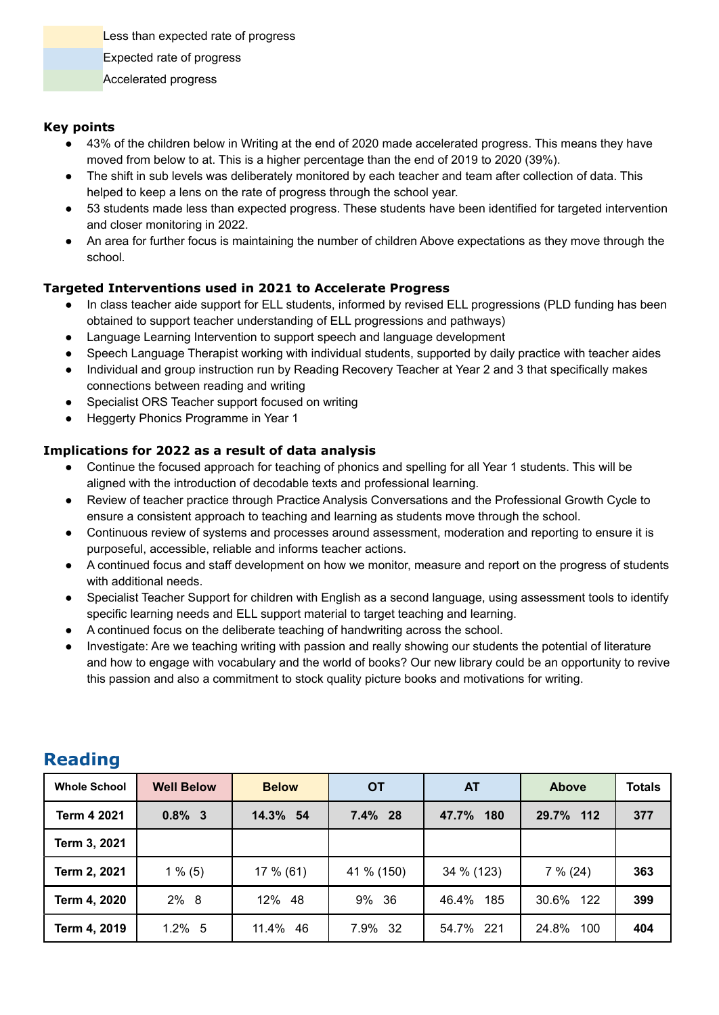Less than expected rate of progress

- Expected rate of progress
- Accelerated progress

#### **Key points**

- 43% of the children below in Writing at the end of 2020 made accelerated progress. This means they have moved from below to at. This is a higher percentage than the end of 2019 to 2020 (39%).
- The shift in sub levels was deliberately monitored by each teacher and team after collection of data. This helped to keep a lens on the rate of progress through the school year.
- 53 students made less than expected progress. These students have been identified for targeted intervention and closer monitoring in 2022.
- An area for further focus is maintaining the number of children Above expectations as they move through the school.

#### **Targeted Interventions used in 2021 to Accelerate Progress**

- In class teacher aide support for ELL students, informed by revised ELL progressions (PLD funding has been obtained to support teacher understanding of ELL progressions and pathways)
- Language Learning Intervention to support speech and language development
- Speech Language Therapist working with individual students, supported by daily practice with teacher aides
- Individual and group instruction run by Reading Recovery Teacher at Year 2 and 3 that specifically makes connections between reading and writing
- Specialist ORS Teacher support focused on writing
- Heggerty Phonics Programme in Year 1

#### **Implications for 2022 as a result of data analysis**

- Continue the focused approach for teaching of phonics and spelling for all Year 1 students. This will be aligned with the introduction of decodable texts and professional learning.
- Review of teacher practice through Practice Analysis Conversations and the Professional Growth Cycle to ensure a consistent approach to teaching and learning as students move through the school.
- Continuous review of systems and processes around assessment, moderation and reporting to ensure it is purposeful, accessible, reliable and informs teacher actions.
- A continued focus and staff development on how we monitor, measure and report on the progress of students with additional needs.
- Specialist Teacher Support for children with English as a second language, using assessment tools to identify specific learning needs and ELL support material to target teaching and learning.
- A continued focus on the deliberate teaching of handwriting across the school.
- Investigate: Are we teaching writing with passion and really showing our students the potential of literature and how to engage with vocabulary and the world of books? Our new library could be an opportunity to revive this passion and also a commitment to stock quality picture books and motivations for writing.

| <b>Whole School</b> | <b>Well Below</b> | <b>Below</b> | <b>OT</b>  | AT           | <b>Above</b> | <b>Totals</b> |
|---------------------|-------------------|--------------|------------|--------------|--------------|---------------|
| Term 4 2021         | $0.8\%$ 3         | 14.3% 54     | 7.4% 28    | 47.7%<br>180 | 29.7% 112    | 377           |
| Term 3, 2021        |                   |              |            |              |              |               |
| Term 2, 2021        | $1\%$ (5)         | $17\%$ (61)  | 41 % (150) | 34 % (123)   | $7\%$ (24)   | 363           |
| Term 4, 2020        | 2% 8              | 12% 48       | 9% 36      | 46.4%<br>185 | 30.6% 122    | 399           |
| Term 4, 2019        | $1.2\%$ 5         | 11.4% 46     | 7.9% 32    | 54.7% 221    | 24.8%<br>100 | 404           |

### **Reading**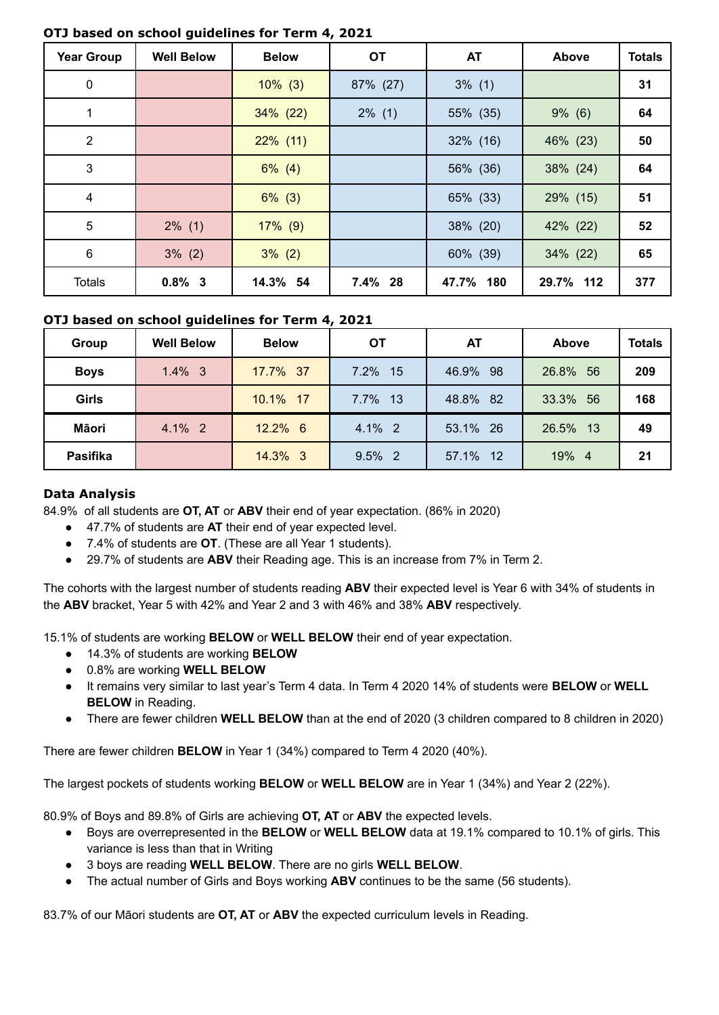| <b>Year Group</b> | <b>Well Below</b> | <b>Below</b> | <b>OT</b> | <b>AT</b>   | <b>Above</b> | <b>Totals</b> |
|-------------------|-------------------|--------------|-----------|-------------|--------------|---------------|
| 0                 |                   | $10\%$ (3)   | 87% (27)  | $3\%$ (1)   |              | 31            |
| 1                 |                   | $34\%$ (22)  | $2\%$ (1) | 55% (35)    | $9\%$ (6)    | 64            |
| $\overline{2}$    |                   | $22\%$ (11)  |           | $32\%$ (16) | 46% (23)     | 50            |
| 3                 |                   | $6\%$ (4)    |           | 56% (36)    | 38% (24)     | 64            |
| 4                 |                   | $6\%$ (3)    |           | 65% (33)    | $29\%$ (15)  | 51            |
| $5\phantom{.0}$   | $2\%$ (1)         | $17\%$ (9)   |           | 38% (20)    | 42% (22)     | 52            |
| 6                 | $3\%$ (2)         | $3\%$ (2)    |           | 60% (39)    | $34\%$ (22)  | 65            |
| <b>Totals</b>     | $0.8\%$ 3         | 14.3% 54     | 7.4% 28   | 47.7% 180   | 29.7% 112    | 377           |

#### **OTJ based on school guidelines for Term 4, 2021**

#### **OTJ based on school guidelines for Term 4, 2021**

| Group        | <b>Well Below</b> | <b>Below</b> | ОT        | AT           | Above       | <b>Totals</b> |
|--------------|-------------------|--------------|-----------|--------------|-------------|---------------|
| <b>Boys</b>  | $1.4\%$ 3         | 17.7% 37     | 7.2% 15   | 46.9%<br>-98 | 26.8% 56    | 209           |
| <b>Girls</b> |                   | 10.1% 17     | 7.7% 13   | 48.8% 82     | 33.3%<br>56 | 168           |
| Māori        | 4.1% 2            | 12.2% 6      | 4.1% 2    | 53.1% 26     | 26.5%<br>13 | 49            |
| Pasifika     |                   | 14.3% 3      | $9.5\%$ 2 | 57.1% 12     | 19% 4       | 21            |

#### **Data Analysis**

84.9% of all students are **OT, AT** or **ABV** their end of year expectation. (86% in 2020)

- 47.7% of students are **AT** their end of year expected level.
- 7.4% of students are **OT**. (These are all Year 1 students).
- 29.7% of students are **ABV** their Reading age. This is an increase from 7% in Term 2.

The cohorts with the largest number of students reading **ABV** their expected level is Year 6 with 34% of students in the **ABV** bracket, Year 5 with 42% and Year 2 and 3 with 46% and 38% **ABV** respectively.

15.1% of students are working **BELOW** or **WELL BELOW** their end of year expectation.

- 14.3% of students are working **BELOW**
- 0.8% are working **WELL BELOW**
- It remains very similar to last year's Term 4 data. In Term 4 2020 14% of students were **BELOW** or **WELL BELOW** in Reading.
- There are fewer children **WELL BELOW** than at the end of 2020 (3 children compared to 8 children in 2020)

There are fewer children **BELOW** in Year 1 (34%) compared to Term 4 2020 (40%).

The largest pockets of students working **BELOW** or **WELL BELOW** are in Year 1 (34%) and Year 2 (22%).

80.9% of Boys and 89.8% of Girls are achieving **OT, AT** or **ABV** the expected levels.

- Boys are overrepresented in the **BELOW** or **WELL BELOW** data at 19.1% compared to 10.1% of girls. This variance is less than that in Writing
- 3 boys are reading **WELL BELOW**. There are no girls **WELL BELOW**.
- The actual number of Girls and Boys working **ABV** continues to be the same (56 students).

83.7% of our Māori students are **OT, AT** or **ABV** the expected curriculum levels in Reading.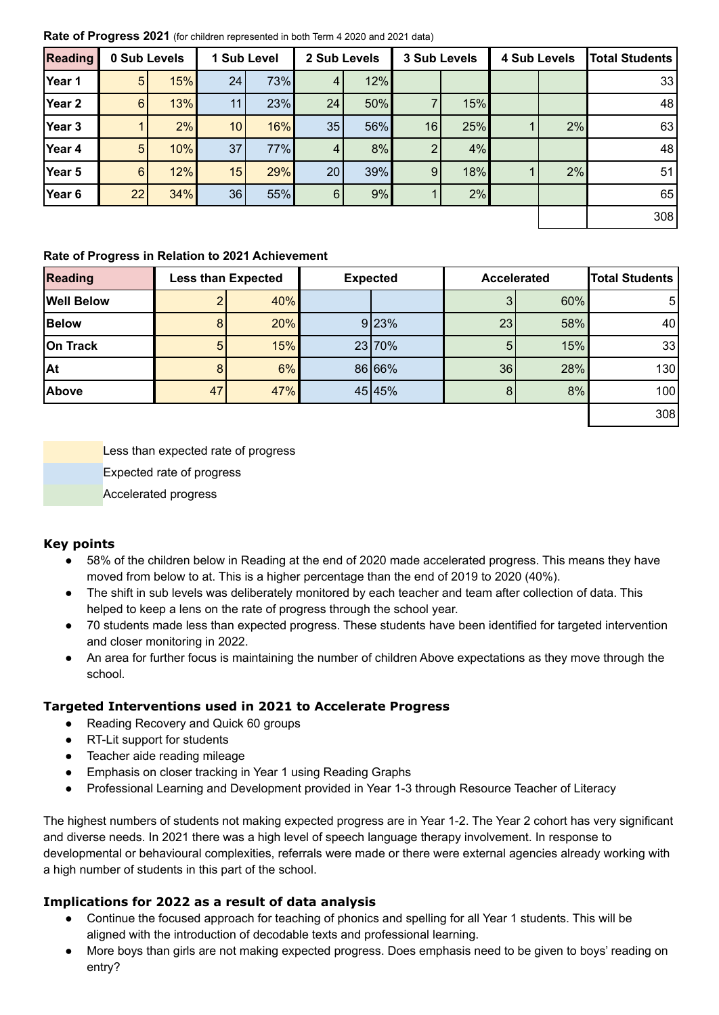**Rate of Progress 2021** (for children represented in both Term 4 2020 and 2021 data)

| <b>Reading</b> | 0 Sub Levels   |     |                 | 1 Sub Level |                | 2 Sub Levels | 3 Sub Levels |     | <b>4 Sub Levels</b> | <b>Total Students</b> |
|----------------|----------------|-----|-----------------|-------------|----------------|--------------|--------------|-----|---------------------|-----------------------|
| Year 1         | $5\phantom{.}$ | 15% | 24              | 73%         | 4              | 12%          |              |     |                     | 33                    |
| Year 2         | 6 <sup>1</sup> | 13% | 11              | 23%         | 24             | 50%          |              | 15% |                     | 48                    |
| Year 3         |                | 2%  | 10 <sup>1</sup> | 16%         | 35             | 56%          | 16           | 25% | 2%                  | 63                    |
| Year 4         | 5              | 10% | 37              | 77%         | 4              | 8%           | 2            | 4%  |                     | 48                    |
| Year 5         | $6 \mid$       | 12% | 15              | 29%         | 20             | $39\%$       | 9            | 18% | 2%                  | 51                    |
| Year 6         | 22             | 34% | 36 <sup>1</sup> | 55%         | 6 <sup>1</sup> | 9%           |              | 2%  |                     | 65                    |
|                |                |     |                 |             |                |              |              |     |                     | 308                   |

#### **Rate of Progress in Relation to 2021 Achievement**

| <b>Reading</b>    | <b>Less than Expected</b> |     | <b>Expected</b> |    | <b>Accelerated</b> | <b>Total Students</b> |
|-------------------|---------------------------|-----|-----------------|----|--------------------|-----------------------|
| <b>Well Below</b> |                           | 40% |                 |    | 60%                | 51                    |
| <b>Below</b>      |                           | 20% | 9 23%           | 23 | 58%                | 40                    |
| On Track          | 5                         | 15% | 23 70%          | 5  | 15%                | 33                    |
| At                |                           | 6%  | 86 66%          | 36 | 28%                | 130                   |
| Above             | 47                        | 47% | 45 45%          | 8  | 8%                 | 100                   |
|                   |                           |     |                 |    |                    | 308                   |

Less than expected rate of progress Expected rate of progress Accelerated progress

#### **Key points**

- 58% of the children below in Reading at the end of 2020 made accelerated progress. This means they have moved from below to at. This is a higher percentage than the end of 2019 to 2020 (40%).
- The shift in sub levels was deliberately monitored by each teacher and team after collection of data. This helped to keep a lens on the rate of progress through the school year.
- 70 students made less than expected progress. These students have been identified for targeted intervention and closer monitoring in 2022.
- An area for further focus is maintaining the number of children Above expectations as they move through the school.

#### **Targeted Interventions used in 2021 to Accelerate Progress**

- Reading Recovery and Quick 60 groups
- RT-Lit support for students
- Teacher aide reading mileage
- Emphasis on closer tracking in Year 1 using Reading Graphs
- Professional Learning and Development provided in Year 1-3 through Resource Teacher of Literacy

The highest numbers of students not making expected progress are in Year 1-2. The Year 2 cohort has very significant and diverse needs. In 2021 there was a high level of speech language therapy involvement. In response to developmental or behavioural complexities, referrals were made or there were external agencies already working with a high number of students in this part of the school.

#### **Implications for 2022 as a result of data analysis**

- Continue the focused approach for teaching of phonics and spelling for all Year 1 students. This will be aligned with the introduction of decodable texts and professional learning.
- More boys than girls are not making expected progress. Does emphasis need to be given to boys' reading on entry?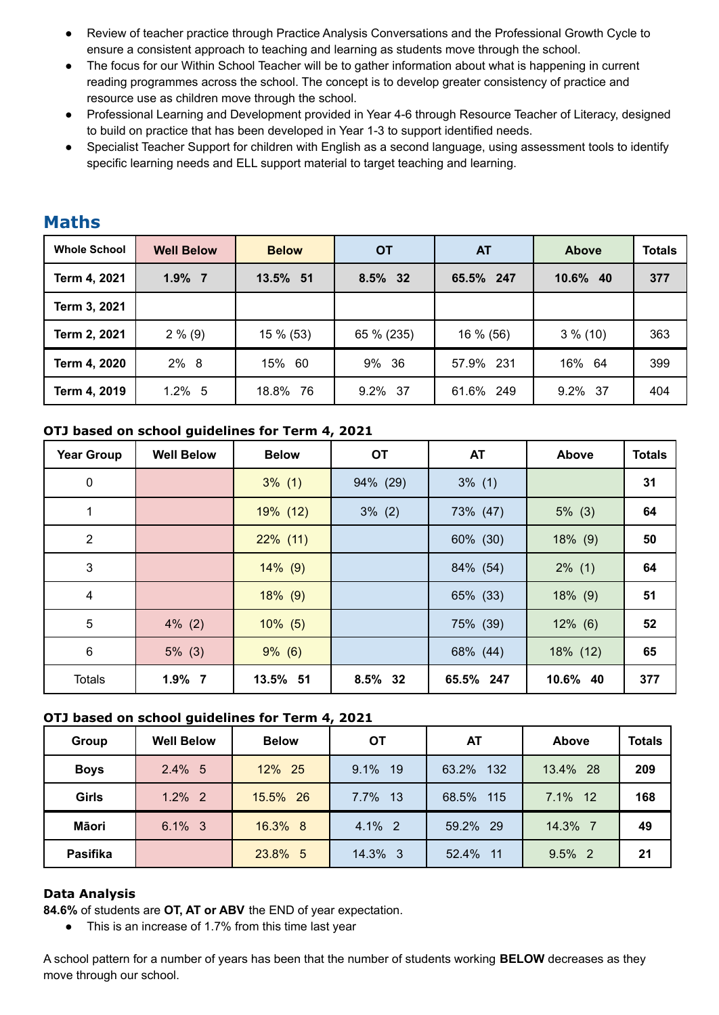- Review of teacher practice through Practice Analysis Conversations and the Professional Growth Cycle to ensure a consistent approach to teaching and learning as students move through the school.
- The focus for our Within School Teacher will be to gather information about what is happening in current reading programmes across the school. The concept is to develop greater consistency of practice and resource use as children move through the school.
- Professional Learning and Development provided in Year 4-6 through Resource Teacher of Literacy, designed to build on practice that has been developed in Year 1-3 to support identified needs.
- Specialist Teacher Support for children with English as a second language, using assessment tools to identify specific learning needs and ELL support material to target teaching and learning.

| <b>Whole School</b> | <b>Well Below</b> | <b>Below</b> | <b>OT</b>  | <b>AT</b> | <b>Above</b> | <b>Totals</b> |
|---------------------|-------------------|--------------|------------|-----------|--------------|---------------|
| Term 4, 2021        | $1.9\%$ 7         | 13.5% 51     | 8.5% 32    | 65.5% 247 | 10.6% 40     | 377           |
| Term 3, 2021        |                   |              |            |           |              |               |
| Term 2, 2021        | $2\%$ (9)         | 15 % (53)    | 65 % (235) | 16 % (56) | $3\%$ (10)   | 363           |
| Term 4, 2020        | 2% 8              | 15% 60       | 9% 36      | 57.9% 231 | 16% 64       | 399           |
| Term 4, 2019        | $1.2\%$ 5         | 18.8% 76     | 9.2% 37    | 61.6% 249 | 9.2% 37      | 404           |

### **Maths**

#### **OTJ based on school guidelines for Term 4, 2021**

| <b>Year Group</b> | <b>Well Below</b> | <b>Below</b> | <b>OT</b> | <b>AT</b> | Above       | <b>Totals</b> |
|-------------------|-------------------|--------------|-----------|-----------|-------------|---------------|
| $\mathbf 0$       |                   | $3\%$ (1)    | 94% (29)  | $3\%$ (1) |             | 31            |
| 1                 |                   | 19% (12)     | $3\%$ (2) | 73% (47)  | $5\%$ (3)   | 64            |
| $\overline{2}$    |                   | $22\%$ (11)  |           | 60% (30)  | $18\%$ (9)  | 50            |
| 3                 |                   | $14\%$ (9)   |           | 84% (54)  | $2\%$ (1)   | 64            |
| $\overline{4}$    |                   | $18\%$ (9)   |           | 65% (33)  | $18\%$ (9)  | 51            |
| $5\phantom{.0}$   | $4\%$ (2)         | $10\%$ (5)   |           | 75% (39)  | $12\%$ (6)  | 52            |
| $\,6$             | $5\%$ (3)         | $9\%$ (6)    |           | 68% (44)  | $18\%$ (12) | 65            |
| <b>Totals</b>     | $1.9\%$ 7         | 13.5% 51     | 8.5% 32   | 65.5% 247 | 10.6% 40    | 377           |

#### **OTJ based on school guidelines for Term 4, 2021**

| Group           | <b>Well Below</b> | <b>Below</b> | <b>OT</b> | AT           | Above     | <b>Totals</b> |
|-----------------|-------------------|--------------|-----------|--------------|-----------|---------------|
| <b>Boys</b>     | $2.4\%$ 5         | 12% 25       | 9.1% 19   | 132<br>63.2% | 13.4% 28  | 209           |
| Girls           | $1.2\%$ 2         | 15.5% 26     | 7.7% 13   | 68.5% 115    | 7.1% 12   | 168           |
| Māori           | $6.1\%$ 3         | 16.3% 8      | 4.1% 2    | 59.2% 29     | 14.3% 7   | 49            |
| <b>Pasifika</b> |                   | 23.8% 5      | 14.3% 3   | 52.4% 11     | $9.5\%$ 2 | 21            |

#### **Data Analysis**

**84.6%** of students are **OT, AT or ABV** the END of year expectation.

● This is an increase of 1.7% from this time last year

A school pattern for a number of years has been that the number of students working **BELOW** decreases as they move through our school.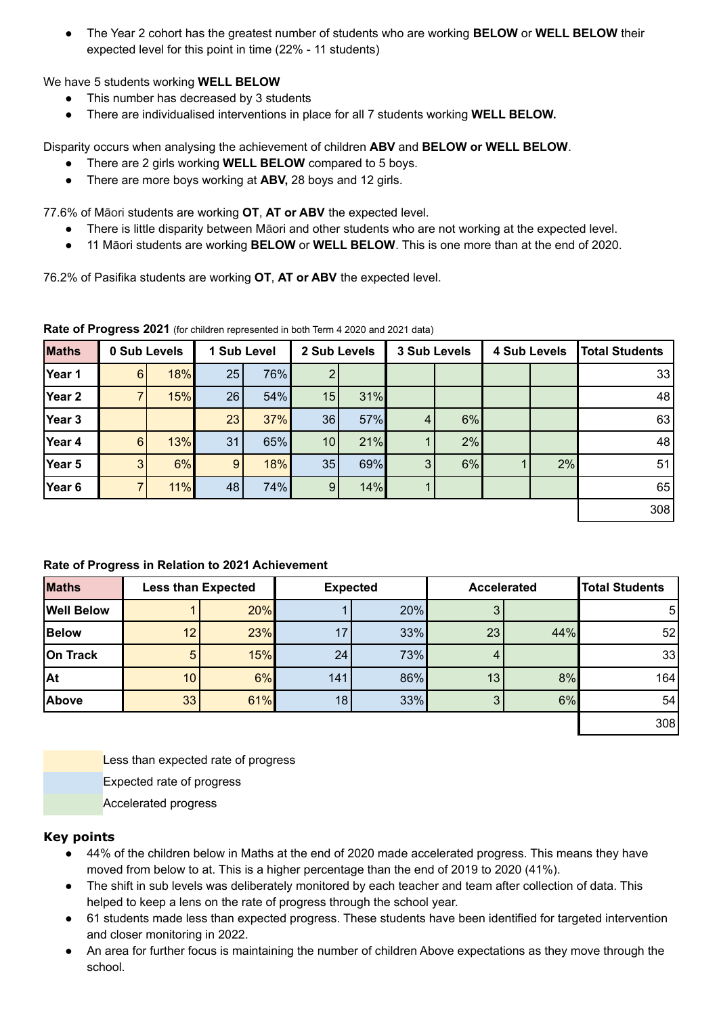● The Year 2 cohort has the greatest number of students who are working **BELOW** or **WELL BELOW** their expected level for this point in time (22% - 11 students)

We have 5 students working **WELL BELOW**

- This number has decreased by 3 students
- There are individualised interventions in place for all 7 students working **WELL BELOW.**

Disparity occurs when analysing the achievement of children **ABV** and **BELOW or WELL BELOW**.

- There are 2 girls working **WELL BELOW** compared to 5 boys.
- There are more boys working at **ABV,** 28 boys and 12 girls.

77.6% of Māori students are working **OT**, **AT or ABV** the expected level.

- There is little disparity between Māori and other students who are not working at the expected level.
- 11 Māori students are working **BELOW** or **WELL BELOW**. This is one more than at the end of 2020.

76.2% of Pasifika students are working **OT**, **AT or ABV** the expected level.

**Maths 0 Sub Levels 1 Sub Level 2 Sub Levels 3 Sub Levels 4 Sub Levels Total Students Year 1** 6 18% 25 76% 2 33 **Year 2** 7 15% 26 54% 15 31% 48 **Year 3** 23 37% 36 57% 4 6% 63 **Year 4 6** 13% 31 65% 10 21% 1 2% | 8 **Year 5 5** 3 6% 9 18% 35 69% 3 6% 1 2% 51 **Year 6** 7 11% 48 74% 9 14% 1 65 308

**Rate of Progress 2021** (for children represented in both Term 4 2020 and 2021 data)

#### **Rate of Progress in Relation to 2021 Achievement**

| <b>Maths</b>      | <b>Less than Expected</b> |     | <b>Expected</b> |     | <b>Accelerated</b> |     | <b>Total Students</b> |
|-------------------|---------------------------|-----|-----------------|-----|--------------------|-----|-----------------------|
| <b>Well Below</b> |                           | 20% |                 | 20% |                    |     | 5                     |
| <b>Below</b>      | 12                        | 23% | 17              | 33% | 23                 | 44% | 52                    |
| On Track          | 5                         | 15% | 24              | 73% |                    |     | 33                    |
| At                | 10                        | 6%  | 141             | 86% | 13                 | 8%  | 164                   |
| Above             | 33                        | 61% | 18              | 33% |                    | 6%  | 54                    |
|                   |                           |     |                 |     |                    |     | 308                   |

Less than expected rate of progress

Expected rate of progress

Accelerated progress

#### **Key points**

- 44% of the children below in Maths at the end of 2020 made accelerated progress. This means they have moved from below to at. This is a higher percentage than the end of 2019 to 2020 (41%).
- The shift in sub levels was deliberately monitored by each teacher and team after collection of data. This helped to keep a lens on the rate of progress through the school year.
- 61 students made less than expected progress. These students have been identified for targeted intervention and closer monitoring in 2022.
- An area for further focus is maintaining the number of children Above expectations as they move through the school.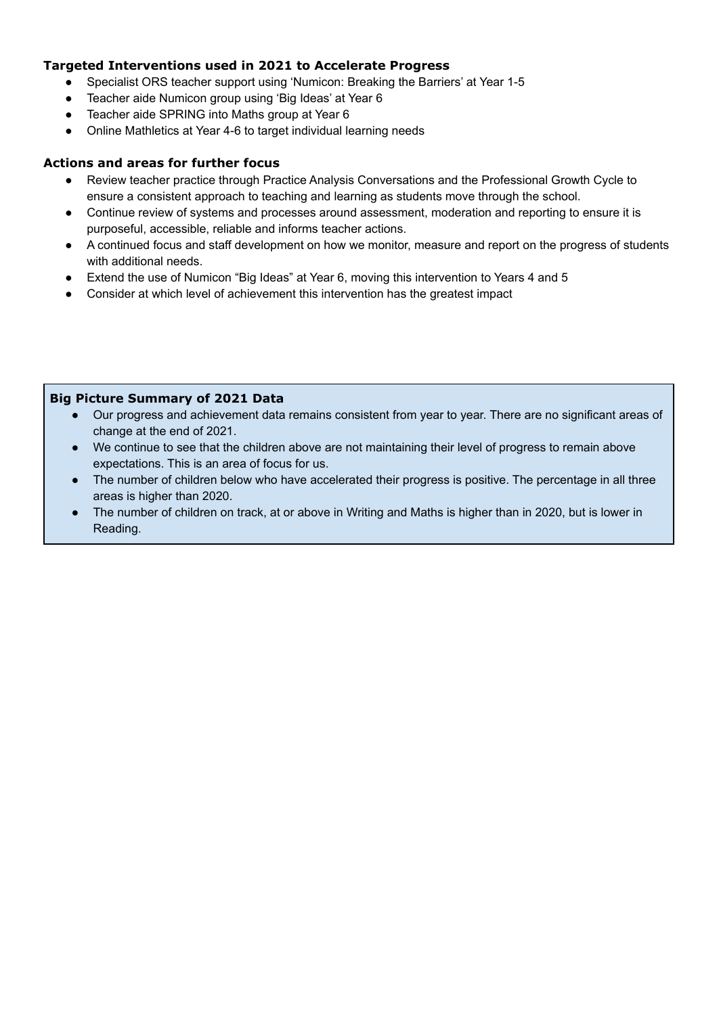#### **Targeted Interventions used in 2021 to Accelerate Progress**

- Specialist ORS teacher support using 'Numicon: Breaking the Barriers' at Year 1-5
- Teacher aide Numicon group using 'Big Ideas' at Year 6
- Teacher aide SPRING into Maths group at Year 6
- Online Mathletics at Year 4-6 to target individual learning needs

#### **Actions and areas for further focus**

- Review teacher practice through Practice Analysis Conversations and the Professional Growth Cycle to ensure a consistent approach to teaching and learning as students move through the school.
- Continue review of systems and processes around assessment, moderation and reporting to ensure it is purposeful, accessible, reliable and informs teacher actions.
- A continued focus and staff development on how we monitor, measure and report on the progress of students with additional needs.
- Extend the use of Numicon "Big Ideas" at Year 6, moving this intervention to Years 4 and 5
- Consider at which level of achievement this intervention has the greatest impact

#### **Big Picture Summary of 2021 Data**

- Our progress and achievement data remains consistent from year to year. There are no significant areas of change at the end of 2021.
- We continue to see that the children above are not maintaining their level of progress to remain above expectations. This is an area of focus for us.
- The number of children below who have accelerated their progress is positive. The percentage in all three areas is higher than 2020.
- The number of children on track, at or above in Writing and Maths is higher than in 2020, but is lower in Reading.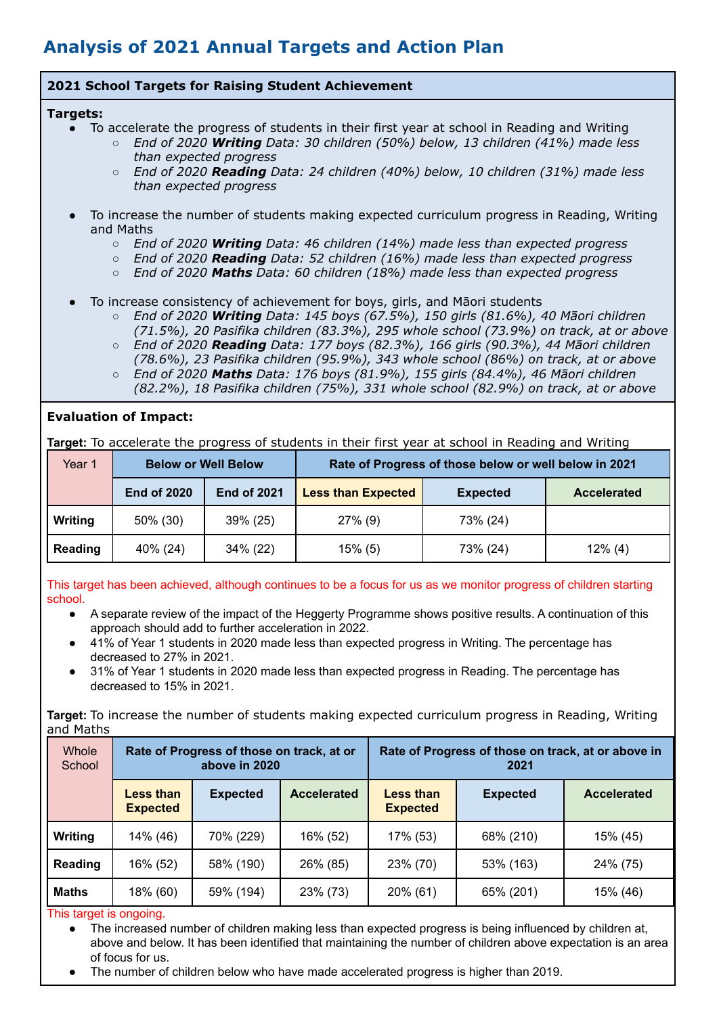### **Analysis of 2021 Annual Targets and Action Plan**

#### **2021 School Targets for Raising Student Achievement**

#### **Targets:**

- To accelerate the progress of students in their first year at school in Reading and Writing
	- *○ End of 2020 Writing Data: 30 children (50%) below, 13 children (41%) made less than expected progress*
	- *○ End of 2020 Reading Data: 24 children (40%) below, 10 children (31%) made less than expected progress*
- To increase the number of students making expected curriculum progress in Reading, Writing and Maths
	- *○ End of 2020 Writing Data: 46 children (14%) made less than expected progress*
	- *○ End of 2020 Reading Data: 52 children (16%) made less than expected progress*
	- *○ End of 2020 Maths Data: 60 children (18%) made less than expected progress*
- To increase consistency of achievement for boys, girls, and Māori students
	- *○ End of 2020 Writing Data: 145 boys (67.5%), 150 girls (81.6%), 40 Māori children (71.5%), 20 Pasifika children (83.3%), 295 whole school (73.9%) on track, at or above*
	- *○ End of 2020 Reading Data: 177 boys (82.3%), 166 girls (90.3%), 44 Māori children (78.6%), 23 Pasifika children (95.9%), 343 whole school (86%) on track, at or above*
	- *○ End of 2020 Maths Data: 176 boys (81.9%), 155 girls (84.4%), 46 Māori children (82.2%), 18 Pasifika children (75%), 331 whole school (82.9%) on track, at or above*

#### **Evaluation of Impact:**

**Target:** To accelerate the progress of students in their first year at school in Reading and Writing

| Year 1  | <b>Below or Well Below</b> |                    | Rate of Progress of those below or well below in 2021 |                 |                    |  |  |
|---------|----------------------------|--------------------|-------------------------------------------------------|-----------------|--------------------|--|--|
|         | <b>End of 2020</b>         | <b>End of 2021</b> | <b>Less than Expected</b>                             | <b>Expected</b> | <b>Accelerated</b> |  |  |
| Writing | 50% (30)                   | 39% (25)           | $27\%$ (9)                                            | 73% (24)        |                    |  |  |
| Reading | 40% (24)                   | 34% (22)           | $15\%$ (5)                                            | 73% (24)        | $12\%$ (4)         |  |  |

This target has been achieved, although continues to be a focus for us as we monitor progress of children starting school.

- A separate review of the impact of the Heggerty Programme shows positive results. A continuation of this approach should add to further acceleration in 2022.
- 41% of Year 1 students in 2020 made less than expected progress in Writing. The percentage has decreased to 27% in 2021.
- 31% of Year 1 students in 2020 made less than expected progress in Reading. The percentage has decreased to 15% in 2021.

**Target:** To increase the number of students making expected curriculum progress in Reading, Writing and Maths

| <b>Whole</b><br>School |                                     | Rate of Progress of those on track, at or<br>above in 2020 |                    | Rate of Progress of those on track, at or above in<br>2021 |                 |                    |  |
|------------------------|-------------------------------------|------------------------------------------------------------|--------------------|------------------------------------------------------------|-----------------|--------------------|--|
|                        | <b>Less than</b><br><b>Expected</b> | <b>Expected</b>                                            | <b>Accelerated</b> | Less than<br><b>Expected</b>                               | <b>Expected</b> | <b>Accelerated</b> |  |
| Writing                | 14% (46)                            | 70% (229)                                                  | 16% (52)           | 17% (53)                                                   | 68% (210)       | 15% (45)           |  |
| Reading                | 16% (52)                            | 58% (190)                                                  | 26% (85)           | 23% (70)                                                   | 53% (163)       | 24% (75)           |  |
| <b>Maths</b>           | 18% (60)                            | 59% (194)                                                  | 23% (73)           | 20% (61)                                                   | 65% (201)       | 15% (46)           |  |

#### This target is ongoing.

• The increased number of children making less than expected progress is being influenced by children at, above and below. It has been identified that maintaining the number of children above expectation is an area of focus for us.

The number of children below who have made accelerated progress is higher than 2019.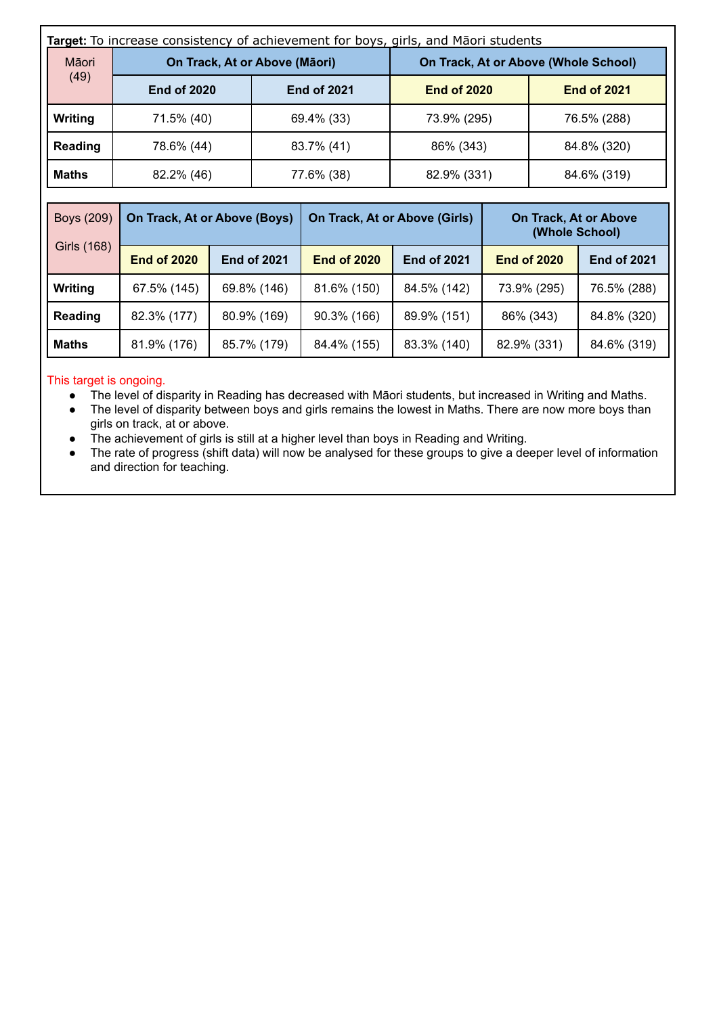| Target: To increase consistency of achievement for boys, girls, and Māori students |                               |  |                    |                               |                                      |  |                    |                              |
|------------------------------------------------------------------------------------|-------------------------------|--|--------------------|-------------------------------|--------------------------------------|--|--------------------|------------------------------|
| Māori                                                                              | On Track, At or Above (Māori) |  |                    |                               | On Track, At or Above (Whole School) |  |                    |                              |
| (49)                                                                               | <b>End of 2020</b>            |  |                    | <b>End of 2021</b>            | <b>End of 2020</b>                   |  |                    | <b>End of 2021</b>           |
| Writing                                                                            | 71.5% (40)                    |  |                    | 69.4% (33)                    | 73.9% (295)                          |  | 76.5% (288)        |                              |
| Reading                                                                            | 78.6% (44)                    |  |                    | 83.7% (41)                    | 86% (343)                            |  | 84.8% (320)        |                              |
| Maths                                                                              | 82.2% (46)                    |  | 77.6% (38)         |                               | 82.9% (331)                          |  | 84.6% (319)        |                              |
|                                                                                    |                               |  |                    |                               |                                      |  |                    |                              |
| Boys (209)                                                                         | On Track, At or Above (Boys)  |  |                    | On Track, At or Above (Girls) |                                      |  | (Whole School)     | <b>On Track, At or Above</b> |
| Girls (168)                                                                        | <b>End of 2020</b>            |  | <b>End of 2021</b> | <b>End of 2020</b>            | <b>End of 2021</b>                   |  | <b>End of 2020</b> | <b>End of 2021</b>           |
| Writing                                                                            | 67.5% (145)                   |  | 69.8% (146)        | 81.6% (150)                   | 84.5% (142)                          |  | 73.9% (295)        | 76.5% (288)                  |
| Reading                                                                            | 82.3% (177)                   |  | 80.9% (169)        | 90.3% (166)                   | 89.9% (151)                          |  | 86% (343)          | 84.8% (320)                  |
| <b>Maths</b>                                                                       | 81.9% (176)                   |  | 85.7% (179)        | 84.4% (155)                   | 83.3% (140)                          |  | 82.9% (331)        | 84.6% (319)                  |

#### This target is ongoing.

- The level of disparity in Reading has decreased with Māori students, but increased in Writing and Maths.
- The level of disparity between boys and girls remains the lowest in Maths. There are now more boys than girls on track, at or above.
- The achievement of girls is still at a higher level than boys in Reading and Writing.
- The rate of progress (shift data) will now be analysed for these groups to give a deeper level of information and direction for teaching.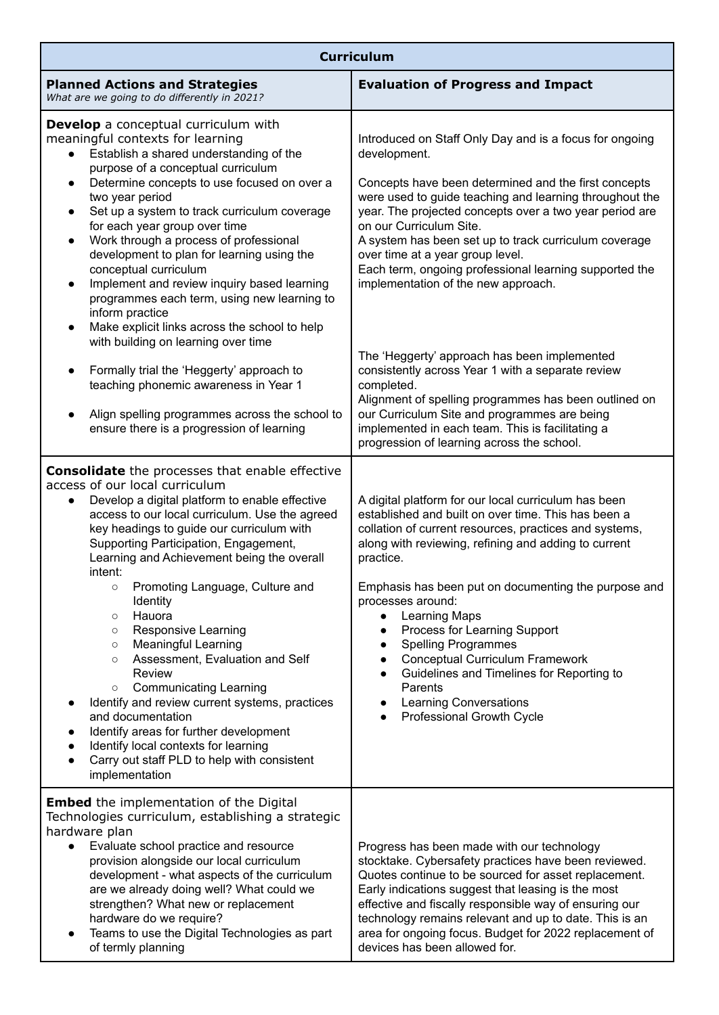|                                                                                                                                                                                                                                                                                                                                                                                                                                                                                                                                                                                                                                                                                                                                                                                                                                                                                                                    | <b>Curriculum</b>                                                                                                                                                                                                                                                                                                                                                                                                                                                                                                                                                                                                                                                 |
|--------------------------------------------------------------------------------------------------------------------------------------------------------------------------------------------------------------------------------------------------------------------------------------------------------------------------------------------------------------------------------------------------------------------------------------------------------------------------------------------------------------------------------------------------------------------------------------------------------------------------------------------------------------------------------------------------------------------------------------------------------------------------------------------------------------------------------------------------------------------------------------------------------------------|-------------------------------------------------------------------------------------------------------------------------------------------------------------------------------------------------------------------------------------------------------------------------------------------------------------------------------------------------------------------------------------------------------------------------------------------------------------------------------------------------------------------------------------------------------------------------------------------------------------------------------------------------------------------|
| <b>Planned Actions and Strategies</b><br>What are we going to do differently in 2021?                                                                                                                                                                                                                                                                                                                                                                                                                                                                                                                                                                                                                                                                                                                                                                                                                              | <b>Evaluation of Progress and Impact</b>                                                                                                                                                                                                                                                                                                                                                                                                                                                                                                                                                                                                                          |
| <b>Develop</b> a conceptual curriculum with<br>meaningful contexts for learning<br>Establish a shared understanding of the<br>$\bullet$<br>purpose of a conceptual curriculum<br>Determine concepts to use focused on over a<br>$\bullet$<br>two year period<br>Set up a system to track curriculum coverage<br>$\bullet$<br>for each year group over time<br>Work through a process of professional<br>$\bullet$<br>development to plan for learning using the<br>conceptual curriculum<br>Implement and review inquiry based learning<br>$\bullet$<br>programmes each term, using new learning to<br>inform practice<br>Make explicit links across the school to help<br>$\bullet$<br>with building on learning over time                                                                                                                                                                                        | Introduced on Staff Only Day and is a focus for ongoing<br>development.<br>Concepts have been determined and the first concepts<br>were used to guide teaching and learning throughout the<br>year. The projected concepts over a two year period are<br>on our Curriculum Site.<br>A system has been set up to track curriculum coverage<br>over time at a year group level.<br>Each term, ongoing professional learning supported the<br>implementation of the new approach.                                                                                                                                                                                    |
| Formally trial the 'Heggerty' approach to<br>$\bullet$<br>teaching phonemic awareness in Year 1<br>Align spelling programmes across the school to<br>ensure there is a progression of learning                                                                                                                                                                                                                                                                                                                                                                                                                                                                                                                                                                                                                                                                                                                     | The 'Heggerty' approach has been implemented<br>consistently across Year 1 with a separate review<br>completed.<br>Alignment of spelling programmes has been outlined on<br>our Curriculum Site and programmes are being<br>implemented in each team. This is facilitating a<br>progression of learning across the school.                                                                                                                                                                                                                                                                                                                                        |
| <b>Consolidate</b> the processes that enable effective<br>access of our local curriculum<br>Develop a digital platform to enable effective<br>$\bullet$<br>access to our local curriculum. Use the agreed<br>key headings to guide our curriculum with<br>Supporting Participation, Engagement,<br>Learning and Achievement being the overall<br>intent:<br>Promoting Language, Culture and<br>$\circ$<br>Identity<br>Hauora<br>$\circ$<br><b>Responsive Learning</b><br>$\circ$<br><b>Meaningful Learning</b><br>$\circ$<br>Assessment, Evaluation and Self<br>$\circ$<br><b>Review</b><br><b>Communicating Learning</b><br>$\circ$<br>Identify and review current systems, practices<br>$\bullet$<br>and documentation<br>Identify areas for further development<br>$\bullet$<br>Identify local contexts for learning<br>$\bullet$<br>Carry out staff PLD to help with consistent<br>$\bullet$<br>implementation | A digital platform for our local curriculum has been<br>established and built on over time. This has been a<br>collation of current resources, practices and systems,<br>along with reviewing, refining and adding to current<br>practice.<br>Emphasis has been put on documenting the purpose and<br>processes around:<br>Learning Maps<br>$\bullet$<br>Process for Learning Support<br>$\bullet$<br><b>Spelling Programmes</b><br>$\bullet$<br><b>Conceptual Curriculum Framework</b><br>$\bullet$<br>Guidelines and Timelines for Reporting to<br>$\bullet$<br>Parents<br><b>Learning Conversations</b><br>$\bullet$<br>Professional Growth Cycle<br>$\bullet$ |
| <b>Embed</b> the implementation of the Digital<br>Technologies curriculum, establishing a strategic<br>hardware plan<br>Evaluate school practice and resource<br>$\bullet$<br>provision alongside our local curriculum<br>development - what aspects of the curriculum<br>are we already doing well? What could we<br>strengthen? What new or replacement<br>hardware do we require?<br>Teams to use the Digital Technologies as part<br>$\bullet$<br>of termly planning                                                                                                                                                                                                                                                                                                                                                                                                                                           | Progress has been made with our technology<br>stocktake. Cybersafety practices have been reviewed.<br>Quotes continue to be sourced for asset replacement.<br>Early indications suggest that leasing is the most<br>effective and fiscally responsible way of ensuring our<br>technology remains relevant and up to date. This is an<br>area for ongoing focus. Budget for 2022 replacement of<br>devices has been allowed for.                                                                                                                                                                                                                                   |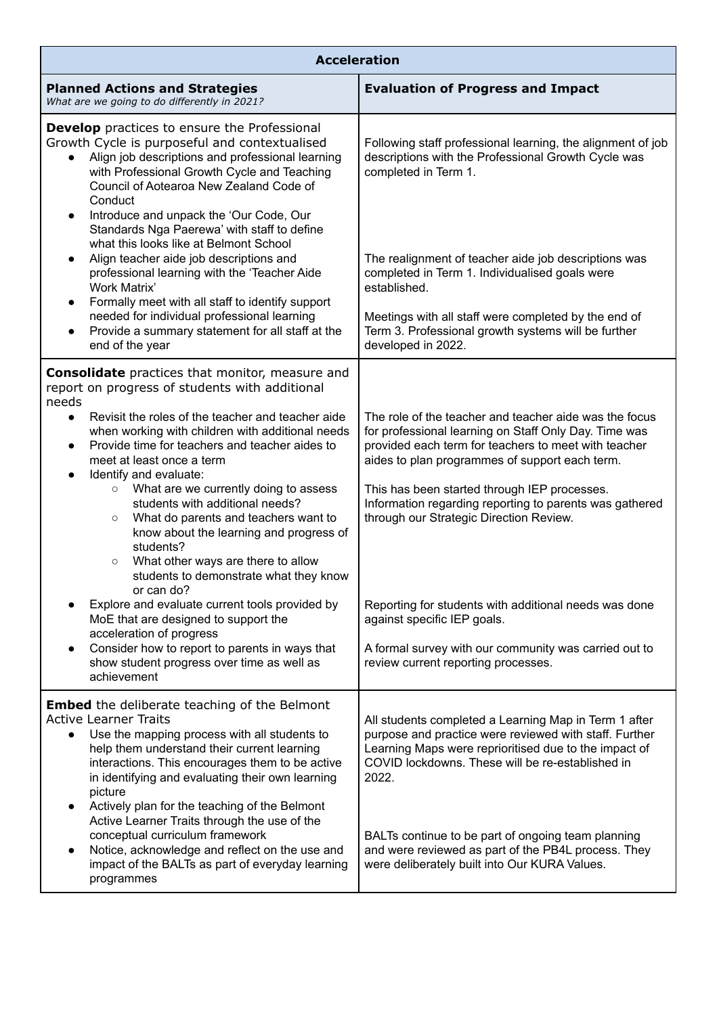| <b>Acceleration</b>                                                                                                                                                                                                                                                                                                                                                                                                                                                |                                                                                                                                                                                                                                                                                             |
|--------------------------------------------------------------------------------------------------------------------------------------------------------------------------------------------------------------------------------------------------------------------------------------------------------------------------------------------------------------------------------------------------------------------------------------------------------------------|---------------------------------------------------------------------------------------------------------------------------------------------------------------------------------------------------------------------------------------------------------------------------------------------|
| <b>Planned Actions and Strategies</b><br>What are we going to do differently in 2021?                                                                                                                                                                                                                                                                                                                                                                              | <b>Evaluation of Progress and Impact</b>                                                                                                                                                                                                                                                    |
| <b>Develop</b> practices to ensure the Professional<br>Growth Cycle is purposeful and contextualised<br>Align job descriptions and professional learning<br>$\bullet$<br>with Professional Growth Cycle and Teaching<br>Council of Aotearoa New Zealand Code of<br>Conduct                                                                                                                                                                                         | Following staff professional learning, the alignment of job<br>descriptions with the Professional Growth Cycle was<br>completed in Term 1.                                                                                                                                                  |
| Introduce and unpack the 'Our Code, Our<br>$\bullet$<br>Standards Nga Paerewa' with staff to define<br>what this looks like at Belmont School<br>Align teacher aide job descriptions and<br>$\bullet$<br>professional learning with the 'Teacher Aide<br>Work Matrix'<br>Formally meet with all staff to identify support<br>$\bullet$                                                                                                                             | The realignment of teacher aide job descriptions was<br>completed in Term 1. Individualised goals were<br>established.                                                                                                                                                                      |
| needed for individual professional learning<br>Provide a summary statement for all staff at the<br>$\bullet$<br>end of the year                                                                                                                                                                                                                                                                                                                                    | Meetings with all staff were completed by the end of<br>Term 3. Professional growth systems will be further<br>developed in 2022.                                                                                                                                                           |
| <b>Consolidate</b> practices that monitor, measure and<br>report on progress of students with additional<br>needs                                                                                                                                                                                                                                                                                                                                                  |                                                                                                                                                                                                                                                                                             |
| Revisit the roles of the teacher and teacher aide<br>$\bullet$<br>when working with children with additional needs<br>Provide time for teachers and teacher aides to<br>$\bullet$<br>meet at least once a term<br>Identify and evaluate:<br>$\bullet$                                                                                                                                                                                                              | The role of the teacher and teacher aide was the focus<br>for professional learning on Staff Only Day. Time was<br>provided each term for teachers to meet with teacher<br>aides to plan programmes of support each term.                                                                   |
| What are we currently doing to assess<br>$\circ$<br>students with additional needs?<br>What do parents and teachers want to<br>$\circ$<br>know about the learning and progress of<br>students?<br>What other ways are there to allow<br>$\circ$<br>students to demonstrate what they know                                                                                                                                                                          | This has been started through IEP processes.<br>Information regarding reporting to parents was gathered<br>through our Strategic Direction Review.                                                                                                                                          |
| or can do?<br>Explore and evaluate current tools provided by<br>MoE that are designed to support the                                                                                                                                                                                                                                                                                                                                                               | Reporting for students with additional needs was done<br>against specific IEP goals.                                                                                                                                                                                                        |
| acceleration of progress<br>Consider how to report to parents in ways that<br>$\bullet$<br>show student progress over time as well as<br>achievement                                                                                                                                                                                                                                                                                                               | A formal survey with our community was carried out to<br>review current reporting processes.                                                                                                                                                                                                |
| <b>Embed</b> the deliberate teaching of the Belmont<br><b>Active Learner Traits</b><br>Use the mapping process with all students to<br>$\bullet$<br>help them understand their current learning<br>interactions. This encourages them to be active<br>in identifying and evaluating their own learning<br>picture<br>Actively plan for the teaching of the Belmont<br>$\bullet$<br>Active Learner Traits through the use of the<br>conceptual curriculum framework | All students completed a Learning Map in Term 1 after<br>purpose and practice were reviewed with staff. Further<br>Learning Maps were reprioritised due to the impact of<br>COVID lockdowns. These will be re-established in<br>2022.<br>BALTs continue to be part of ongoing team planning |
| Notice, acknowledge and reflect on the use and<br>$\bullet$<br>impact of the BALTs as part of everyday learning<br>programmes                                                                                                                                                                                                                                                                                                                                      | and were reviewed as part of the PB4L process. They<br>were deliberately built into Our KURA Values.                                                                                                                                                                                        |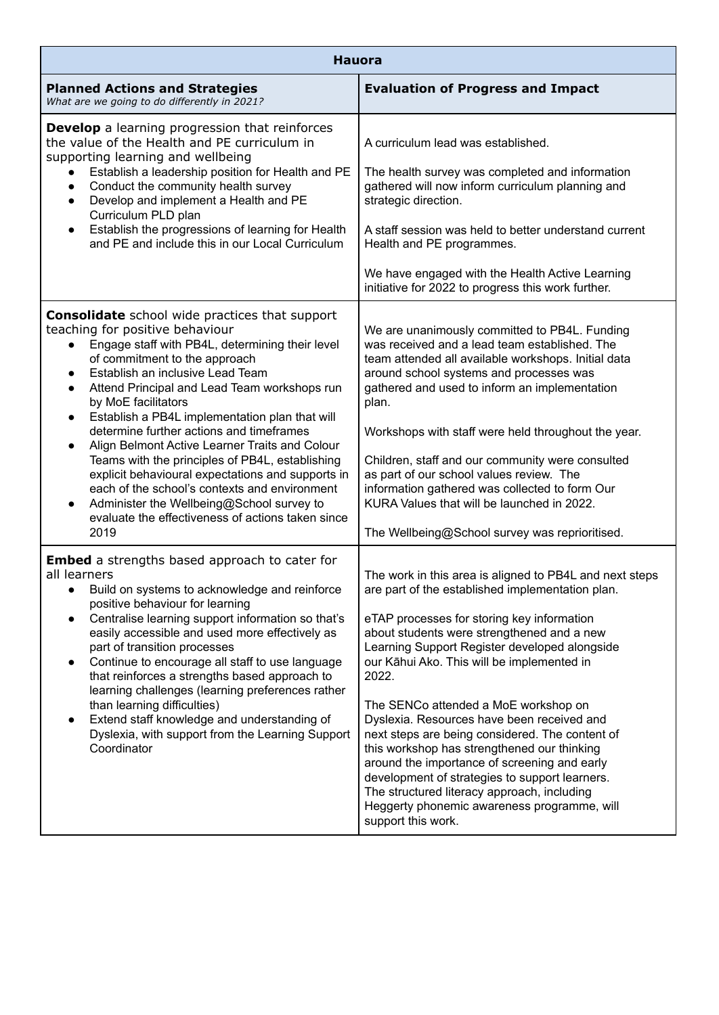| <b>Hauora</b>                                                                                                                                                                                                                                                                                                                                                                                                                                                                                                                                                                                                                                                                                                                                                               |                                                                                                                                                                                                                                                                                                                                                                                                                                                                                                                                                                                                                                                                                                                               |
|-----------------------------------------------------------------------------------------------------------------------------------------------------------------------------------------------------------------------------------------------------------------------------------------------------------------------------------------------------------------------------------------------------------------------------------------------------------------------------------------------------------------------------------------------------------------------------------------------------------------------------------------------------------------------------------------------------------------------------------------------------------------------------|-------------------------------------------------------------------------------------------------------------------------------------------------------------------------------------------------------------------------------------------------------------------------------------------------------------------------------------------------------------------------------------------------------------------------------------------------------------------------------------------------------------------------------------------------------------------------------------------------------------------------------------------------------------------------------------------------------------------------------|
| <b>Planned Actions and Strategies</b><br>What are we going to do differently in 2021?                                                                                                                                                                                                                                                                                                                                                                                                                                                                                                                                                                                                                                                                                       | <b>Evaluation of Progress and Impact</b>                                                                                                                                                                                                                                                                                                                                                                                                                                                                                                                                                                                                                                                                                      |
| <b>Develop</b> a learning progression that reinforces<br>the value of the Health and PE curriculum in<br>supporting learning and wellbeing                                                                                                                                                                                                                                                                                                                                                                                                                                                                                                                                                                                                                                  | A curriculum lead was established.                                                                                                                                                                                                                                                                                                                                                                                                                                                                                                                                                                                                                                                                                            |
| Establish a leadership position for Health and PE<br>Conduct the community health survey<br>$\bullet$<br>Develop and implement a Health and PE<br>$\bullet$<br>Curriculum PLD plan                                                                                                                                                                                                                                                                                                                                                                                                                                                                                                                                                                                          | The health survey was completed and information<br>gathered will now inform curriculum planning and<br>strategic direction.                                                                                                                                                                                                                                                                                                                                                                                                                                                                                                                                                                                                   |
| Establish the progressions of learning for Health<br>$\bullet$<br>and PE and include this in our Local Curriculum                                                                                                                                                                                                                                                                                                                                                                                                                                                                                                                                                                                                                                                           | A staff session was held to better understand current<br>Health and PE programmes.                                                                                                                                                                                                                                                                                                                                                                                                                                                                                                                                                                                                                                            |
|                                                                                                                                                                                                                                                                                                                                                                                                                                                                                                                                                                                                                                                                                                                                                                             | We have engaged with the Health Active Learning<br>initiative for 2022 to progress this work further.                                                                                                                                                                                                                                                                                                                                                                                                                                                                                                                                                                                                                         |
| <b>Consolidate</b> school wide practices that support<br>teaching for positive behaviour<br>Engage staff with PB4L, determining their level<br>of commitment to the approach<br>Establish an inclusive Lead Team<br>$\bullet$<br>Attend Principal and Lead Team workshops run<br>$\bullet$<br>by MoE facilitators<br>Establish a PB4L implementation plan that will<br>$\bullet$<br>determine further actions and timeframes<br>Align Belmont Active Learner Traits and Colour<br>$\bullet$<br>Teams with the principles of PB4L, establishing<br>explicit behavioural expectations and supports in<br>each of the school's contexts and environment<br>Administer the Wellbeing@School survey to<br>$\bullet$<br>evaluate the effectiveness of actions taken since<br>2019 | We are unanimously committed to PB4L. Funding<br>was received and a lead team established. The<br>team attended all available workshops. Initial data<br>around school systems and processes was<br>gathered and used to inform an implementation<br>plan.<br>Workshops with staff were held throughout the year.<br>Children, staff and our community were consulted<br>as part of our school values review. The<br>information gathered was collected to form Our<br>KURA Values that will be launched in 2022.<br>The Wellbeing@School survey was reprioritised.                                                                                                                                                           |
| Embed a strengths based approach to cater for<br>all learners<br>Build on systems to acknowledge and reinforce<br>positive behaviour for learning<br>Centralise learning support information so that's<br>$\bullet$<br>easily accessible and used more effectively as<br>part of transition processes<br>Continue to encourage all staff to use language<br>$\bullet$<br>that reinforces a strengths based approach to<br>learning challenges (learning preferences rather<br>than learning difficulties)<br>Extend staff knowledge and understanding of<br>$\bullet$<br>Dyslexia, with support from the Learning Support<br>Coordinator                                                                                                                                    | The work in this area is aligned to PB4L and next steps<br>are part of the established implementation plan.<br>eTAP processes for storing key information<br>about students were strengthened and a new<br>Learning Support Register developed alongside<br>our Kāhui Ako. This will be implemented in<br>2022.<br>The SENCo attended a MoE workshop on<br>Dyslexia. Resources have been received and<br>next steps are being considered. The content of<br>this workshop has strengthened our thinking<br>around the importance of screening and early<br>development of strategies to support learners.<br>The structured literacy approach, including<br>Heggerty phonemic awareness programme, will<br>support this work. |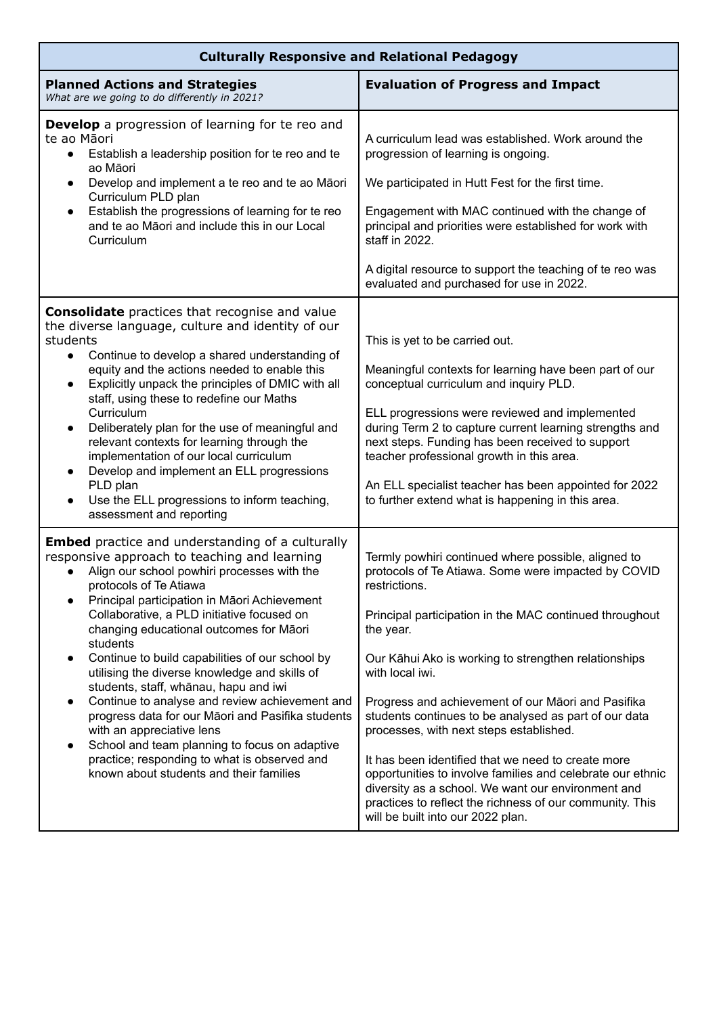| <b>Culturally Responsive and Relational Pedagogy</b>                                                                                                                                                                                                                                                                                                                                                                                                                                                                                                                                                                                                                                                                                                                                                   |                                                                                                                                                                                                                                                                                                                                                                                                                                                                                                                                                                                                                                                                                                                     |
|--------------------------------------------------------------------------------------------------------------------------------------------------------------------------------------------------------------------------------------------------------------------------------------------------------------------------------------------------------------------------------------------------------------------------------------------------------------------------------------------------------------------------------------------------------------------------------------------------------------------------------------------------------------------------------------------------------------------------------------------------------------------------------------------------------|---------------------------------------------------------------------------------------------------------------------------------------------------------------------------------------------------------------------------------------------------------------------------------------------------------------------------------------------------------------------------------------------------------------------------------------------------------------------------------------------------------------------------------------------------------------------------------------------------------------------------------------------------------------------------------------------------------------------|
| <b>Planned Actions and Strategies</b><br>What are we going to do differently in 2021?                                                                                                                                                                                                                                                                                                                                                                                                                                                                                                                                                                                                                                                                                                                  | <b>Evaluation of Progress and Impact</b>                                                                                                                                                                                                                                                                                                                                                                                                                                                                                                                                                                                                                                                                            |
| <b>Develop</b> a progression of learning for te reo and<br>te ao Māori<br>Establish a leadership position for te reo and te<br>$\bullet$<br>ao Māori<br>Develop and implement a te reo and te ao Māori<br>$\bullet$<br>Curriculum PLD plan<br>Establish the progressions of learning for te reo<br>$\bullet$<br>and te ao Māori and include this in our Local<br>Curriculum                                                                                                                                                                                                                                                                                                                                                                                                                            | A curriculum lead was established. Work around the<br>progression of learning is ongoing.<br>We participated in Hutt Fest for the first time.<br>Engagement with MAC continued with the change of<br>principal and priorities were established for work with<br>staff in 2022.<br>A digital resource to support the teaching of te reo was                                                                                                                                                                                                                                                                                                                                                                          |
| <b>Consolidate</b> practices that recognise and value<br>the diverse language, culture and identity of our<br>students<br>Continue to develop a shared understanding of<br>$\bullet$<br>equity and the actions needed to enable this<br>Explicitly unpack the principles of DMIC with all<br>$\bullet$<br>staff, using these to redefine our Maths<br>Curriculum<br>Deliberately plan for the use of meaningful and<br>$\bullet$<br>relevant contexts for learning through the<br>implementation of our local curriculum<br>Develop and implement an ELL progressions<br>$\bullet$<br>PLD plan<br>Use the ELL progressions to inform teaching,<br>$\bullet$<br>assessment and reporting                                                                                                                | evaluated and purchased for use in 2022.<br>This is yet to be carried out.<br>Meaningful contexts for learning have been part of our<br>conceptual curriculum and inquiry PLD.<br>ELL progressions were reviewed and implemented<br>during Term 2 to capture current learning strengths and<br>next steps. Funding has been received to support<br>teacher professional growth in this area.<br>An ELL specialist teacher has been appointed for 2022<br>to further extend what is happening in this area.                                                                                                                                                                                                          |
| <b>Embed</b> practice and understanding of a culturally<br>responsive approach to teaching and learning<br>Align our school powhiri processes with the<br>protocols of Te Atiawa<br>Principal participation in Māori Achievement<br>$\bullet$<br>Collaborative, a PLD initiative focused on<br>changing educational outcomes for Māori<br>students<br>Continue to build capabilities of our school by<br>$\bullet$<br>utilising the diverse knowledge and skills of<br>students, staff, whānau, hapu and iwi<br>Continue to analyse and review achievement and<br>٠<br>progress data for our Māori and Pasifika students<br>with an appreciative lens<br>School and team planning to focus on adaptive<br>٠<br>practice; responding to what is observed and<br>known about students and their families | Termly powhiri continued where possible, aligned to<br>protocols of Te Atiawa. Some were impacted by COVID<br>restrictions.<br>Principal participation in the MAC continued throughout<br>the year.<br>Our Kāhui Ako is working to strengthen relationships<br>with local iwi.<br>Progress and achievement of our Māori and Pasifika<br>students continues to be analysed as part of our data<br>processes, with next steps established.<br>It has been identified that we need to create more<br>opportunities to involve families and celebrate our ethnic<br>diversity as a school. We want our environment and<br>practices to reflect the richness of our community. This<br>will be built into our 2022 plan. |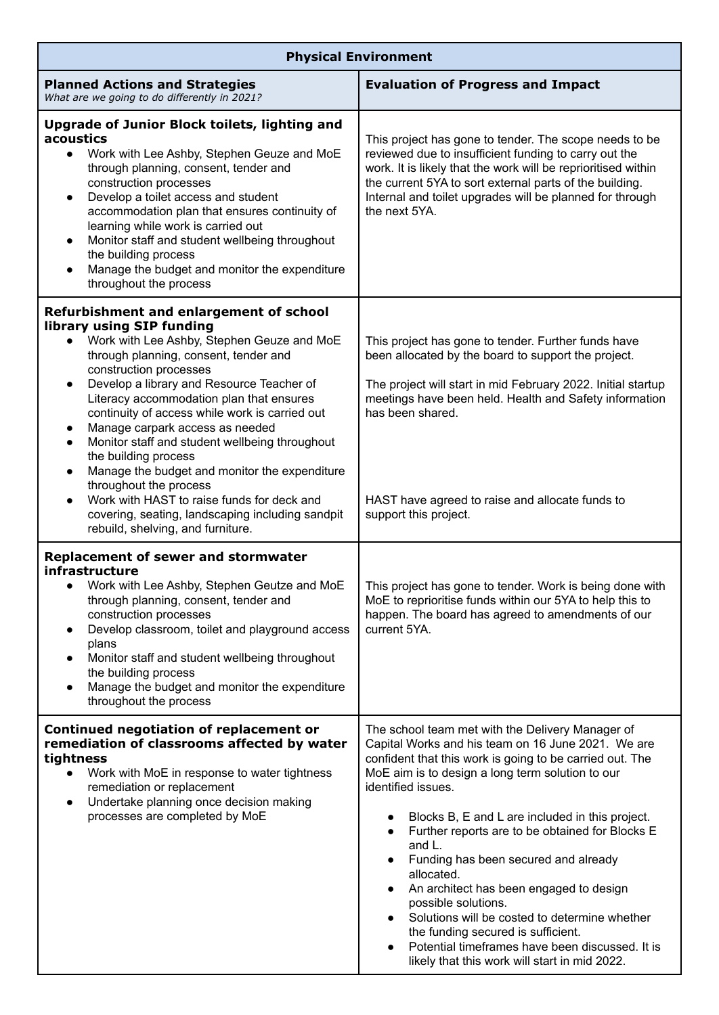| <b>Physical Environment</b>                                                                                                                                                                                                                                                                                                                                                                                                                                                                                                                                                                                                                                                                                                                   |                                                                                                                                                                                                                                                                                                                                                                                                                                                                                                                                                                                                                                                                                                           |
|-----------------------------------------------------------------------------------------------------------------------------------------------------------------------------------------------------------------------------------------------------------------------------------------------------------------------------------------------------------------------------------------------------------------------------------------------------------------------------------------------------------------------------------------------------------------------------------------------------------------------------------------------------------------------------------------------------------------------------------------------|-----------------------------------------------------------------------------------------------------------------------------------------------------------------------------------------------------------------------------------------------------------------------------------------------------------------------------------------------------------------------------------------------------------------------------------------------------------------------------------------------------------------------------------------------------------------------------------------------------------------------------------------------------------------------------------------------------------|
| <b>Planned Actions and Strategies</b><br>What are we going to do differently in 2021?                                                                                                                                                                                                                                                                                                                                                                                                                                                                                                                                                                                                                                                         | <b>Evaluation of Progress and Impact</b>                                                                                                                                                                                                                                                                                                                                                                                                                                                                                                                                                                                                                                                                  |
| Upgrade of Junior Block toilets, lighting and<br>acoustics<br>Work with Lee Ashby, Stephen Geuze and MoE<br>$\bullet$<br>through planning, consent, tender and<br>construction processes<br>Develop a toilet access and student<br>$\bullet$<br>accommodation plan that ensures continuity of<br>learning while work is carried out<br>Monitor staff and student wellbeing throughout<br>$\bullet$<br>the building process<br>Manage the budget and monitor the expenditure<br>$\bullet$<br>throughout the process                                                                                                                                                                                                                            | This project has gone to tender. The scope needs to be<br>reviewed due to insufficient funding to carry out the<br>work. It is likely that the work will be reprioritised within<br>the current 5YA to sort external parts of the building.<br>Internal and toilet upgrades will be planned for through<br>the next 5YA.                                                                                                                                                                                                                                                                                                                                                                                  |
| Refurbishment and enlargement of school<br>library using SIP funding<br>Work with Lee Ashby, Stephen Geuze and MoE<br>$\bullet$<br>through planning, consent, tender and<br>construction processes<br>Develop a library and Resource Teacher of<br>$\bullet$<br>Literacy accommodation plan that ensures<br>continuity of access while work is carried out<br>Manage carpark access as needed<br>$\bullet$<br>Monitor staff and student wellbeing throughout<br>$\bullet$<br>the building process<br>Manage the budget and monitor the expenditure<br>$\bullet$<br>throughout the process<br>Work with HAST to raise funds for deck and<br>$\bullet$<br>covering, seating, landscaping including sandpit<br>rebuild, shelving, and furniture. | This project has gone to tender. Further funds have<br>been allocated by the board to support the project.<br>The project will start in mid February 2022. Initial startup<br>meetings have been held. Health and Safety information<br>has been shared.<br>HAST have agreed to raise and allocate funds to<br>support this project.                                                                                                                                                                                                                                                                                                                                                                      |
| <b>Replacement of sewer and stormwater</b><br>infrastructure<br>Work with Lee Ashby, Stephen Geutze and MoE<br>$\bullet$<br>through planning, consent, tender and<br>construction processes<br>Develop classroom, toilet and playground access<br>$\bullet$<br>plans<br>Monitor staff and student wellbeing throughout<br>$\bullet$<br>the building process<br>Manage the budget and monitor the expenditure<br>$\bullet$<br>throughout the process                                                                                                                                                                                                                                                                                           | This project has gone to tender. Work is being done with<br>MoE to reprioritise funds within our 5YA to help this to<br>happen. The board has agreed to amendments of our<br>current 5YA.                                                                                                                                                                                                                                                                                                                                                                                                                                                                                                                 |
| Continued negotiation of replacement or<br>remediation of classrooms affected by water<br>tightness<br>Work with MoE in response to water tightness<br>$\bullet$<br>remediation or replacement<br>Undertake planning once decision making<br>$\bullet$<br>processes are completed by MoE                                                                                                                                                                                                                                                                                                                                                                                                                                                      | The school team met with the Delivery Manager of<br>Capital Works and his team on 16 June 2021. We are<br>confident that this work is going to be carried out. The<br>MoE aim is to design a long term solution to our<br>identified issues.<br>Blocks B, E and L are included in this project.<br>Further reports are to be obtained for Blocks E<br>$\bullet$<br>and L.<br>Funding has been secured and already<br>allocated.<br>An architect has been engaged to design<br>possible solutions.<br>Solutions will be costed to determine whether<br>the funding secured is sufficient.<br>Potential timeframes have been discussed. It is<br>$\bullet$<br>likely that this work will start in mid 2022. |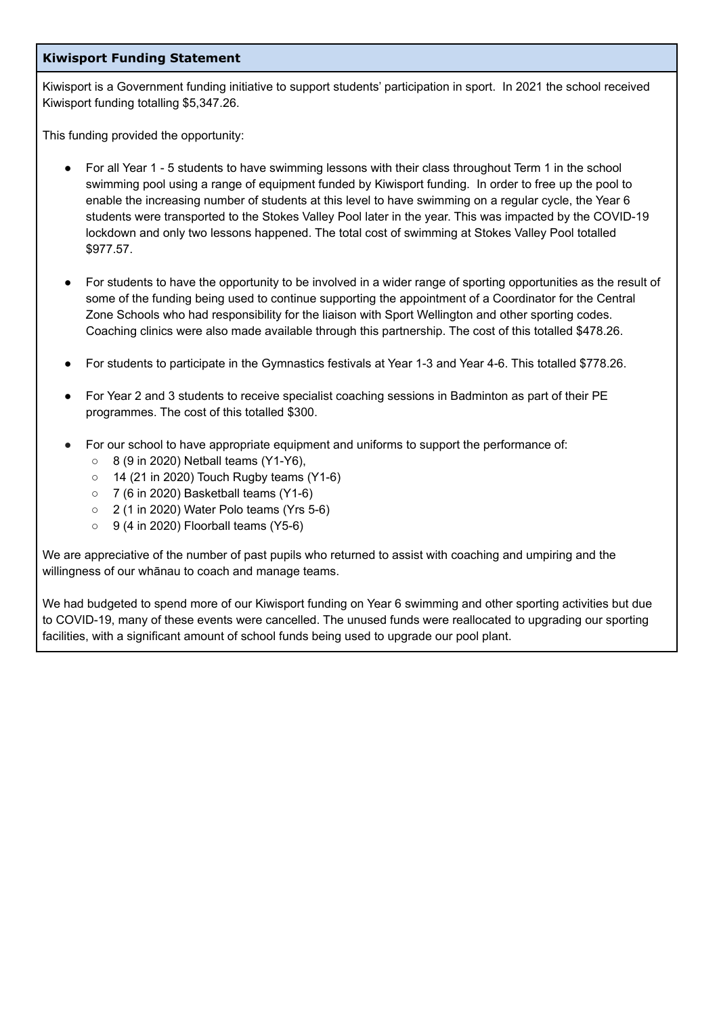#### **Kiwisport Funding Statement**

Kiwisport is a Government funding initiative to support students' participation in sport. In 2021 the school received Kiwisport funding totalling \$5,347.26.

This funding provided the opportunity:

- For all Year 1 5 students to have swimming lessons with their class throughout Term 1 in the school swimming pool using a range of equipment funded by Kiwisport funding. In order to free up the pool to enable the increasing number of students at this level to have swimming on a regular cycle, the Year 6 students were transported to the Stokes Valley Pool later in the year. This was impacted by the COVID-19 lockdown and only two lessons happened. The total cost of swimming at Stokes Valley Pool totalled \$977.57.
- For students to have the opportunity to be involved in a wider range of sporting opportunities as the result of some of the funding being used to continue supporting the appointment of a Coordinator for the Central Zone Schools who had responsibility for the liaison with Sport Wellington and other sporting codes. Coaching clinics were also made available through this partnership. The cost of this totalled \$478.26.
- For students to participate in the Gymnastics festivals at Year 1-3 and Year 4-6. This totalled \$778.26.
- For Year 2 and 3 students to receive specialist coaching sessions in Badminton as part of their PE programmes. The cost of this totalled \$300.
- For our school to have appropriate equipment and uniforms to support the performance of:
	- 8 (9 in 2020) Netball teams (Y1-Y6),
	- $\circ$  14 (21 in 2020) Touch Rugby teams (Y1-6)
	- 7 (6 in 2020) Basketball teams (Y1-6)
	- $\circ$  2 (1 in 2020) Water Polo teams (Yrs 5-6)
	- 9 (4 in 2020) Floorball teams (Y5-6)

We are appreciative of the number of past pupils who returned to assist with coaching and umpiring and the willingness of our whānau to coach and manage teams.

We had budgeted to spend more of our Kiwisport funding on Year 6 swimming and other sporting activities but due to COVID-19, many of these events were cancelled. The unused funds were reallocated to upgrading our sporting facilities, with a significant amount of school funds being used to upgrade our pool plant.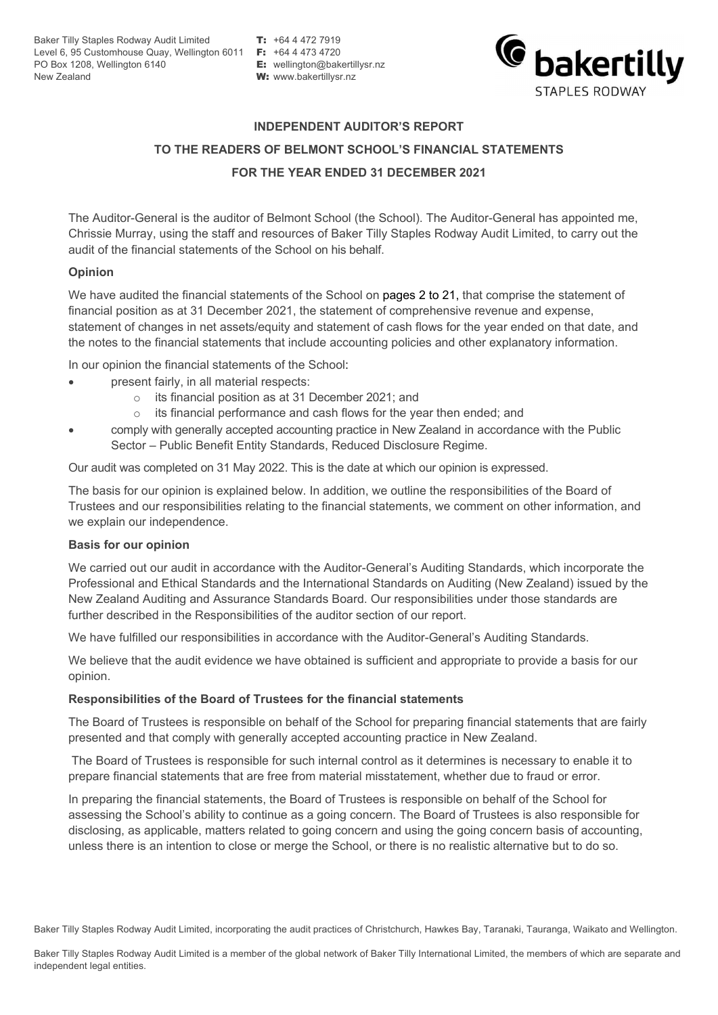Baker Tilly Staples Rodway Audit Limited **T:** +64 4 472 7919 Level 6, 95 Customhouse Quay, Wellington 6011 **F:** +64 4 473 4720 PO Box 1208, Wellington 6140 **E:** wellington@bakertillysr.nz New Zealand **W:** www.bakertillysr.nz



#### **INDEPENDENT AUDITOR'S REPORT**

### **TO THE READERS OF BELMONT SCHOOL'S FINANCIAL STATEMENTS FOR THE YEAR ENDED 31 DECEMBER 2021**

The Auditor-General is the auditor of Belmont School (the School). The Auditor-General has appointed me, Chrissie Murray, using the staff and resources of Baker Tilly Staples Rodway Audit Limited, to carry out the audit of the financial statements of the School on his behalf.

#### **Opinion**

We have audited the financial statements of the School on pages 2 to 21, that comprise the statement of financial position as at 31 December 2021, the statement of comprehensive revenue and expense, statement of changes in net assets/equity and statement of cash flows for the year ended on that date, and the notes to the financial statements that include accounting policies and other explanatory information.

In our opinion the financial statements of the School:

- present fairly, in all material respects:
	- o its financial position as at 31 December 2021; and
	- o its financial performance and cash flows for the year then ended; and
- comply with generally accepted accounting practice in New Zealand in accordance with the Public Sector – Public Benefit Entity Standards, Reduced Disclosure Regime.

Our audit was completed on 31 May 2022. This is the date at which our opinion is expressed.

The basis for our opinion is explained below. In addition, we outline the responsibilities of the Board of Trustees and our responsibilities relating to the financial statements, we comment on other information, and we explain our independence.

#### **Basis for our opinion**

We carried out our audit in accordance with the Auditor-General's Auditing Standards, which incorporate the Professional and Ethical Standards and the International Standards on Auditing (New Zealand) issued by the New Zealand Auditing and Assurance Standards Board. Our responsibilities under those standards are further described in the Responsibilities of the auditor section of our report.

We have fulfilled our responsibilities in accordance with the Auditor-General's Auditing Standards.

We believe that the audit evidence we have obtained is sufficient and appropriate to provide a basis for our opinion.

#### **Responsibilities of the Board of Trustees for the financial statements**

The Board of Trustees is responsible on behalf of the School for preparing financial statements that are fairly presented and that comply with generally accepted accounting practice in New Zealand.

The Board of Trustees is responsible for such internal control as it determines is necessary to enable it to prepare financial statements that are free from material misstatement, whether due to fraud or error.

In preparing the financial statements, the Board of Trustees is responsible on behalf of the School for assessing the School's ability to continue as a going concern. The Board of Trustees is also responsible for disclosing, as applicable, matters related to going concern and using the going concern basis of accounting, unless there is an intention to close or merge the School, or there is no realistic alternative but to do so.

Baker Tilly Staples Rodway Audit Limited, incorporating the audit practices of Christchurch, Hawkes Bay, Taranaki, Tauranga, Waikato and Wellington.

Baker Tilly Staples Rodway Audit Limited is a member of the global network of Baker Tilly International Limited, the members of which are separate and independent legal entities.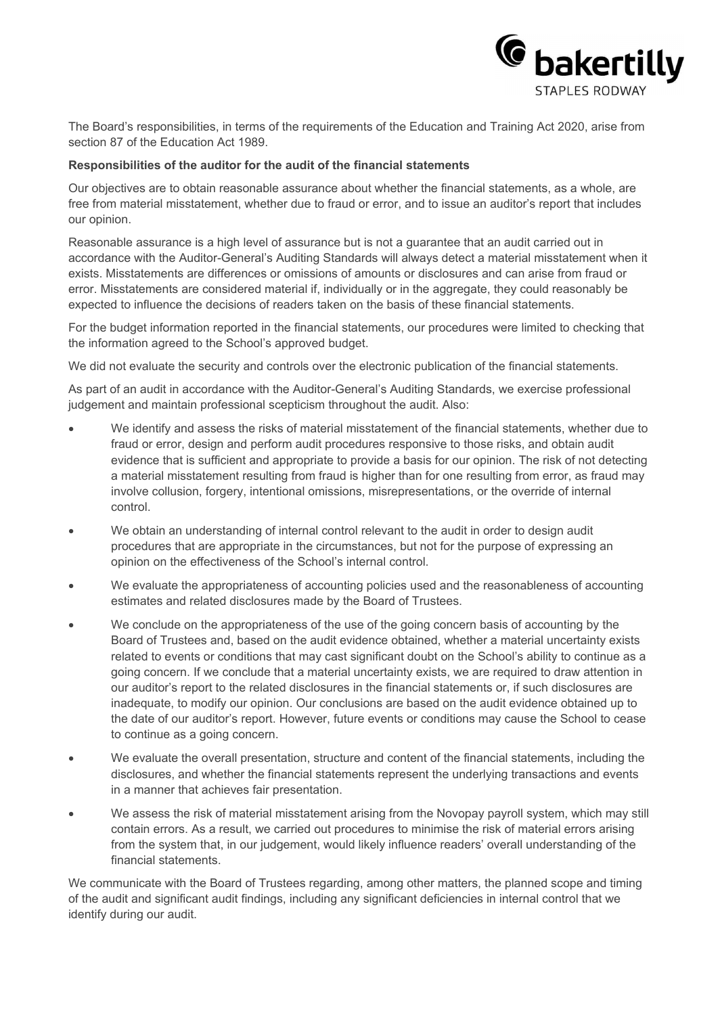

The Board's responsibilities, in terms of the requirements of the Education and Training Act 2020, arise from section 87 of the Education Act 1989.

#### **Responsibilities of the auditor for the audit of the financial statements**

Our objectives are to obtain reasonable assurance about whether the financial statements, as a whole, are free from material misstatement, whether due to fraud or error, and to issue an auditor's report that includes our opinion.

Reasonable assurance is a high level of assurance but is not a guarantee that an audit carried out in accordance with the Auditor-General's Auditing Standards will always detect a material misstatement when it exists. Misstatements are differences or omissions of amounts or disclosures and can arise from fraud or error. Misstatements are considered material if, individually or in the aggregate, they could reasonably be expected to influence the decisions of readers taken on the basis of these financial statements.

For the budget information reported in the financial statements, our procedures were limited to checking that the information agreed to the School's approved budget.

We did not evaluate the security and controls over the electronic publication of the financial statements.

As part of an audit in accordance with the Auditor-General's Auditing Standards, we exercise professional judgement and maintain professional scepticism throughout the audit. Also:

- We identify and assess the risks of material misstatement of the financial statements, whether due to fraud or error, design and perform audit procedures responsive to those risks, and obtain audit evidence that is sufficient and appropriate to provide a basis for our opinion. The risk of not detecting a material misstatement resulting from fraud is higher than for one resulting from error, as fraud may involve collusion, forgery, intentional omissions, misrepresentations, or the override of internal control.
- We obtain an understanding of internal control relevant to the audit in order to design audit procedures that are appropriate in the circumstances, but not for the purpose of expressing an opinion on the effectiveness of the School's internal control.
- We evaluate the appropriateness of accounting policies used and the reasonableness of accounting estimates and related disclosures made by the Board of Trustees.
- We conclude on the appropriateness of the use of the going concern basis of accounting by the Board of Trustees and, based on the audit evidence obtained, whether a material uncertainty exists related to events or conditions that may cast significant doubt on the School's ability to continue as a going concern. If we conclude that a material uncertainty exists, we are required to draw attention in our auditor's report to the related disclosures in the financial statements or, if such disclosures are inadequate, to modify our opinion. Our conclusions are based on the audit evidence obtained up to the date of our auditor's report. However, future events or conditions may cause the School to cease to continue as a going concern.
- We evaluate the overall presentation, structure and content of the financial statements, including the disclosures, and whether the financial statements represent the underlying transactions and events in a manner that achieves fair presentation.
- We assess the risk of material misstatement arising from the Novopay payroll system, which may still contain errors. As a result, we carried out procedures to minimise the risk of material errors arising from the system that, in our judgement, would likely influence readers' overall understanding of the financial statements.

We communicate with the Board of Trustees regarding, among other matters, the planned scope and timing of the audit and significant audit findings, including any significant deficiencies in internal control that we identify during our audit.